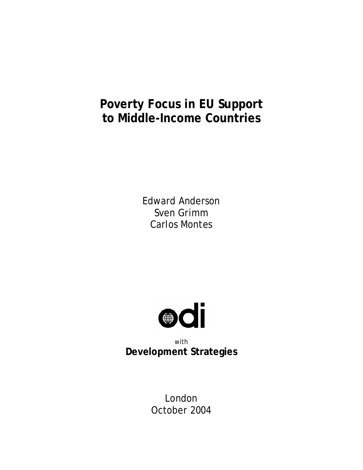# **Poverty Focus in EU Support to Middle-Income Countries**

Edward Anderson Sven Grimm Carlos Montes



with **Development Strategies** 

> London October 2004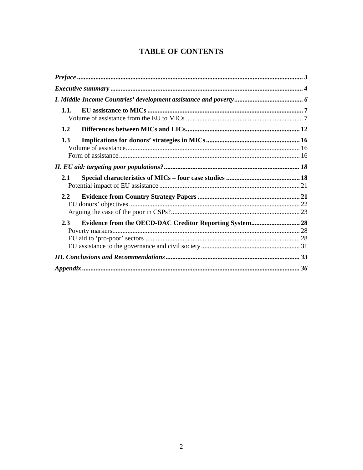# **TABLE OF CONTENTS**

| 1.1.          |                                                                |  |
|---------------|----------------------------------------------------------------|--|
| 1.2           |                                                                |  |
| 1.3           |                                                                |  |
|               |                                                                |  |
| 2.1           |                                                                |  |
| $2.2^{\circ}$ |                                                                |  |
| 2.3           | <b>Evidence from the OECD-DAC Creditor Reporting System 28</b> |  |
|               |                                                                |  |
|               |                                                                |  |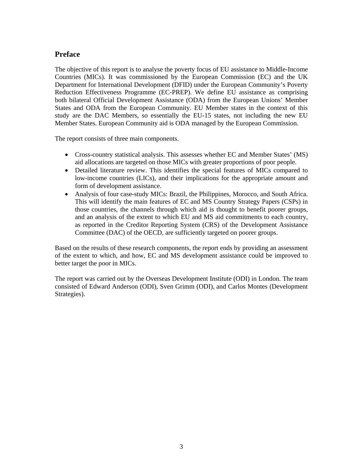# **Preface**

The objective of this report is to analyse the poverty focus of EU assistance to Middle-Income Countries (MICs). It was commissioned by the European Commission (EC) and the UK Department for International Development (DFID) under the European Community's Poverty Reduction Effectiveness Programme (EC-PREP). We define EU assistance as comprising both bilateral Official Development Assistance (ODA) from the European Unions' Member States and ODA from the European Community. EU Member states in the context of this study are the DAC Members, so essentially the EU-15 states, not including the new EU Member States. European Community aid is ODA managed by the European Commission.

The report consists of three main components.

- Cross-country statistical analysis. This assesses whether EC and Member States' (MS) aid allocations are targeted on those MICs with greater proportions of poor people.
- Detailed literature review. This identifies the special features of MICs compared to low-income countries (LICs), and their implications for the appropriate amount and form of development assistance.
- Analysis of four case-study MICs: Brazil, the Philippines, Morocco, and South Africa. This will identify the main features of EC and MS Country Strategy Papers (CSPs) in those countries, the channels through which aid is thought to benefit poorer groups, and an analysis of the extent to which EU and MS aid commitments to each country, as reported in the Creditor Reporting System (CRS) of the Development Assistance Committee (DAC) of the OECD, are sufficiently targeted on poorer groups.

Based on the results of these research components, the report ends by providing an assessment of the extent to which, and how, EC and MS development assistance could be improved to better target the poor in MICs.

The report was carried out by the Overseas Development Institute (ODI) in London. The team consisted of Edward Anderson (ODI), Sven Grimm (ODI), and Carlos Montes (Development Strategies).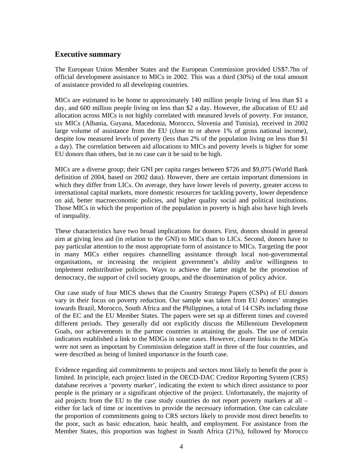#### **Executive summary**

The European Union Member States and the European Commission provided US\$7.7bn of official development assistance to MICs in 2002. This was a third (30%) of the total amount of assistance provided to all developing countries.

MICs are estimated to be home to approximately 140 million people living of less than \$1 a day, and 600 million people living on less than \$2 a day. However, the allocation of EU aid allocation across MICs is not highly correlated with measured levels of poverty. For instance, six MICs (Albania, Guyana, Macedonia, Morocco, Slovenia and Tunisia), received in 2002 large volume of assistance from the EU (close to or above 1% of gross national income), despite low measured levels of poverty (less than 2% of the population living on less than \$1 a day). The correlation between aid allocations to MICs and poverty levels is higher for some EU donors than others, but in no case can it be said to be high.

MICs are a diverse group; their GNI per capita ranges between \$726 and \$9,075 (World Bank definition of 2004, based on 2002 data). However, there are certain important dimensions in which they differ from LICs. On average, they have lower levels of poverty, greater access to international capital markets, more domestic resources for tackling poverty, lower dependence on aid, better macroeconomic policies, and higher quality social and political institutions. Those MICs in which the proportion of the population in poverty is high also have high levels of inequality.

These characteristics have two broad implications for donors. First, donors should in general aim at giving less aid (in relation to the GNI) to MICs than to LICs. Second, donors have to pay particular attention to the most appropriate form of assistance to MICs. Targeting the poor in many MICs either requires channelling assistance through local non-governmental organisations, or increasing the recipient government's ability and/or willingness to implement redistributive policies. Ways to achieve the latter might be the promotion of democracy, the support of civil society groups, and the dissemination of policy advice.

Our case study of four MICS shows that the Country Strategy Papers (CSPs) of EU donors vary in their focus on poverty reduction. Our sample was taken from EU donors' strategies towards Brazil, Morocco, South Africa and the Philippines, a total of 14 CSPs including those of the EC and the EU Member States. The papers were set up at different times and covered different periods. They generally did not explicitly discuss the Millennium Development Goals, nor achievements in the partner countries in attaining the goals. The use of certain indicators established a link to the MDGs in some cases. However, clearer links to the MDGs were not seen as important by Commission delegation staff in three of the four countries, and were described as being of limited importance in the fourth case.

Evidence regarding aid commitments to projects and sectors most likely to benefit the poor is limited. In principle, each project listed in the OECD-DAC Creditor Reporting System (CRS) database receives a 'poverty marker', indicating the extent to which direct assistance to poor people is the primary or a significant objective of the project. Unfortunately, the majority of aid projects from the EU to the case study countries do not report poverty markers at all – either for lack of time or incentives to provide the necessary information. One can calculate the proportion of commitments going to CRS sectors likely to provide most direct benefits to the poor, such as basic education, basic health, and employment. For assistance from the Member States, this proportion was highest in South Africa (21%), followed by Morocco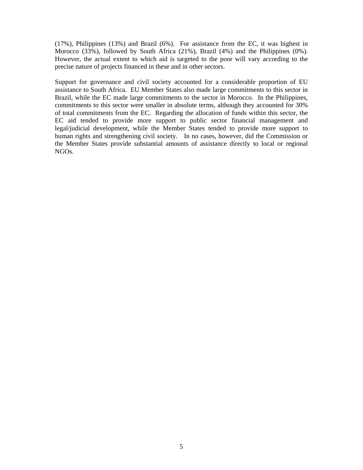(17%), Philippines (13%) and Brazil (6%). For assistance from the EC, it was highest in Morocco (33%), followed by South Africa (21%), Brazil (4%) and the Philippines (0%). However, the actual extent to which aid is targeted to the poor will vary according to the precise nature of projects financed in these and in other sectors.

Support for governance and civil society accounted for a considerable proportion of EU assistance to South Africa. EU Member States also made large commitments to this sector in Brazil, while the EC made large commitments to the sector in Morocco. In the Philippines, commitments to this sector were smaller in absolute terms, although they accounted for 30% of total commitments from the EC. Regarding the allocation of funds within this sector, the EC aid tended to provide more support to public sector financial management and legal/judicial development, while the Member States tended to provide more support to human rights and strengthening civil society. In no cases, however, did the Commission or the Member States provide substantial amounts of assistance directly to local or regional NGOs.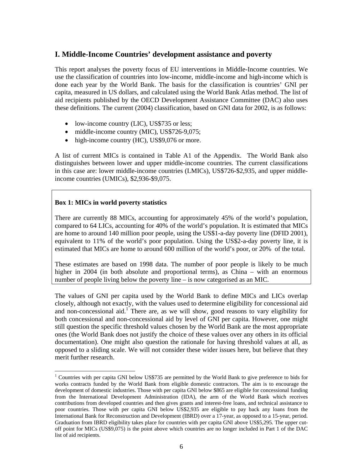### **I. Middle-Income Countries' development assistance and poverty**

This report analyses the poverty focus of EU interventions in Middle-Income countries. We use the classification of countries into low-income, middle-income and high-income which is done each year by the World Bank. The basis for the classification is countries' GNI per capita, measured in US dollars, and calculated using the World Bank Atlas method. The list of aid recipients published by the OECD Development Assistance Committee (DAC) also uses these definitions. The current (2004) classification, based on GNI data for 2002, is as follows:

- low-income country (LIC), US\$735 or less;
- middle-income country (MIC), US\$726-9,075;
- high-income country (HC), US\$9,076 or more.

A list of current MICs is contained in Table A1 of the Appendix. The World Bank also distinguishes between lower and upper middle-income countries. The current classifications in this case are: lower middle-income countries (LMICs), US\$726-\$2,935, and upper middleincome countries (UMICs), \$2,936-\$9,075.

#### **Box 1: MICs in world poverty statistics**

 $\overline{a}$ 

There are currently 88 MICs, accounting for approximately 45% of the world's population, compared to 64 LICs, accounting for 40% of the world's population. It is estimated that MICs are home to around 140 million poor people, using the US\$1-a-day poverty line (DFID 2001), equivalent to 11% of the world's poor population. Using the US\$2-a-day poverty line, it is estimated that MICs are home to around 600 million of the world's poor, or 20% of the total.

These estimates are based on 1998 data. The number of poor people is likely to be much higher in 2004 (in both absolute and proportional terms), as China – with an enormous number of people living below the poverty line – is now categorised as an MIC.

The values of GNI per capita used by the World Bank to define MICs and LICs overlap closely, although not exactly, with the values used to determine eligibility for concessional aid and non-concessional aid.<sup>1</sup> There are, as we will show, good reasons to vary eligibility for both concessional and non-concessional aid by level of GNI per capita. However, one might still question the specific threshold values chosen by the World Bank are the most appropriate ones (the World Bank does not justify the choice of these values over any others in its official documentation). One might also question the rationale for having threshold values at all, as opposed to a sliding scale. We will not consider these wider issues here, but believe that they merit further research.

<sup>&</sup>lt;sup>1</sup> Countries with per capita GNI below US\$735 are permitted by the World Bank to give preference to bids for works contracts funded by the World Bank from eligible domestic contractors. The aim is to encourage the development of domestic industries. Those with per capita GNI below \$865 are eligible for concessional funding from the International Development Administration (IDA), the arm of the World Bank which receives contributions from developed countries and then gives grants and interest-free loans, and technical assistance to poor countries. Those with per capita GNI below US\$2,935 are eligible to pay back any loans from the International Bank for Reconstruction and Development (IBRD) over a 17-year, as opposed to a 15-year, period. Graduation from IBRD eligibility takes place for countries with per capita GNI above US\$5,295. The upper cutoff point for MICs (US\$9,075) is the point above which countries are no longer included in Part 1 of the DAC list of aid recipients.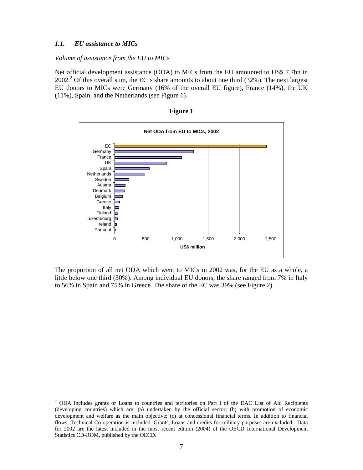#### *1.1. EU assistance to MICs*

 $\overline{a}$ 

*Volume of assistance from the EU to MICs* 

Net official development assistance (ODA) to MICs from the EU amounted to US\$ 7.7bn in 2002.<sup>2</sup> Of this overall sum, the EC's share amounts to about one third (32%). The next largest EU donors to MICs were Germany (16% of the overall EU figure), France (14%), the UK (11%), Spain, and the Netherlands (see Figure 1).



**Figure 1** 

The proportion of all net ODA which went to MICs in 2002 was, for the EU as a whole, a little below one third (30%). Among individual EU donors, the share ranged from 7% in Italy to 56% in Spain and 75% in Greece. The share of the EC was 39% (see Figure 2).

<sup>&</sup>lt;sup>2</sup> ODA includes grants or Loans to countries and territories on Part I of the DAC List of Aid Recipients (developing countries) which are: (a) undertaken by the official sector; (b) with promotion of economic development and welfare as the main objective; (c) at concessional financial terms. In addition to financial flows, Technical Co-operation is included. Grants, Loans and credits for military purposes are excluded. Data for 2002 are the latest included in the most recent edition (2004) of the OECD International Development Statistics CD-ROM, published by the OECD.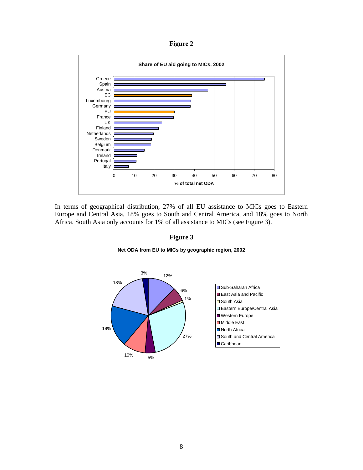**Figure 2** 



In terms of geographical distribution, 27% of all EU assistance to MICs goes to Eastern Europe and Central Asia, 18% goes to South and Central America, and 18% goes to North Africa. South Asia only accounts for 1% of all assistance to MICs (see Figure 3).

**Figure 3** 



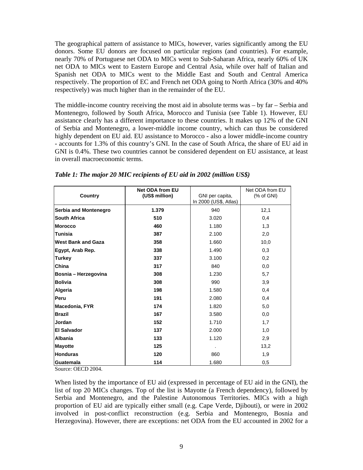The geographical pattern of assistance to MICs, however, varies significantly among the EU donors. Some EU donors are focused on particular regions (and countries). For example, nearly 70% of Portuguese net ODA to MICs went to Sub-Saharan Africa, nearly 60% of UK net ODA to MICs went to Eastern Europe and Central Asia, while over half of Italian and Spanish net ODA to MICs went to the Middle East and South and Central America respectively. The proportion of EC and French net ODA going to North Africa (30% and 40% respectively) was much higher than in the remainder of the EU.

The middle-income country receiving the most aid in absolute terms was – by far – Serbia and Montenegro, followed by South Africa, Morocco and Tunisia (see Table 1). However, EU assistance clearly has a different importance to these countries. It makes up 12% of the GNI of Serbia and Montenegro, a lower-middle income country, which can thus be considered highly dependent on EU aid. EU assistance to Morocco - also a lower middle-income country - accounts for 1.3% of this country's GNI. In the case of South Africa, the share of EU aid in GNI is 0.4%. These two countries cannot be considered dependent on EU assistance, at least in overall macroeconomic terms.

| Country                   | <b>Net ODA from EU</b><br>(US\$ million) | GNI per capita,<br>In 2000 (US\$, Atlas) | Net ODA from EU<br>% of GNI |
|---------------------------|------------------------------------------|------------------------------------------|-----------------------------|
| Serbia and Montenegro     | 1.379                                    | 940                                      | 12,1                        |
| <b>South Africa</b>       | 510                                      | 3.020                                    | 0,4                         |
| <b>Morocco</b>            | 460                                      | 1.180                                    | 1,3                         |
| Tunisia                   | 387                                      | 2.100                                    | 2,0                         |
| <b>West Bank and Gaza</b> | 358                                      | 1.660                                    | 10,0                        |
| Egypt, Arab Rep.          | 338                                      | 1.490                                    | 0,3                         |
| <b>Turkey</b>             | 337                                      | 3.100                                    | 0,2                         |
| China                     | 317                                      | 840                                      | 0,0                         |
| Bosnia - Herzegovina      | 308                                      | 1.230                                    | 5,7                         |
| <b>Bolivia</b>            | 308                                      | 990                                      | 3,9                         |
| Algeria                   | 198                                      | 1.580                                    | 0,4                         |
| Peru                      | 191                                      | 2.080                                    | 0,4                         |
| Macedonia, FYR            | 174                                      | 1.820                                    | 5,0                         |
| <b>Brazil</b>             | 167                                      | 3.580                                    | 0,0                         |
| Jordan                    | 152                                      | 1.710                                    | 1,7                         |
| <b>El Salvador</b>        | 137                                      | 2.000                                    | 1,0                         |
| <b>Albania</b>            | 133                                      | 1.120                                    | 2,9                         |
| <b>Mayotte</b>            | 125                                      |                                          | 13,2                        |
| <b>Honduras</b>           | 120                                      | 860                                      | 1,9                         |
| Guatemala                 | 114                                      | 1.680                                    | 0,5                         |

*Table 1: The major 20 MIC recipients of EU aid in 2002 (million US\$)* 

Source: OECD 2004.

When listed by the importance of EU aid (expressed in percentage of EU aid in the GNI), the list of top 20 MICs changes. Top of the list is Mayotte (a French dependency), followed by Serbia and Montenegro, and the Palestine Autonomous Territories. MICs with a high proportion of EU aid are typically either small (e.g. Cape Verde, Djibouti), or were in 2002 involved in post-conflict reconstruction (e.g. Serbia and Montenegro, Bosnia and Herzegovina). However, there are exceptions: net ODA from the EU accounted in 2002 for a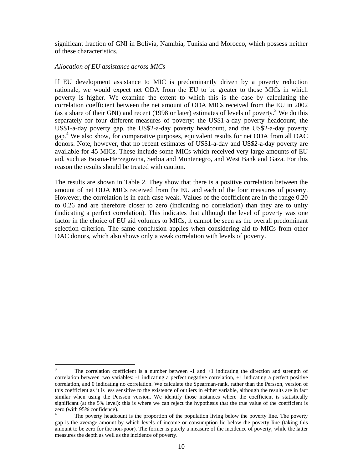significant fraction of GNI in Bolivia, Namibia, Tunisia and Morocco, which possess neither of these characteristics.

#### *Allocation of EU assistance across MICs*

If EU development assistance to MIC is predominantly driven by a poverty reduction rationale, we would expect net ODA from the EU to be greater to those MICs in which poverty is higher. We examine the extent to which this is the case by calculating the correlation coefficient between the net amount of ODA MICs received from the EU in 2002 (as a share of their GNI) and recent (1998 or later) estimates of levels of poverty.<sup>3</sup> We do this separately for four different measures of poverty: the US\$1-a-day poverty headcount, the US\$1-a-day poverty gap, the US\$2-a-day poverty headcount, and the US\$2-a-day poverty gap. 4 We also show, for comparative purposes, equivalent results for net ODA from all DAC donors. Note, however, that no recent estimates of US\$1-a-day and US\$2-a-day poverty are available for 45 MICs. These include some MICs which received very large amounts of EU aid, such as Bosnia-Herzegovina, Serbia and Montenegro, and West Bank and Gaza. For this reason the results should be treated with caution.

The results are shown in Table 2. They show that there is a positive correlation between the amount of net ODA MICs received from the EU and each of the four measures of poverty. However, the correlation is in each case weak. Values of the coefficient are in the range 0.20 to 0.26 and are therefore closer to zero (indicating no correlation) than they are to unity (indicating a perfect correlation). This indicates that although the level of poverty was one factor in the choice of EU aid volumes to MICs, it cannot be seen as the overall predominant selection criterion. The same conclusion applies when considering aid to MICs from other DAC donors, which also shows only a weak correlation with levels of poverty.

 3 The correlation coefficient is a number between -1 and +1 indicating the direction and strength of correlation between two variables: -1 indicating a perfect negative correlation, +1 indicating a perfect positive correlation, and 0 indicating no correlation. We calculate the Spearman-rank, rather than the Persson, version of this coefficient as it is less sensitive to the existence of outliers in either variable, although the results are in fact similar when using the Persson version. We identify those instances where the coefficient is statistically significant (at the 5% level): this is where we can reject the hypothesis that the true value of the coefficient is zero (with 95% confidence).

<sup>4</sup> The poverty headcount is the proportion of the population living below the poverty line. The poverty gap is the average amount by which levels of income or consumption lie below the poverty line (taking this amount to be zero for the non-poor). The former is purely a measure of the incidence of poverty, while the latter measures the depth as well as the incidence of poverty.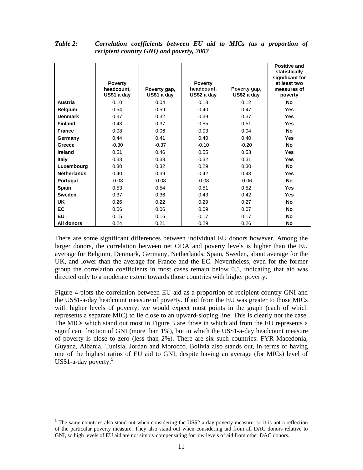|                    | <b>Poverty</b><br>headcount,<br>US\$1 a day | Poverty gap,<br>US\$1 a day | <b>Poverty</b><br>headcount,<br>US\$2 a day | Poverty gap,<br>US\$2 a day | Positive and<br>statistically<br>significant for<br>at least two<br>measures of<br>poverty |
|--------------------|---------------------------------------------|-----------------------------|---------------------------------------------|-----------------------------|--------------------------------------------------------------------------------------------|
| Austria            | 0.10                                        | 0.04                        | 0.18                                        | 0.12                        | No                                                                                         |
| <b>Belgium</b>     | 0.54                                        | 0.59                        | 0.40                                        | 0.47                        | <b>Yes</b>                                                                                 |
| <b>Denmark</b>     | 0.37                                        | 0.32                        | 0.39                                        | 0.37                        | <b>Yes</b>                                                                                 |
| <b>Finland</b>     | 0.43                                        | 0.37                        | 0.55                                        | 0.51                        | <b>Yes</b>                                                                                 |
| <b>France</b>      | 0.08                                        | 0.06                        | 0.03                                        | 0.04                        | No                                                                                         |
| Germany            | 0.44                                        | 0.41                        | 0.40                                        | 0.40                        | <b>Yes</b>                                                                                 |
| Greece             | $-0.30$                                     | $-0.37$                     | $-0.10$                                     | $-0.20$                     | No                                                                                         |
| Ireland            | 0.51                                        | 0.46                        | 0.55                                        | 0.53                        | <b>Yes</b>                                                                                 |
| <b>Italy</b>       | 0.33                                        | 0.33                        | 0.32                                        | 0.31                        | <b>Yes</b>                                                                                 |
| Luxembourg         | 0.30                                        | 0.32                        | 0.29                                        | 0.30                        | No                                                                                         |
| <b>Netherlands</b> | 0.40                                        | 0.39                        | 0.42                                        | 0.43                        | <b>Yes</b>                                                                                 |
| Portugal           | $-0.08$                                     | $-0.08$                     | $-0.08$                                     | $-0.06$                     | No                                                                                         |
| <b>Spain</b>       | 0.53                                        | 0.54                        | 0.51                                        | 0.52                        | <b>Yes</b>                                                                                 |
| <b>Sweden</b>      | 0.37                                        | 0.36                        | 0.43                                        | 0.42                        | <b>Yes</b>                                                                                 |
| <b>UK</b>          | 0.26                                        | 0.22                        | 0.29                                        | 0.27                        | <b>No</b>                                                                                  |
| <b>EC</b>          | 0.06                                        | 0.06                        | 0.09                                        | 0.07                        | <b>No</b>                                                                                  |
| <b>EU</b>          | 0.15                                        | 0.16                        | 0.17                                        | 0.17                        | <b>No</b>                                                                                  |
| All donors         | 0.24                                        | 0.21                        | 0.29                                        | 0.26                        | No                                                                                         |

*Table 2: Correlation coefficients between EU aid to MICs (as a proportion of recipient country GNI) and poverty, 2002* 

There are some significant differences between individual EU donors however. Among the larger donors, the correlation between net ODA and poverty levels is higher than the EU average for Belgium, Denmark, Germany, Netherlands, Spain, Sweden, about average for the UK, and lower than the average for France and the EC. Nevertheless, even for the former group the correlation coefficients in most cases remain below 0.5, indicating that aid was directed only to a moderate extent towards those countries with higher poverty.

Figure 4 plots the correlation between EU aid as a proportion of recipient country GNI and the US\$1-a-day headcount measure of poverty. If aid from the EU was greater to those MICs with higher levels of poverty, we would expect most points in the graph (each of which represents a separate MIC) to lie close to an upward-sloping line. This is clearly not the case. The MICs which stand out most in Figure 3 are those in which aid from the EU represents a significant fraction of GNI (more than 1%), but in which the US\$1-a-day headcount measure of poverty is close to zero (less than 2%). There are six such countries: FYR Macedonia, Guyana, Albania, Tunisia, Jordan and Morocco. Bolivia also stands out, in terms of having one of the highest ratios of EU aid to GNI, despite having an average (for MICs) level of US\$1-a-day poverty.<sup>5</sup>

 $\overline{a}$ 

 $<sup>5</sup>$  The same countries also stand out when considering the US\$2-a-day poverty measure, so it is not a reflection</sup> of the particular poverty measure. They also stand out when considering aid from all DAC donors relative to GNI, so high levels of EU aid are not simply compensating for low levels of aid from other DAC donors.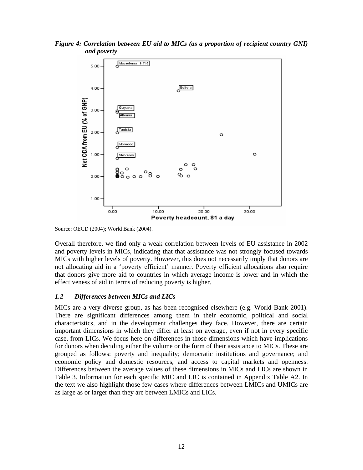



Source: OECD (2004); World Bank (2004).

Overall therefore, we find only a weak correlation between levels of EU assistance in 2002 and poverty levels in MICs, indicating that that assistance was not strongly focused towards MICs with higher levels of poverty. However, this does not necessarily imply that donors are not allocating aid in a 'poverty efficient' manner. Poverty efficient allocations also require that donors give more aid to countries in which average income is lower and in which the effectiveness of aid in terms of reducing poverty is higher.

#### *1.2 Differences between MICs and LICs*

MICs are a very diverse group, as has been recognised elsewhere (e.g. World Bank 2001). There are significant differences among them in their economic, political and social characteristics, and in the development challenges they face. However, there are certain important dimensions in which they differ at least on average, even if not in every specific case, from LICs. We focus here on differences in those dimensions which have implications for donors when deciding either the volume or the form of their assistance to MICs. These are grouped as follows: poverty and inequality; democratic institutions and governance; and economic policy and domestic resources, and access to capital markets and openness. Differences between the average values of these dimensions in MICs and LICs are shown in Table 3. Information for each specific MIC and LIC is contained in Appendix Table A2. In the text we also highlight those few cases where differences between LMICs and UMICs are as large as or larger than they are between LMICs and LICs.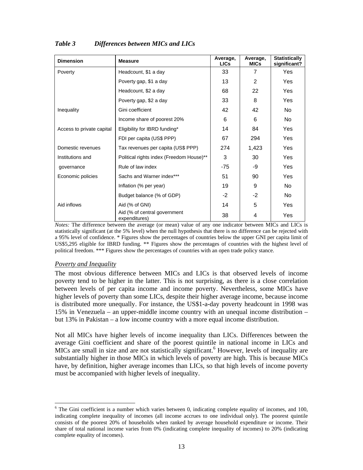| <b>Dimension</b>          | <b>Measure</b>                                | Average,<br><b>LICs</b> | Average,<br><b>MICs</b> | <b>Statistically</b><br>significant? |
|---------------------------|-----------------------------------------------|-------------------------|-------------------------|--------------------------------------|
| Poverty                   | Headcount, \$1 a day                          | 33                      | $\overline{7}$          | Yes                                  |
|                           | Poverty gap, \$1 a day                        | 13                      | $\mathcal{P}$           | Yes                                  |
|                           | Headcount, \$2 a day                          | 68                      | 22                      | Yes                                  |
|                           | Poverty gap, \$2 a day                        | 33                      | 8                       | <b>Yes</b>                           |
| Inequality                | Gini coefficient                              | 42                      | 42                      | No.                                  |
|                           | Income share of poorest 20%                   | 6                       | 6                       | No.                                  |
| Access to private capital | Eligibility for IBRD funding*                 | 14                      | 84                      | Yes                                  |
|                           | FDI per capita (US\$ PPP)                     | 67                      | 294                     | Yes                                  |
| Domestic revenues         | Tax revenues per capita (US\$ PPP)            | 274                     | 1,423                   | Yes                                  |
| Institutions and          | Political rights index (Freedom House)**      | 3                       | 30                      | Yes                                  |
| governance                | Rule of law index                             | -75                     | -9                      | Yes                                  |
| Economic policies         | Sachs and Warner index***                     | 51                      | 90                      | Yes                                  |
|                           | Inflation (% per year)                        | 19                      | 9                       | No.                                  |
|                           | Budget balance (% of GDP)                     | $-2$                    | $-2$                    | No.                                  |
| Aid inflows               | Aid (% of GNI)                                | 14                      | 5                       | <b>Yes</b>                           |
|                           | Aid (% of central government<br>expenditures) | 38                      | 4                       | <b>Yes</b>                           |

#### *Table 3 Differences between MICs and LICs*

*Notes:* The difference between the average (or mean) value of any one indicator between MICs and LICs is statistically significant (at the 5% level) when the null hypothesis that there is no difference can be rejected with a 95% level of confidence. \* Figures show the percentages of countries below the upper GNI per capita limit of US\$5,295 eligible for IBRD funding. \*\* Figures show the percentages of countries with the highest level of political freedom. \*\*\* Figures show the percentages of countries with an open trade policy stance.

#### *Poverty and Inequality*

The most obvious difference between MICs and LICs is that observed levels of income poverty tend to be higher in the latter. This is not surprising, as there is a close correlation between levels of per capita income and income poverty. Nevertheless, some MICs have higher levels of poverty than some LICs, despite their higher average income, because income is distributed more unequally. For instance, the US\$1-a-day poverty headcount in 1998 was 15% in Venezuela – an upper-middle income country with an unequal income distribution – but 13% in Pakistan – a low income country with a more equal income distribution.

Not all MICs have higher levels of income inequality than LICs. Differences between the average Gini coefficient and share of the poorest quintile in national income in LICs and MICs are small in size and are not statistically significant.<sup>6</sup> However, levels of inequality are substantially higher in those MICs in which levels of poverty are high. This is because MICs have, by definition, higher average incomes than LICs, so that high levels of income poverty must be accompanied with higher levels of inequality.

 $\overline{a}$  $6$  The Gini coefficient is a number which varies between 0, indicating complete equality of incomes, and 100, indicating complete inequality of incomes (all income accrues to one individual only). The poorest quintile consists of the poorest 20% of households when ranked by average household expenditure or income. Their share of total national income varies from 0% (indicating complete inequality of incomes) to 20% (indicating complete equality of incomes).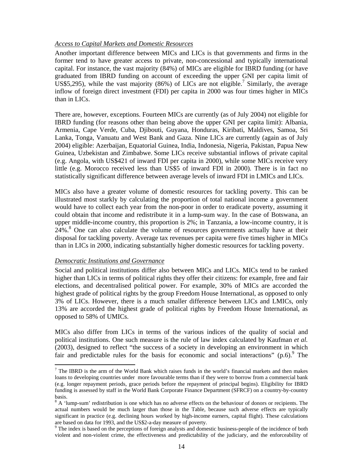#### *Access to Capital Markets and Domestic Resources*

Another important difference between MICs and LICs is that governments and firms in the former tend to have greater access to private, non-concessional and typically international capital. For instance, the vast majority (84%) of MICs are eligible for IBRD funding (or have graduated from IBRD funding on account of exceeding the upper GNI per capita limit of US\$5,295), while the vast majority (86%) of LICs are not eligible.<sup>7</sup> Similarly, the average inflow of foreign direct investment (FDI) per capita in 2000 was four times higher in MICs than in LICs.

There are, however, exceptions. Fourteen MICs are currently (as of July 2004) not eligible for IBRD funding (for reasons other than being above the upper GNI per capita limit): Albania, Armenia, Cape Verde, Cuba, Djibouti, Guyana, Honduras, Kiribati, Maldives, Samoa, Sri Lanka, Tonga, Vanuatu and West Bank and Gaza. Nine LICs are currently (again as of July 2004) eligible: Azerbaijan, Equatorial Guinea, India, Indonesia, Nigeria, Pakistan, Papua New Guinea, Uzbekistan and Zimbabwe. Some LICs receive substantial inflows of private capital (e.g. Angola, with US\$421 of inward FDI per capita in 2000), while some MICs receive very little (e.g. Morocco received less than US\$5 of inward FDI in 2000). There is in fact no statistically significant difference between average levels of inward FDI in LMICs and LICs.

MICs also have a greater volume of domestic resources for tackling poverty. This can be illustrated most starkly by calculating the proportion of total national income a government would have to collect each year from the non-poor in order to eradicate poverty, assuming it could obtain that income and redistribute it in a lump-sum way. In the case of Botswana, an upper middle-income country, this proportion is 2%; in Tanzania, a low-income country, it is  $24\%$ .<sup>8</sup> One can also calculate the volume of resources governments actually have at their disposal for tackling poverty. Average tax revenues per capita were five times higher in MICs than in LICs in 2000, indicating substantially higher domestic resources for tackling poverty.

#### *Democratic Institutions and Governance*

l

Social and political institutions differ also between MICs and LICs. MICs tend to be ranked higher than LICs in terms of political rights they offer their citizens: for example, free and fair elections, and decentralised political power. For example, 30% of MICs are accorded the highest grade of political rights by the group Freedom House International, as opposed to only 3% of LICs. However, there is a much smaller difference between LICs and LMICs, only 13% are accorded the highest grade of political rights by Freedom House International, as opposed to 58% of UMICs.

MICs also differ from LICs in terms of the various indices of the quality of social and political institutions. One such measure is the rule of law index calculated by Kaufman *et al.* (2003), designed to reflect "the success of a society in developing an environment in which fair and predictable rules for the basis for economic and social interactions"  $(p.6)$ . The

 $<sup>7</sup>$  The IBRD is the arm of the World Bank which raises funds in the world's financial markets and then makes</sup> loans to developing countries under more favourable terms than if they were to borrow from a commercial bank (e.g. longer repayment periods, grace periods before the repayment of principal begins). Eligibility for IBRD funding is assessed by staff in the World Bank Corporate Finance Department (SFRCF) on a country-by-country basis.

 $8$  A 'lump-sum' redistribution is one which has no adverse effects on the behaviour of donors or recipients. The actual numbers would be much larger than those in the Table, because such adverse effects are typically significant in practice (e.g. declining hours worked by high-income earners, capital flight). These calculations are based on data for 1993, and the US\$2-a-day measure of poverty.

<sup>&</sup>lt;sup>9</sup> The index is based on the perceptions of foreign analysts and domestic business-people of the incidence of both violent and non-violent crime, the effectiveness and predictability of the judiciary, and the enforceability of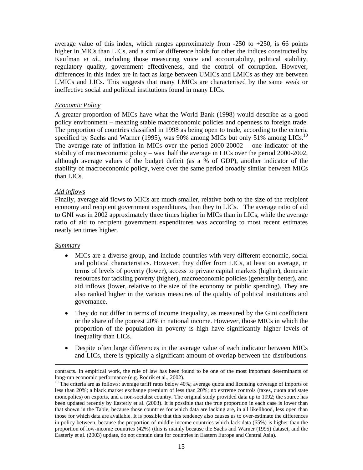average value of this index, which ranges approximately from  $-250$  to  $+250$ , is 66 points higher in MICs than LICs, and a similar difference holds for other the indices constructed by Kaufman *et al.*, including those measuring voice and accountability, political stability, regulatory quality, government effectiveness, and the control of corruption. However, differences in this index are in fact as large between UMICs and LMICs as they are between LMICs and LICs. This suggests that many LMICs are characterised by the same weak or ineffective social and political institutions found in many LICs.

#### *Economic Policy*

A greater proportion of MICs have what the World Bank (1998) would describe as a good policy environment – meaning stable macroeconomic policies and openness to foreign trade. The proportion of countries classified in 1998 as being open to trade, according to the criteria specified by Sachs and Warner (1995), was 90% among MICs but only 51% among LICs.<sup>10</sup> The average rate of inflation in MICs over the period 2000-20002 – one indicator of the stability of macroeconomic policy – was half the average in LICs over the period 2000-2002, although average values of the budget deficit (as a % of GDP), another indicator of the stability of macroeconomic policy, were over the same period broadly similar between MICs than LICs.

#### *Aid inflows*

Finally, average aid flows to MICs are much smaller, relative both to the size of the recipient economy and recipient government expenditures, than they to LICs. The average ratio of aid to GNI was in 2002 approximately three times higher in MICs than in LICs, while the average ratio of aid to recipient government expenditures was according to most recent estimates nearly ten times higher.

#### *Summary*

- MICs are a diverse group, and include countries with very different economic, social and political characteristics. However, they differ from LICs, at least on average, in terms of levels of poverty (lower), access to private capital markets (higher), domestic resources for tackling poverty (higher), macroeconomic policies (generally better), and aid inflows (lower, relative to the size of the economy or public spending). They are also ranked higher in the various measures of the quality of political institutions and governance.
- They do not differ in terms of income inequality, as measured by the Gini coefficient or the share of the poorest 20% in national income. However, those MICs in which the proportion of the population in poverty is high have significantly higher levels of inequality than LICs.
- Despite often large differences in the average value of each indicator between MICs and LICs, there is typically a significant amount of overlap between the distributions.

contracts. In empirical work, the rule of law has been found to be one of the most important determinants of long-run economic performance (e.g. Rodrik et al., 2002).

<sup>&</sup>lt;sup>10</sup> The criteria are as follows: average tariff rates below 40%; average quota and licensing coverage of imports of less than 20%; a black market exchange premium of less than 20%; no extreme controls (taxes, quota and state monopolies) on exports, and a non-socialist country. The original study provided data up to 1992; the source has been updated recently by Easterly et al. (2003). It is possible that the true proportion in each case is lower than that shown in the Table, because those countries for which data are lacking are, in all likelihood, less open than those for which data are available. It is possible that this tendency also causes us to over-estimate the differences in policy between, because the proportion of middle-income countries which lack data (65%) is higher than the proportion of low-income countries (42%) (this is mainly because the Sachs and Warner (1995) dataset, and the Easterly et al. (2003) update, do not contain data for countries in Eastern Europe and Central Asia).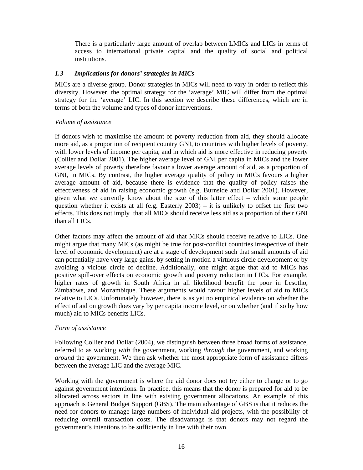There is a particularly large amount of overlap between LMICs and LICs in terms of access to international private capital and the quality of social and political institutions.

#### *1.3 Implications for donors' strategies in MICs*

MICs are a diverse group. Donor strategies in MICs will need to vary in order to reflect this diversity. However, the optimal strategy for the 'average' MIC will differ from the optimal strategy for the 'average' LIC. In this section we describe these differences, which are in terms of both the volume and types of donor interventions.

#### *Volume of assistance*

If donors wish to maximise the amount of poverty reduction from aid, they should allocate more aid, as a proportion of recipient country GNI, to countries with higher levels of poverty, with lower levels of income per capita, and in which aid is more effective in reducing poverty (Collier and Dollar 2001). The higher average level of GNI per capita in MICs and the lower average levels of poverty therefore favour a lower average amount of aid, as a proportion of GNI, in MICs. By contrast, the higher average quality of policy in MICs favours a higher average amount of aid, because there is evidence that the quality of policy raises the effectiveness of aid in raising economic growth (e.g. Burnside and Dollar 2001). However, given what we currently know about the size of this latter effect – which some people question whether it exists at all (e.g. Easterly  $2003$ ) – it is unlikely to offset the first two effects. This does not imply that all MICs should receive less aid as a proportion of their GNI than all LICs.

Other factors may affect the amount of aid that MICs should receive relative to LICs. One might argue that many MICs (as might be true for post-conflict countries irrespective of their level of economic development) are at a stage of development such that small amounts of aid can potentially have very large gains, by setting in motion a virtuous circle development or by avoiding a vicious circle of decline. Additionally, one might argue that aid to MICs has positive spill-over effects on economic growth and poverty reduction in LICs. For example, higher rates of growth in South Africa in all likelihood benefit the poor in Lesotho, Zimbabwe, and Mozambique. These arguments would favour higher levels of aid to MICs relative to LICs. Unfortunately however, there is as yet no empirical evidence on whether the effect of aid on growth does vary by per capita income level, or on whether (and if so by how much) aid to MICs benefits LICs.

#### *Form of assistance*

Following Collier and Dollar (2004), we distinguish between three broad forms of assistance, referred to as working *with* the government, working *through* the government, and working *around* the government. We then ask whether the most appropriate form of assistance differs between the average LIC and the average MIC.

Working with the government is where the aid donor does not try either to change or to go against government intentions. In practice, this means that the donor is prepared for aid to be allocated across sectors in line with existing government allocations. An example of this approach is General Budget Support (GBS). The main advantage of GBS is that it reduces the need for donors to manage large numbers of individual aid projects, with the possibility of reducing overall transaction costs. The disadvantage is that donors may not regard the government's intentions to be sufficiently in line with their own.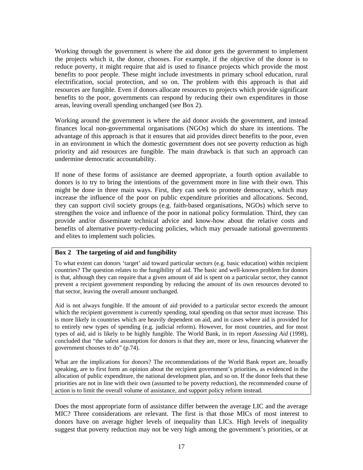Working through the government is where the aid donor gets the government to implement the projects which it, the donor, chooses. For example, if the objective of the donor is to reduce poverty, it might require that aid is used to finance projects which provide the most benefits to poor people. These might include investments in primary school education, rural electrification, social protection, and so on. The problem with this approach is that aid resources are fungible. Even if donors allocate resources to projects which provide significant benefits to the poor, governments can respond by reducing their own expenditures in those areas, leaving overall spending unchanged (see Box 2).

Working around the government is where the aid donor avoids the government, and instead finances local non-governmental organisations (NGOs) which do share its intentions. The advantage of this approach is that it ensures that aid provides direct benefits to the poor, even in an environment in which the domestic government does not see poverty reduction as high priority and aid resources are fungible. The main drawback is that such an approach can undermine democratic accountability.

If none of these forms of assistance are deemed appropriate, a fourth option available to donors is to try to bring the intentions of the government more in line with their own. This might be done in three main ways. First, they can seek to promote democracy, which may increase the influence of the poor on public expenditure priorities and allocations. Second, they can support civil society groups (e.g. faith-based organisations, NGOs) which serve to strengthen the voice and influence of the poor in national policy formulation. Third, they can provide and/or disseminate technical advice and know-how about the relative costs and benefits of alternative poverty-reducing policies, which may persuade national governments and elites to implement such policies.

#### **Box 2 The targeting of aid and fungibility**

To what extent can donors 'target' aid toward particular sectors (e.g. basic education) within recipient countries? The question relates to the fungibility of aid. The basic and well-known problem for donors is that, although they can require that a given amount of aid is spent on a particular sector, they cannot prevent a recipient government responding by reducing the amount of its own resources devoted to that sector, leaving the overall amount unchanged.

Aid is not always fungible. If the amount of aid provided to a particular sector exceeds the amount which the recipient government is currently spending, total spending on that sector must increase. This is more likely in countries which are heavily dependent on aid, and in cases where aid is provided for to entirely new types of spending (e.g. judicial reform). However, for most countries, and for most types of aid, aid is likely to be highly fungible. The World Bank, in its report *Assessing Aid* (1998), concluded that "the safest assumption for donors is that they are, more or less, financing whatever the government chooses to do" (p.74).

What are the implications for donors? The recommendations of the World Bank report are, broadly speaking, are to first form an opinion about the recipient government's priorities, as evidenced in the allocation of public expenditure, the national development plan, and so on. If the donor feels that these priorities are not in line with their own (assumed to be poverty reduction), the recommended course of action is to limit the overall volume of assistance, and support policy reform instead.

Does the most appropriate form of assistance differ between the average LIC and the average MIC? Three considerations are relevant. The first is that those MICs of most interest to donors have on average higher levels of inequality than LICs. High levels of inequality suggest that poverty reduction may not be very high among the government's priorities, or at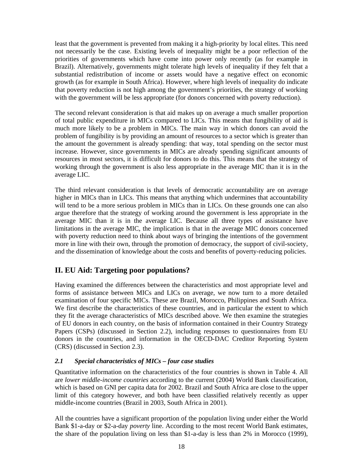least that the government is prevented from making it a high-priority by local elites. This need not necessarily be the case. Existing levels of inequality might be a poor reflection of the priorities of governments which have come into power only recently (as for example in Brazil). Alternatively, governments might tolerate high levels of inequality if they felt that a substantial redistribution of income or assets would have a negative effect on economic growth (as for example in South Africa). However, where high levels of inequality do indicate that poverty reduction is not high among the government's priorities, the strategy of working with the government will be less appropriate (for donors concerned with poverty reduction).

The second relevant consideration is that aid makes up on average a much smaller proportion of total public expenditure in MICs compared to LICs. This means that fungibility of aid is much more likely to be a problem in MICs. The main way in which donors can avoid the problem of fungibility is by providing an amount of resources to a sector which is greater than the amount the government is already spending: that way, total spending on the sector must increase. However, since governments in MICs are already spending significant amounts of resources in most sectors, it is difficult for donors to do this. This means that the strategy of working through the government is also less appropriate in the average MIC than it is in the average LIC.

The third relevant consideration is that levels of democratic accountability are on average higher in MICs than in LICs. This means that anything which undermines that accountability will tend to be a more serious problem in MICs than in LICs. On these grounds one can also argue therefore that the strategy of working around the government is less appropriate in the average MIC than it is in the average LIC. Because all three types of assistance have limitations in the average MIC, the implication is that in the average MIC donors concerned with poverty reduction need to think about ways of bringing the intentions of the government more in line with their own, through the promotion of democracy, the support of civil-society, and the dissemination of knowledge about the costs and benefits of poverty-reducing policies.

# **II. EU Aid: Targeting poor populations?**

Having examined the differences between the characteristics and most appropriate level and forms of assistance between MICs and LICs on average, we now turn to a more detailed examination of four specific MICs. These are Brazil, Morocco, Philippines and South Africa. We first describe the characteristics of these countries, and in particular the extent to which they fit the average characteristics of MICs described above. We then examine the strategies of EU donors in each country, on the basis of information contained in their Country Strategy Papers (CSPs) (discussed in Section 2.2), including responses to questionnaires from EU donors in the countries, and information in the OECD-DAC Creditor Reporting System (CRS) (discussed in Section 2.3).

#### *2.1 Special characteristics of MICs – four case studies*

Quantitative information on the characteristics of the four countries is shown in Table 4. All are *lower middle-income countries* according to the current (2004) World Bank classification, which is based on GNI per capita data for 2002. Brazil and South Africa are close to the upper limit of this category however, and both have been classified relatively recently as upper middle-income countries (Brazil in 2003, South Africa in 2001).

All the countries have a significant proportion of the population living under either the World Bank \$1-a-day or \$2-a-day *poverty* line. According to the most recent World Bank estimates, the share of the population living on less than \$1-a-day is less than 2% in Morocco (1999),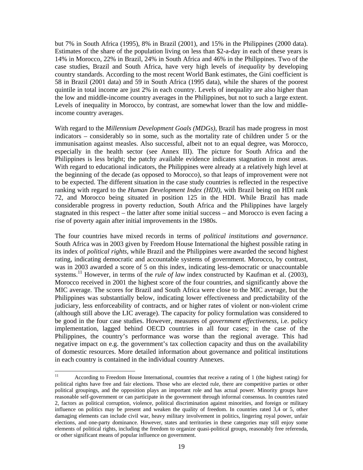but 7% in South Africa (1995), 8% in Brazil (2001), and 15% in the Philippines (2000 data). Estimates of the share of the population living on less than \$2-a-day in each of these years is 14% in Morocco, 22% in Brazil, 24% in South Africa and 46% in the Philippines. Two of the case studies, Brazil and South Africa, have very high levels of *inequality* by developing country standards. According to the most recent World Bank estimates, the Gini coefficient is 58 in Brazil (2001 data) and 59 in South Africa (1995 data), while the shares of the poorest quintile in total income are just 2% in each country. Levels of inequality are also higher than the low and middle-income country averages in the Philippines, but not to such a large extent. Levels of inequality in Morocco, by contrast, are somewhat lower than the low and middleincome country averages.

With regard to the *Millennium Development Goals (MDGs)*, Brazil has made progress in most indicators – considerably so in some, such as the mortality rate of children under 5 or the immunisation against measles. Also successful, albeit not to an equal degree, was Morocco, especially in the health sector (see Annex III). The picture for South Africa and the Philippines is less bright; the patchy available evidence indicates stagnation in most areas. With regard to educational indicators, the Philippines were already at a relatively high level at the beginning of the decade (as opposed to Morocco), so that leaps of improvement were not to be expected. The different situation in the case study countries is reflected in the respective ranking with regard to the *Human Development Index (HDI)*, with Brazil being on HDI rank 72, and Morocco being situated in position 125 in the HDI. While Brazil has made considerable progress in poverty reduction, South Africa and the Philippines have largely stagnated in this respect – the latter after some initial success – and Morocco is even facing a rise of poverty again after initial improvements in the 1980s.

The four countries have mixed records in terms of *political institutions and governance*. South Africa was in 2003 given by Freedom House International the highest possible rating in its index of *political rights*, while Brazil and the Philippines were awarded the second highest rating, indicating democratic and accountable systems of government. Morocco, by contrast, was in 2003 awarded a score of 5 on this index, indicating less-democratic or unaccountable systems.<sup>11</sup> However, in terms of the *rule of law* index constructed by Kaufman et al. (2003), Morocco received in 2001 the highest score of the four countries, and significantly above the MIC average. The scores for Brazil and South Africa were close to the MIC average, but the Philippines was substantially below, indicating lower effectiveness and predictability of the judiciary, less enforceability of contracts, and or higher rates of violent or non-violent crime (although still above the LIC average). The capacity for policy formulation was considered to be good in the four case studies. However, measures of *government effectiveness*, i.e. policy implementation, lagged behind OECD countries in all four cases; in the case of the Philippines, the country's performance was worse than the regional average. This had negative impact on e.g. the government's tax collection capacity and thus on the availability of domestic resources. More detailed information about governance and political institutions in each country is contained in the individual country Annexes.

 $11\,$ According to Freedom House International, countries that receive a rating of 1 (the highest rating) for political rights have free and fair elections. Those who are elected rule, there are competitive parties or other political groupings, and the opposition plays an important role and has actual power. Minority groups have reasonable self-government or can participate in the government through informal consensus. In countries rated 2, factors as political corruption, violence, political discrimination against minorities, and foreign or military influence on politics may be present and weaken the quality of freedom. In countries rated 3,4 or 5, other damaging elements can include civil war, heavy military involvement in politics, lingering royal power, unfair elections, and one-party dominance. However, states and territories in these categories may still enjoy some elements of political rights, including the freedom to organize quasi-political groups, reasonably free referenda, or other significant means of popular influence on government.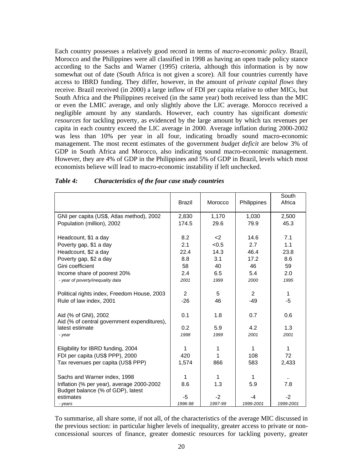Each country possesses a relatively good record in terms of *macro-economic policy*. Brazil, Morocco and the Philippines were all classified in 1998 as having an open trade policy stance according to the Sachs and Warner (1995) criteria, although this information is by now somewhat out of date (South Africa is not given a score). All four countries currently have access to IBRD funding. They differ, however, in the amount of *private capital flows* they receive. Brazil received (in 2000) a large inflow of FDI per capita relative to other MICs, but South Africa and the Philippines received (in the same year) both received less than the MIC or even the LMIC average, and only slightly above the LIC average. Morocco received a negligible amount by any standards. However, each country has significant *domestic resources* for tackling poverty, as evidenced by the large amount by which tax revenues per capita in each country exceed the LIC average in 2000. Average inflation during 2000-2002 was less than 10% per year in all four, indicating broadly sound macro-economic management. The most recent estimates of the government *budget deficit* are below 3% of GDP in South Africa and Morocco, also indicating sound macro-economic management. However, they are 4% of GDP in the Philippines and 5% of GDP in Brazil, levels which most economists believe will lead to macro-economic instability if left unchecked.

|                                                                     | <b>Brazil</b>  | Morocco | Philippines    | South<br>Africa |
|---------------------------------------------------------------------|----------------|---------|----------------|-----------------|
| GNI per capita (US\$, Atlas method), 2002                           | 2,830          | 1,170   | 1,030          | 2,500           |
| Population (million), 2002                                          | 174.5          | 29.6    | 79.9           | 45.3            |
| Headcount, \$1 a day                                                | 8.2            | $2$     | 14.6           | 7.1             |
| Poverty gap, \$1 a day                                              | 2.1            | < 0.5   | 2.7            | 1.1             |
| Headcount, \$2 a day                                                | 22.4           | 14.3    | 46.4           | 23.8            |
| Poverty gap, \$2 a day                                              | 8.8            | 3.1     | 17.2           | 8.6             |
| Gini coefficient                                                    | 58             | 40      | 46             | 59              |
| Income share of poorest 20%                                         | 2.4            | 6.5     | 5.4            | 2.0             |
| - year of poverty/inequality data                                   | 2001           | 1999    | 2000           | 1995            |
| Political rights index, Freedom House, 2003                         | $\overline{2}$ | 5       | $\overline{2}$ | 1               |
| Rule of law index, 2001                                             | $-26$          | 46      | $-49$          | $-5$            |
| Aid (% of GNI), 2002<br>Aid (% of central government expenditures), | 0.1            | 1.8     | 0.7            | 0.6             |
| latest estimate                                                     | 0.2            | 5.9     | 4.2            | 1.3             |
| - year                                                              | 1998           | 1999    | 2001           | 2001            |
| Eligibility for IBRD funding, 2004                                  | 1              | 1       | 1              | 1               |
| FDI per capita (US\$ PPP), 2000                                     | 420            | 1       | 108            | 72              |
| Tax revenues per capita (US\$ PPP)                                  | 1,574          | 866     | 583            | 2,433           |
| Sachs and Warner index, 1998                                        | 1              | 1       | 1.             |                 |
| Inflation (% per year), average 2000-2002                           | 8.6            | 1.3     | 5.9            | 7.8             |
| Budget balance (% of GDP), latest<br>estimates                      | -5             | $-2$    | -4             | $-2$            |
| - years                                                             | 1996-98        | 1997-99 | 1999-2001      | 1999-2001       |

#### *Table 4: Characteristics of the four case study countries*

To summarise, all share some, if not all, of the characteristics of the average MIC discussed in the previous section: in particular higher levels of inequality, greater access to private or nonconcessional sources of finance, greater domestic resources for tackling poverty, greater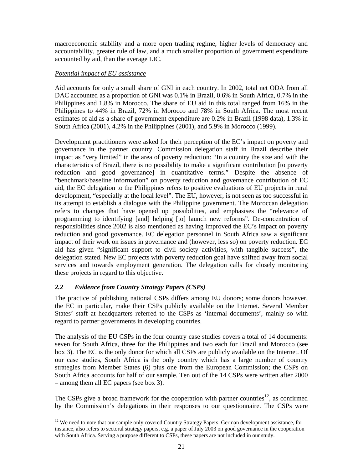macroeconomic stability and a more open trading regime, higher levels of democracy and accountability, greater rule of law, and a much smaller proportion of government expenditure accounted by aid, than the average LIC.

#### *Potential impact of EU assistance*

Aid accounts for only a small share of GNI in each country. In 2002, total net ODA from all DAC accounted as a proportion of GNI was 0.1% in Brazil, 0.6% in South Africa, 0.7% in the Philippines and 1.8% in Morocco. The share of EU aid in this total ranged from 16% in the Philippines to 44% in Brazil, 72% in Morocco and 78% in South Africa. The most recent estimates of aid as a share of government expenditure are 0.2% in Brazil (1998 data), 1.3% in South Africa (2001), 4.2% in the Philippines (2001), and 5.9% in Morocco (1999).

Development practitioners were asked for their perception of the EC's impact on poverty and governance in the partner country. Commission delegation staff in Brazil describe their impact as "very limited" in the area of poverty reduction: "In a country the size and with the characteristics of Brazil, there is no possibility to make a significant contribution [to poverty reduction and good governance] in quantitative terms." Despite the absence of "benchmark/baseline information" on poverty reduction and governance contribution of EC aid, the EC delegation to the Philippines refers to positive evaluations of EU projects in rural development, "especially at the local level". The EU, however, is not seen as too successful in its attempt to establish a dialogue with the Philippine government. The Moroccan delegation refers to changes that have opened up possibilities, and emphasises the "relevance of programming to identifying [and] helping [to] launch new reforms". De-concentration of responsibilities since 2002 is also mentioned as having improved the EC's impact on poverty reduction and good governance. EC delegation personnel in South Africa saw a significant impact of their work on issues in governance and (however, less so) on poverty reduction. EC aid has given "significant support to civil society activities, with tangible success", the delegation stated. New EC projects with poverty reduction goal have shifted away from social services and towards employment generation. The delegation calls for closely monitoring these projects in regard to this objective.

#### *2.2 Evidence from Country Strategy Papers (CSPs)*

l

The practice of publishing national CSPs differs among EU donors; some donors however, the EC in particular, make their CSPs publicly available on the Internet. Several Member States' staff at headquarters referred to the CSPs as 'internal documents', mainly so with regard to partner governments in developing countries.

The analysis of the EU CSPs in the four country case studies covers a total of 14 documents: seven for South Africa, three for the Philippines and two each for Brazil and Morocco (see box 3). The EC is the only donor for which all CSPs are publicly available on the Internet. Of our case studies, South Africa is the only country which has a large number of country strategies from Member States (6) plus one from the European Commission; the CSPs on South Africa accounts for half of our sample. Ten out of the 14 CSPs were written after 2000 – among them all EC papers (see box 3).

The CSPs give a broad framework for the cooperation with partner countries<sup>12</sup>, as confirmed by the Commission's delegations in their responses to our questionnaire. The CSPs were

<sup>&</sup>lt;sup>12</sup> We need to note that our sample only covered Country Strategy Papers. German development assistance, for instance, also refers to sectoral strategy papers, e.g. a paper of July 2003 on good governance in the cooperation with South Africa. Serving a purpose different to CSPs, these papers are not included in our study.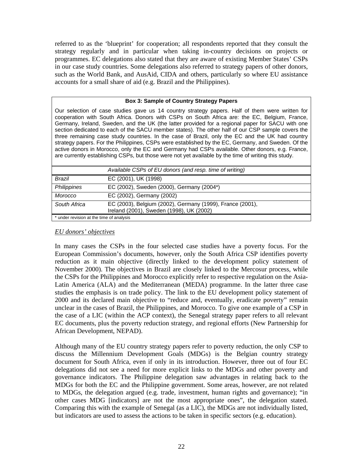referred to as the 'blueprint' for cooperation; all respondents reported that they consult the strategy regularly and in particular when taking in-country decisions on projects or programmes. EC delegations also stated that they are aware of existing Member States' CSPs in our case study countries. Some delegations also referred to strategy papers of other donors, such as the World Bank, and AusAid, CIDA and others, particularly so where EU assistance accounts for a small share of aid (e.g. Brazil and the Philippines).

#### **Box 3: Sample of Country Strategy Papers**

Our selection of case studies gave us 14 country strategy papers. Half of them were written for cooperation with South Africa. Donors with CSPs on South Africa are: the EC, Belgium, France, Germany, Ireland, Sweden, and the UK (the latter provided for a regional paper for SACU with one section dedicated to each of the SACU member states). The other half of our CSP sample covers the three remaining case study countries. In the case of Brazil, only the EC and the UK had country strategy papers. For the Philippines, CSPs were established by the EC, Germany, and Sweden. Of the active donors in Morocco, only the EC and Germany had CSPs available. Other donors, e.g. France, are currently establishing CSPs, but those were not yet available by the time of writing this study.

|                                          | Available CSPs of EU donors (and resp. time of writing)                                               |
|------------------------------------------|-------------------------------------------------------------------------------------------------------|
| Brazil                                   | EC (2001), UK (1998)                                                                                  |
| Philippines                              | EC (2002), Sweden (2000), Germany (2004*)                                                             |
| Morocco                                  | EC (2002), Germany (2002)                                                                             |
| South Africa                             | EC (2003), Belgium (2002), Germany (1999), France (2001),<br>Ireland (2001), Sweden (1998), UK (2002) |
| * under revision at the time of analysis |                                                                                                       |

#### *EU donors' objectives*

In many cases the CSPs in the four selected case studies have a poverty focus. For the European Commission's documents, however, only the South Africa CSP identifies poverty reduction as it main objective (directly linked to the development policy statement of November 2000). The objectives in Brazil are closely linked to the Mercosur process, while the CSPs for the Philippines and Morocco explicitly refer to respective regulation on the Asia-Latin America (ALA) and the Mediterranean (MEDA) programme. In the latter three case studies the emphasis is on trade policy. The link to the EU development policy statement of 2000 and its declared main objective to "reduce and, eventually, eradicate poverty" remain unclear in the cases of Brazil, the Philippines, and Morocco. To give one example of a CSP in the case of a LIC (within the ACP context), the Senegal strategy paper refers to all relevant EC documents, plus the poverty reduction strategy, and regional efforts (New Partnership for African Development, NEPAD).

Although many of the EU country strategy papers refer to poverty reduction, the only CSP to discuss the Millennium Development Goals (MDGs) is the Belgian country strategy document for South Africa, even if only in its introduction. However, three out of four EC delegations did not see a need for more explicit links to the MDGs and other poverty and governance indicators. The Philippine delegation saw advantages in relating back to the MDGs for both the EC and the Philippine government. Some areas, however, are not related to MDGs, the delegation argued (e.g. trade, investment, human rights and governance); "in other cases MDG [indicators] are not the most appropriate ones", the delegation stated. Comparing this with the example of Senegal (as a LIC), the MDGs are not individually listed, but indicators are used to assess the actions to be taken in specific sectors (e.g. education).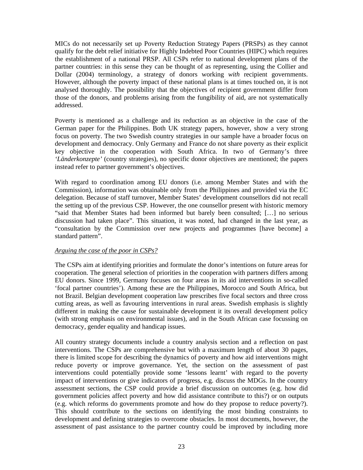MICs do not necessarily set up Poverty Reduction Strategy Papers (PRSPs) as they cannot qualify for the debt relief initiative for Highly Indebted Poor Countries (HIPC) which requires the establishment of a national PRSP. All CSPs refer to national development plans of the partner countries: in this sense they can be thought of as representing, using the Collier and Dollar (2004) terminology, a strategy of donors working *with* recipient governments. However, although the poverty impact of these national plans is at times touched on, it is not analysed thoroughly. The possibility that the objectives of recipient government differ from those of the donors, and problems arising from the fungibility of aid, are not systematically addressed.

Poverty is mentioned as a challenge and its reduction as an objective in the case of the German paper for the Philippines. Both UK strategy papers, however, show a very strong focus on poverty. The two Swedish country strategies in our sample have a broader focus on development and democracy. Only Germany and France do not share poverty as their explicit key objective in the cooperation with South Africa. In two of Germany's three *'Länderkonzepte'* (country strategies), no specific donor objectives are mentioned; the papers instead refer to partner government's objectives.

With regard to coordination among EU donors (i.e. among Member States and with the Commission), information was obtainable only from the Philippines and provided via the EC delegation. Because of staff turnover, Member States' development counsellors did not recall the setting up of the previous CSP. However, the one counsellor present with historic memory "said that Member States had been informed but barely been consulted; […] no serious discussion had taken place". This situation, it was noted, had changed in the last year, as "consultation by the Commission over new projects and programmes [have become] a standard pattern".

#### *Arguing the case of the poor in CSPs?*

The CSPs aim at identifying priorities and formulate the donor's intentions on future areas for cooperation. The general selection of priorities in the cooperation with partners differs among EU donors. Since 1999, Germany focuses on four areas in its aid interventions in so-called 'focal partner countries'). Among these are the Philippines, Morocco and South Africa, but not Brazil. Belgian development cooperation law prescribes five focal sectors and three cross cutting areas, as well as favouring interventions in rural areas. Swedish emphasis is slightly different in making the cause for sustainable development it its overall development policy (with strong emphasis on environmental issues), and in the South African case focussing on democracy, gender equality and handicap issues.

All country strategy documents include a country analysis section and a reflection on past interventions. The CSPs are comprehensive but with a maximum length of about 30 pages, there is limited scope for describing the dynamics of poverty and how aid interventions might reduce poverty or improve governance. Yet, the section on the assessment of past interventions could potentially provide some 'lessons learnt' with regard to the poverty impact of interventions or give indicators of progress, e.g. discuss the MDGs. In the country assessment sections, the CSP could provide a brief discussion on outcomes (e.g. how did government policies affect poverty and how did assistance contribute to this?) or on outputs (e.g. which reforms do governments promote and how do they propose to reduce poverty?). This should contribute to the sections on identifying the most binding constraints to development and defining strategies to overcome obstacles. In most documents, however, the assessment of past assistance to the partner country could be improved by including more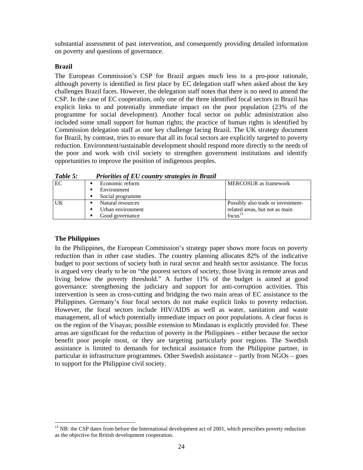substantial assessment of past intervention, and consequently providing detailed information on poverty and questions of governance.

#### **Brazil**

The European Commission's CSP for Brazil argues much less in a pro-poor rationale, although poverty is identified in first place by EC delegation staff when asked about the key challenges Brazil faces. However, the delegation staff notes that there is no need to amend the CSP. In the case of EC cooperation, only one of the three identified focal sectors in Brazil has explicit links to and potentially immediate impact on the poor population (23% of the programme for social development). Another focal sector on public administration also included some small support for human rights; the practice of human rights is identified by Commission delegation staff as one key challenge facing Brazil. The UK strategy document for Brazil, by contrast, tries to ensure that all its focal sectors are explicitly targeted to poverty reduction. Environment/sustainable development should respond more directly to the needs of the poor and work with civil society to strengthen government institutions and identify opportunities to improve the position of indigenous peoples.

| <i>Lable 5:</i> | Priorities of EU country strategies in Brazil |                                    |
|-----------------|-----------------------------------------------|------------------------------------|
| EC              | Economic reform                               | <b>MERCOSUR</b> as framework       |
|                 | Environment                                   |                                    |
|                 | Social programme                              |                                    |
| <b>UK</b>       | Natural resources                             | Possibly also trade or investment- |
|                 | Urban environment                             | related areas, but not as main     |
|                 | Good governance                               | $f\text{ocus}^{13}$                |

*Table 5: Priorities of EU country strategies in Brazil*

#### **The Philippines**

 $\overline{a}$ 

In the Philippines, the European Commission's strategy paper shows more focus on poverty reduction than in other case studies. The country planning allocates 82% of the indicative budget to poor sections of society both in rural sector and health sector assistance. The focus is argued very clearly to be on "the poorest sectors of society, those living in remote areas and living below the poverty threshold." A further 11% of the budget is aimed at good governance: strengthening the judiciary and support for anti-corruption activities. This intervention is seen as cross-cutting and bridging the two main areas of EC assistance to the Philippines. Germany's four focal sectors do not make explicit links to poverty reduction. However, the focal sectors include HIV/AIDS as well as water, sanitation and waste management, all of which potentially immediate impact on poor populations. A clear focus is on the region of the Visayas; possible extension to Mindanao is explicitly provided for. These areas are significant for the reduction of poverty in the Philippines – either because the sector benefit poor people most, or they are targeting particularly poor regions. The Swedish assistance is limited to demands for technical assistance from the Philippine partner, in particular in infrastructure programmes. Other Swedish assistance – partly from NGOs – goes to support for the Philippine civil society.

<sup>&</sup>lt;sup>13</sup> NB: the CSP dates from before the International development act of 2001, which prescribes poverty reduction as the objective for British development cooperation.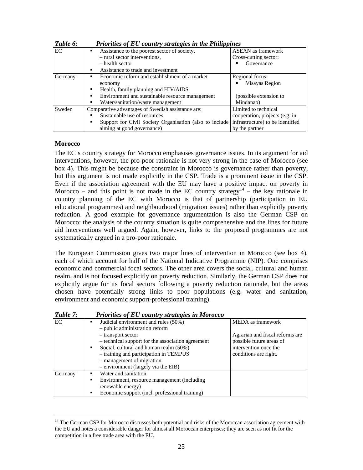| Table 6: | Priorities of EU country strategies in the Philippines       |                                  |
|----------|--------------------------------------------------------------|----------------------------------|
| EC       | Assistance to the poorest sector of society,<br>٠            | <b>ASEAN</b> as framework        |
|          | - rural sector interventions,                                | Cross-cutting sector:            |
|          | $-$ health sector                                            | Governance                       |
|          | Assistance to trade and investment<br>٠                      |                                  |
| Germany  | Economic reform and establishment of a market<br>٠           | Regional focus:                  |
|          | economy                                                      | Visayas Region                   |
|          | Health, family planning and HIV/AIDS<br>٠                    |                                  |
|          | Environment and sustainable resource management<br>٠         | (possible extension to           |
|          | Water/sanitation/waste management                            | Mindanao)                        |
| Sweden   | Comparative advantages of Swedish assistance are:            | Limited to technical             |
|          | Sustainable use of resources                                 | cooperation, projects (e.g. in   |
|          | Support for Civil Society Organisation (also to include<br>п | infrastructure) to be identified |
|          | aiming at good governance)                                   | by the partner                   |

#### **Morocco**

l

The EC's country strategy for Morocco emphasises governance issues. In its argument for aid interventions, however, the pro-poor rationale is not very strong in the case of Morocco (see box 4). This might be because the constraint in Morocco is governance rather than poverty, but this argument is not made explicitly in the CSP. Trade is a prominent issue in the CSP. Even if the association agreement with the EU may have a positive impact on poverty in Morocco – and this point is not made in the EC country strategy<sup>14</sup> – the key rationale in country planning of the EC with Morocco is that of partnership (participation in EU educational programmes) and neighbourhood (migration issues) rather than explicitly poverty reduction. A good example for governance argumentation is also the German CSP on Morocco: the analysis of the country situation is quite comprehensive and the lines for future aid interventions well argued. Again, however, links to the proposed programmes are not systematically argued in a pro-poor rationale.

The European Commission gives two major lines of intervention in Morocco (see box 4), each of which account for half of the National Indicative Programme (NIP). One comprises economic and commercial focal sectors. The other area covers the social, cultural and human realm, and is not focused explicitly on poverty reduction. Similarly, the German CSP does not explicitly argue for its focal sectors following a poverty reduction rationale, but the areas chosen have potentially strong links to poor populations (e.g. water and sanitation, environment and economic support-professional training).

| Table 7: | Priorities of EU country strategies in Morocco                                                                                                                                                                                                                          |                                                                                                                                    |
|----------|-------------------------------------------------------------------------------------------------------------------------------------------------------------------------------------------------------------------------------------------------------------------------|------------------------------------------------------------------------------------------------------------------------------------|
| EC       | Judicial environment and rules (50%)<br>- public administration reform<br>- transport sector<br>- technical support for the association agreement<br>Social, cultural and human realm (50%)<br>٠<br>- training and participation in TEMPUS<br>- management of migration | MEDA as framework<br>Agrarian and fiscal reforms are<br>possible future areas of<br>intervention once the<br>conditions are right. |
|          | - environment (largely via the EIB)                                                                                                                                                                                                                                     |                                                                                                                                    |
| Germany  | Water and sanitation                                                                                                                                                                                                                                                    |                                                                                                                                    |
|          | Environment, resource management (including)<br>renewable energy)                                                                                                                                                                                                       |                                                                                                                                    |
|          | Economic support (incl. professional training)                                                                                                                                                                                                                          |                                                                                                                                    |

<sup>&</sup>lt;sup>14</sup> The German CSP for Morocco discusses both potential and risks of the Moroccan association agreement with the EU and notes a considerable danger for almost all Moroccan enterprises; they are seen as not fit for the competition in a free trade area with the EU.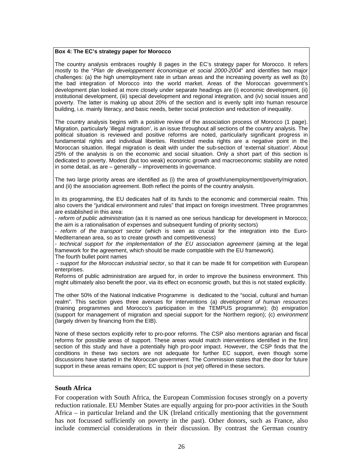#### **Box 4: The EC's strategy paper for Morocco**

The country analysis embraces roughly 8 pages in the EC's strategy paper for Morocco. It refers mostly to the "*Plan de developpement économique et social 2000-2004*" and identifies two major challenges: (a) the high unemployment rate in urban areas and the increasing poverty as well as (b) the bad integration of Morocco into the world market. Areas of the Moroccan government's development plan looked at more closely under separate headings are (i) economic development, (ii) institutional development, (iii) special development and regional integration, and (iv) social issues and poverty. The latter is making up about 20% of the section and is evenly split into human resource building, i.e. mainly literacy, and basic needs, better social protection and reduction of inequality.

The country analysis begins with a positive review of the association process of Morocco (1 page). Migration, particularly 'illegal migration', is an issue throughout all sections of the country analysis. The political situation is reviewed and positive reforms are noted, particularly significant progress in fundamental rights and individual liberties. Restricted media rights are a negative point in the Moroccan situation. Illegal migration is dealt with under the sub-section of 'external situation'. About 25% of the analysis is on the economic and social situation. Only a short part of this section is dedicated to poverty. Modest (but too weak) economic growth and macroeconomic stability are noted in some detail, as are – generally – improvements in governance.

The two large priority areas are identified as (i) the area of growth/unemployment/poverty/migration, and (ii) the association agreement. Both reflect the points of the country analysis.

In its programming, the EU dedicates half of its funds to the economic and commercial realm. This also covers the "juridical environment and rules" that impact on foreign investment. Three programmes are established in this area:

- *reform of public administration* (as it is named as one serious handicap for development in Morocco; the aim is a rationalisation of expenses and subsequent funding of priority sectors)

- *reform of the transport sector* (which is seen as crucial for the integration into the Euro-Mediterranean area, so as to create growth and competitiveness)

- *technical support for the implementation of the EU association agreement* (aiming at the legal framework for the agreement, which should be made compatible with the EU framework). The fourth bullet point names

 - *support for the Moroccan industrial sector*, so that it can be made fit for competition with European enterprises.

Reforms of public administration are argued for, in order to improve the business environment. This might ultimately also benefit the poor, via its effect on economic growth, but this is not stated explicitly.

The other 50% of the National Indicative Programme is dedicated to the "social, cultural and human realm". This section gives three avenues for interventions (a) *development of human resources* (training programmes and Morocco's participation in the TEMPUS programme); (b) *emigration* (support for management of migration and special support for the Northern region); (c) *environment* (largely driven by financing from the EIB).

None of these sectors explicitly refer to pro-poor reforms. The CSP also mentions agrarian and fiscal reforms for possible areas of support. These areas would match interventions identified in the first section of this study and have a potentially high pro-poor impact. However, the CSP finds that the conditions in these two sectors are not adequate for further EC support, even though some discussions have started in the Moroccan government. The Commission states that the door for future support in these areas remains open; EC support is (not yet) offered in these sectors.

#### **South Africa**

For cooperation with South Africa, the European Commission focuses strongly on a poverty reduction rationale. EU Member States are equally arguing for pro-poor activities in the South Africa – in particular Ireland and the UK (Ireland critically mentioning that the government has not focussed sufficiently on poverty in the past). Other donors, such as France, also include commercial considerations in their discussion. By contrast the German country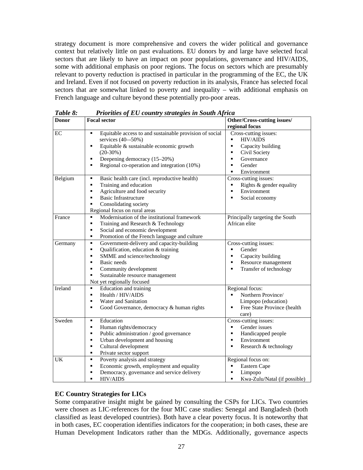strategy document is more comprehensive and covers the wider political and governance context but relatively little on past evaluations. EU donors by and large have selected focal sectors that are likely to have an impact on poor populations, governance and HIV/AIDS, some with additional emphasis on poor regions. The focus on sectors which are presumably relevant to poverty reduction is practised in particular in the programming of the EC, the UK and Ireland. Even if not focused on poverty reduction in its analysis, France has selected focal sectors that are somewhat linked to poverty and inequality – with additional emphasis on French language and culture beyond these potentially pro-poor areas.

| Tubic o.<br><b>Donor</b> | 1 romans of De country strangues in Soum Tyrica<br>Other/Cross-cutting issues/<br><b>Focal sector</b> |                                          |  |  |
|--------------------------|-------------------------------------------------------------------------------------------------------|------------------------------------------|--|--|
|                          |                                                                                                       |                                          |  |  |
|                          |                                                                                                       | regional focus                           |  |  |
| EC                       | Equitable access to and sustainable provision of social<br>٠                                          | Cross-cutting issues:                    |  |  |
|                          | services (40--50%)                                                                                    | <b>HIV/AIDS</b>                          |  |  |
|                          | Equitable & sustainable economic growth<br>٠                                                          | Capacity building<br>$\blacksquare$      |  |  |
|                          | $(20-30%)$                                                                                            | Civil Society<br>٠                       |  |  |
|                          | Deepening democracy (15-20%)<br>٠                                                                     | Governance<br>٠                          |  |  |
|                          | Regional co-operation and integration (10%)<br>٠                                                      | Gender<br>٠                              |  |  |
|                          |                                                                                                       | Environment                              |  |  |
| Belgium                  | Basic health care (incl. reproductive health)<br>٠                                                    | Cross-cutting issues:                    |  |  |
|                          | Training and education<br>٠                                                                           | Rights & gender equality<br>٠            |  |  |
|                          | Agriculture and food security<br>$\blacksquare$                                                       | Environment<br>$\blacksquare$            |  |  |
|                          | <b>Basic Infrastructure</b><br>$\blacksquare$                                                         | Social economy<br>$\blacksquare$         |  |  |
|                          | Consolidating society<br>٠                                                                            |                                          |  |  |
|                          | Regional focus on rural areas                                                                         |                                          |  |  |
| France                   | Modernisation of the institutional framework<br>٠                                                     | Principally targeting the South          |  |  |
|                          | ٠<br>Training and Research & Technology                                                               | African elite                            |  |  |
|                          | Social and economic development<br>٠                                                                  |                                          |  |  |
|                          | Promotion of the French language and culture<br>٠                                                     |                                          |  |  |
|                          | Government-delivery and capacity-building<br>٠                                                        | Cross-cutting issues:                    |  |  |
| Germany                  | ٠                                                                                                     | $\blacksquare$                           |  |  |
|                          | Qualification, education & training                                                                   | Gender                                   |  |  |
|                          | SMME and science/technology<br>٠                                                                      | Capacity building<br>٠                   |  |  |
|                          | Basic needs<br>٠                                                                                      | Resource management<br>٠                 |  |  |
|                          | Community development<br>٠                                                                            | Transfer of technology<br>$\blacksquare$ |  |  |
|                          | Sustainable resource management<br>٠                                                                  |                                          |  |  |
|                          | Not yet regionally focused                                                                            |                                          |  |  |
| Ireland                  | Education and training<br>٠                                                                           | Regional focus:                          |  |  |
|                          | Health / HIV/AIDS<br>٠                                                                                | Northern Province/<br>٠                  |  |  |
|                          | Water and Sanitation<br>٠                                                                             | Limpopo (education)                      |  |  |
|                          | Good Governance, democracy & human rights<br>٠                                                        | Free State Province (health              |  |  |
|                          |                                                                                                       | care)                                    |  |  |
| Sweden                   | Education<br>٠                                                                                        | Cross-cutting issues:                    |  |  |
|                          | Human rights/democracy<br>٠                                                                           | Gender issues<br>$\blacksquare$          |  |  |
|                          | Public administration / good governance<br>$\blacksquare$                                             | Handicapped people<br>٠                  |  |  |
|                          | Urban development and housing<br>٠                                                                    | Environment<br>٠                         |  |  |
|                          | Cultural development<br>٠                                                                             | ٠<br>Research & technology               |  |  |
|                          | ٠<br>Private sector support                                                                           |                                          |  |  |
| UK                       | Poverty analysis and strategy<br>٠                                                                    | Regional focus on:                       |  |  |
|                          | Economic growth, employment and equality<br>٠                                                         | Eastern Cape<br>٠                        |  |  |
|                          | Democracy, governance and service delivery<br>٠                                                       | Limpopo<br>٠                             |  |  |
|                          | $\blacksquare$                                                                                        | $\blacksquare$                           |  |  |
|                          | HIV/AIDS                                                                                              | Kwa-Zulu/Natal (if possible)             |  |  |

*Table 8: Priorities of EU country strategies in South Africa* 

#### **EC Country Strategies for LICs**

Some comparative insight might be gained by consulting the CSPs for LICs. Two countries were chosen as LIC-references for the four MIC case studies: Senegal and Bangladesh (both classified as least developed countries). Both have a clear poverty focus. It is noteworthy that in both cases, EC cooperation identifies indicators for the cooperation; in both cases, these are Human Development Indicators rather than the MDGs. Additionally, governance aspects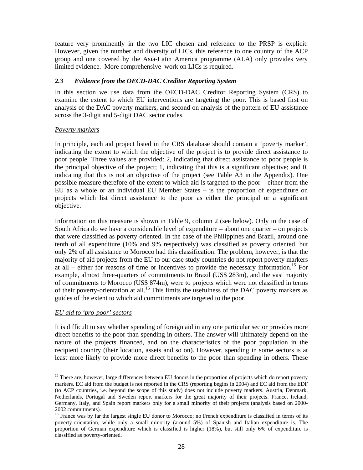feature very prominently in the two LIC chosen and reference to the PRSP is explicit. However, given the number and diversity of LICs, this reference to one country of the ACP group and one covered by the Asia-Latin America programme (ALA) only provides very limited evidence. More comprehensive work on LICs is required.

#### *2.3 Evidence from the OECD-DAC Creditor Reporting System*

In this section we use data from the OECD-DAC Creditor Reporting System (CRS) to examine the extent to which EU interventions are targeting the poor. This is based first on analysis of the DAC poverty markers, and second on analysis of the pattern of EU assistance across the 3-digit and 5-digit DAC sector codes.

#### *Poverty markers*

In principle, each aid project listed in the CRS database should contain a 'poverty marker', indicating the extent to which the objective of the project is to provide direct assistance to poor people. Three values are provided: 2, indicating that direct assistance to poor people is the principal objective of the project; 1, indicating that this is a significant objective; and 0, indicating that this is not an objective of the project (see Table A3 in the Appendix). One possible measure therefore of the extent to which aid is targeted to the poor – either from the EU as a whole or an individual EU Member States – is the proportion of expenditure on projects which list direct assistance to the poor as either the principal or a significant objective.

Information on this measure is shown in Table 9, column 2 (see below). Only in the case of South Africa do we have a considerable level of expenditure – about one quarter – on projects that were classified as poverty oriented. In the case of the Philippines and Brazil, around one tenth of all expenditure (10% and 9% respectively) was classified as poverty oriented, but only 2% of all assistance to Morocco had this classification. The problem, however, is that the majority of aid projects from the EU to our case study countries do not report poverty markers at all – either for reasons of time or incentives to provide the necessary information.<sup>15</sup> For example, almost three-quarters of commitments to Brazil (US\$ 283m), and the vast majority of commitments to Morocco (US\$ 874m), were to projects which were not classified in terms of their poverty-orientation at all.<sup>16</sup> This limits the usefulness of the DAC poverty markers as guides of the extent to which aid commitments are targeted to the poor.

#### *EU aid to 'pro-poor' sectors*

l

It is difficult to say whether spending of foreign aid in any one particular sector provides more direct benefits to the poor than spending in others. The answer will ultimately depend on the nature of the projects financed, and on the characteristics of the poor population in the recipient country (their location, assets and so on). However, spending in some sectors is at least more likely to provide more direct benefits to the poor than spending in others. These

<sup>&</sup>lt;sup>15</sup> There are, however, large differences between EU donors in the proportion of projects which do report poverty markers. EC aid from the budget is not reported in the CRS (reporting begins in 2004) and EC aid from the EDF (to ACP countries, i.e. beyond the scope of this study) does not include poverty markers. Austria, Denmark, Netherlands, Portugal and Sweden report markers for the great majority of their projects. France, Ireland, Germany, Italy, and Spain report markers only for a small minority of their projects (analysis based on 2000- 2002 commitments).

<sup>&</sup>lt;sup>16</sup> France was by far the largest single EU donor to Morocco; no French expenditure is classified in terms of its poverty-orientation, while only a small minority (around 5%) of Spanish and Italian expenditure is. The proportion of German expenditure which is classified is higher (18%), but still only 6% of expenditure is classified as poverty-oriented.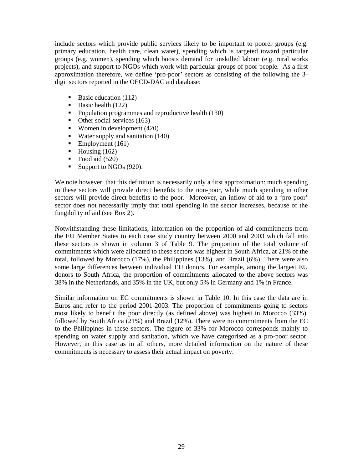include sectors which provide public services likely to be important to poorer groups (e.g. primary education, health care, clean water), spending which is targeted toward particular groups (e.g. women), spending which boosts demand for unskilled labour (e.g. rural works projects), and support to NGOs which work with particular groups of poor people. As a first approximation therefore, we define 'pro-poor' sectors as consisting of the following the 3 digit sectors reported in the OECD-DAC aid database:

- Basic education  $(112)$
- Basic health  $(122)$
- Population programmes and reproductive health (130)
- $\blacksquare$  Other social services (163)
- Women in development  $(420)$
- Water supply and sanitation  $(140)$
- Employment  $(161)$
- $\blacksquare$  Housing (162)
- Food aid  $(520)$
- Support to NGOs (920).

We note however, that this definition is necessarily only a first approximation: much spending in these sectors will provide direct benefits to the non-poor, while much spending in other sectors will provide direct benefits to the poor. Moreover, an inflow of aid to a 'pro-poor' sector does not necessarily imply that total spending in the sector increases, because of the fungibility of aid (see Box 2).

Notwithstanding these limitations, information on the proportion of aid commitments from the EU Member States to each case study country between 2000 and 2003 which fall into these sectors is shown in column 3 of Table 9. The proportion of the total volume of commitments which were allocated to these sectors was highest in South Africa, at 21% of the total, followed by Morocco (17%), the Philippines (13%), and Brazil (6%). There were also some large differences between individual EU donors. For example, among the largest EU donors to South Africa, the proportion of commitments allocated to the above sectors was 38% in the Netherlands, and 35% in the UK, but only 5% in Germany and 1% in France.

Similar information on EC commitments is shown in Table 10. In this case the data are in Euros and refer to the period 2001-2003. The proportion of commitments going to sectors most likely to benefit the poor directly (as defined above) was highest in Morocco (33%), followed by South Africa (21%) and Brazil (12%). There were no commitments from the EC to the Philippines in these sectors. The figure of 33% for Morocco corresponds mainly to spending on water supply and sanitation, which we have categorised as a pro-poor sector. However, in this case as in all others, more detailed information on the nature of these commitments is necessary to assess their actual impact on poverty.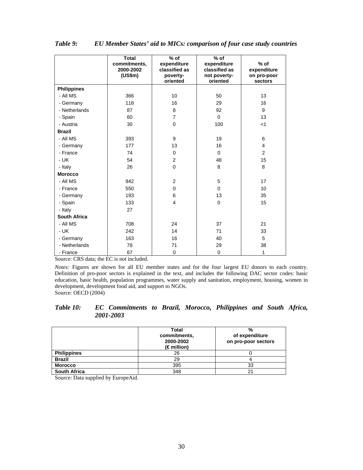|                    | <b>Total</b><br>commitments,<br>2000-2002<br>(US\$m) | $%$ of<br>expenditure<br>classified as<br>poverty-<br>oriented | $%$ of<br>expenditure<br>classified as<br>not poverty-<br>oriented | $%$ of<br>expenditure<br>on pro-poor<br>sectors |
|--------------------|------------------------------------------------------|----------------------------------------------------------------|--------------------------------------------------------------------|-------------------------------------------------|
| <b>Philippines</b> |                                                      |                                                                |                                                                    |                                                 |
| - All MS           | 366                                                  | 10                                                             | 50                                                                 | 13                                              |
| - Germany          | 118                                                  | 16                                                             | 29                                                                 | 16                                              |
| - Netherlands      | 87                                                   | 8                                                              | 92                                                                 | 9                                               |
| - Spain            | 60                                                   | $\overline{7}$                                                 | $\Omega$                                                           | 13                                              |
| - Austria          | 30                                                   | $\mathbf 0$                                                    | 100                                                                | $<$ 1                                           |
| <b>Brazil</b>      |                                                      |                                                                |                                                                    |                                                 |
| - All MS           | 393                                                  | 9                                                              | 19                                                                 | 6                                               |
| - Germany          | 177                                                  | 13                                                             | 16                                                                 | $\overline{4}$                                  |
| - France           | 74                                                   | $\Omega$                                                       | $\Omega$                                                           | 2                                               |
| - UK               | 54                                                   | $\overline{2}$                                                 | 48                                                                 | 15                                              |
| - Italy            | 26                                                   | $\mathbf 0$                                                    | 8                                                                  | 8                                               |
| <b>Morocco</b>     |                                                      |                                                                |                                                                    |                                                 |
| - All MS           | 942                                                  | $\overline{2}$                                                 | 5                                                                  | 17                                              |
| - France           | 550                                                  | $\Omega$                                                       | $\Omega$                                                           | 10                                              |
| - Germany          | 193                                                  | 6                                                              | 13                                                                 | 35                                              |
| - Spain            | 133                                                  | $\overline{\mathbf{4}}$                                        | $\mathbf 0$                                                        | 15                                              |
| - Italy            | 27                                                   |                                                                |                                                                    |                                                 |
| South Africa       |                                                      |                                                                |                                                                    |                                                 |
| - All MS           | 708                                                  | 24                                                             | 37                                                                 | 21                                              |
| - UK               | 242                                                  | 14                                                             | 71                                                                 | 33                                              |
| - Germany          | 163                                                  | 16                                                             | 40                                                                 | 5                                               |
| - Netherlands      | 78                                                   | 71                                                             | 29                                                                 | 38                                              |
| - France           | 67                                                   | $\mathbf 0$                                                    | 0                                                                  | 1                                               |

*Table 9: EU Member States' aid to MICs: comparison of four case study countries* 

Source: CRS data; the EC is not included.

*Notes:* Figures are shown for all EU member states and for the four largest EU donors to each country. Definition of pro-poor sectors is explained in the text, and includes the following DAC sector codes: basic education, basic health, population programmes, water supply and sanitation, employment, housing, women in development, development food aid, and support to NGOs. Source: OECD (2004)

*Table 10: EC Commitments to Brazil, Morocco, Philippines and South Africa, 2001-2003* 

|                     | Total<br>commitments,<br>2000-2002<br>(€million) | %<br>of expenditure<br>on pro-poor sectors |
|---------------------|--------------------------------------------------|--------------------------------------------|
| <b>Philippines</b>  | 26                                               |                                            |
| <b>Brazil</b>       | 29                                               |                                            |
| <b>Morocco</b>      | 395                                              | 33                                         |
| <b>South Africa</b> | 348                                              | 21                                         |

Source: Data supplied by EuropeAid.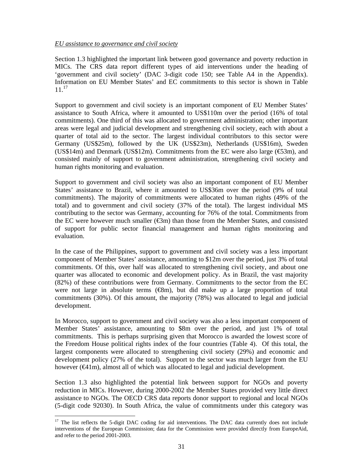#### *EU assistance to governance and civil society*

Section 1.3 highlighted the important link between good governance and poverty reduction in MICs. The CRS data report different types of aid interventions under the heading of 'government and civil society' (DAC 3-digit code 150; see Table A4 in the Appendix). Information on EU Member States' and EC commitments to this sector is shown in Table  $11^{17}$ 

Support to government and civil society is an important component of EU Member States' assistance to South Africa, where it amounted to US\$110m over the period (16% of total commitments). One third of this was allocated to government administration; other important areas were legal and judicial development and strengthening civil society, each with about a quarter of total aid to the sector. The largest individual contributors to this sector were Germany (US\$25m), followed by the UK (US\$23m), Netherlands (US\$16m), Sweden (US\$14m) and Denmark (US\$12m). Commitments from the EC were also large ( $\epsilon$ 53m), and consisted mainly of support to government administration, strengthening civil society and human rights monitoring and evaluation.

Support to government and civil society was also an important component of EU Member States' assistance to Brazil, where it amounted to US\$36m over the period (9% of total commitments). The majority of commitments were allocated to human rights (49% of the total) and to government and civil society (37% of the total). The largest individual MS contributing to the sector was Germany, accounting for 76% of the total. Commitments from the EC were however much smaller  $(\mathfrak{m})$  than those from the Member States, and consisted of support for public sector financial management and human rights monitoring and evaluation.

In the case of the Philippines, support to government and civil society was a less important component of Member States' assistance, amounting to \$12m over the period, just 3% of total commitments. Of this, over half was allocated to strengthening civil society, and about one quarter was allocated to economic and development policy. As in Brazil, the vast majority (82%) of these contributions were from Germany. Commitments to the sector from the EC were not large in absolute terms  $(\mathcal{R}_m)$ , but did make up a large proportion of total commitments (30%). Of this amount, the majority (78%) was allocated to legal and judicial development.

In Morocco, support to government and civil society was also a less important component of Member States' assistance, amounting to \$8m over the period, and just 1% of total commitments. This is perhaps surprising given that Morocco is awarded the lowest score of the Freedom House political rights index of the four countries (Table 4). Of this total, the largest components were allocated to strengthening civil society (29%) and economic and development policy (27% of the total). Support to the sector was much larger from the EU however  $(\mathcal{Q}_1 | m)$ , almost all of which was allocated to legal and judicial development.

Section 1.3 also highlighted the potential link between support for NGOs and poverty reduction in MICs. However, during 2000-2002 the Member States provided very little direct assistance to NGOs. The OECD CRS data reports donor support to regional and local NGOs (5-digit code 92030). In South Africa, the value of commitments under this category was

l  $17$  The list reflects the 5-digit DAC coding for aid interventions. The DAC data currently does not include interventions of the European Commission; data for the Commission were provided directly from EuropeAid, and refer to the period 2001-2003.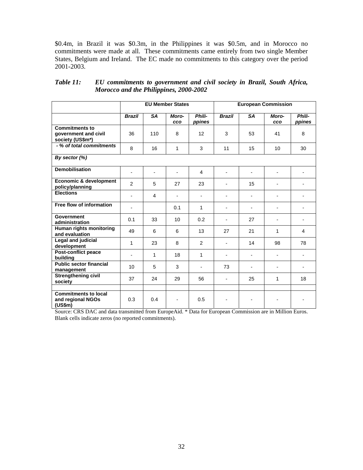\$0.4m, in Brazil it was \$0.3m, in the Philippines it was \$0.5m, and in Morocco no commitments were made at all. These commitments came entirely from two single Member States, Belgium and Ireland. The EC made no commitments to this category over the period 2001-2003.

|                                                                   |                          | <b>EU Member States</b> |                |                  | <b>European Commission</b> |                          |                          |                  |
|-------------------------------------------------------------------|--------------------------|-------------------------|----------------|------------------|----------------------------|--------------------------|--------------------------|------------------|
|                                                                   | <b>Brazil</b>            | <b>SA</b>               | Moro-<br>cco   | Phili-<br>ppines | <b>Brazil</b>              | <b>SA</b>                | Moro-<br><b>CCO</b>      | Phili-<br>ppines |
| <b>Commitments to</b><br>government and civil<br>society (US\$m*) | 36                       | 110                     | 8              | 12               | 3                          | 53                       | 41                       | 8                |
| - % of total commitments                                          | 8                        | 16                      | 1              | 3                | 11                         | 15                       | 10                       | 30               |
| By sector (%)                                                     |                          |                         |                |                  |                            |                          |                          |                  |
| <b>Demobilisation</b>                                             | $\overline{a}$           | L,                      | $\overline{a}$ | $\overline{4}$   | $\overline{a}$             | L,                       | $\overline{\phantom{0}}$ |                  |
| Economic & development<br>policy/planning                         | 2                        | 5                       | 27             | 23               |                            | 15                       |                          |                  |
| <b>Elections</b>                                                  | $\blacksquare$           | $\overline{4}$          | $\overline{a}$ | $\blacksquare$   | $\overline{a}$             | $\overline{a}$           |                          |                  |
| Free flow of information                                          | $\overline{\phantom{a}}$ |                         | 0.1            | 1                | $\overline{\phantom{a}}$   | $\overline{a}$           |                          | ٠                |
| Government<br>administration                                      | 0.1                      | 33                      | 10             | 0.2              | $\overline{\phantom{0}}$   | 27                       |                          |                  |
| Human rights monitoring<br>and evaluation                         | 49                       | 6                       | 6              | 13               | 27                         | 21                       | 1                        | 4                |
| Legal and judicial<br>development                                 | $\mathbf{1}$             | 23                      | 8              | 2                |                            | 14                       | 98                       | 78               |
| Post-conflict peace<br>building                                   | $\overline{a}$           | 1                       | 18             | 1                | $\overline{\phantom{a}}$   | L,                       | ٠                        | ٠                |
| <b>Public sector financial</b><br>management                      | 10                       | 5                       | 3              | $\blacksquare$   | 73                         | $\overline{\phantom{a}}$ | ٠                        |                  |
| <b>Strengthening civil</b><br>society                             | 37                       | 24                      | 29             | 56               | $\overline{a}$             | 25                       | 1                        | 18               |
|                                                                   |                          |                         |                |                  |                            |                          |                          |                  |
| <b>Commitments to local</b><br>and regional NGOs<br>(US\$m)       | 0.3                      | 0.4                     | $\blacksquare$ | 0.5              | $\blacksquare$             | $\overline{a}$           |                          | $\blacksquare$   |

*Table 11: EU commitments to government and civil society in Brazil, South Africa, Morocco and the Philippines, 2000-2002* 

Source: CRS DAC and data transmitted from EuropeAid. \* Data for European Commission are in Million Euros. Blank cells indicate zeros (no reported commitments).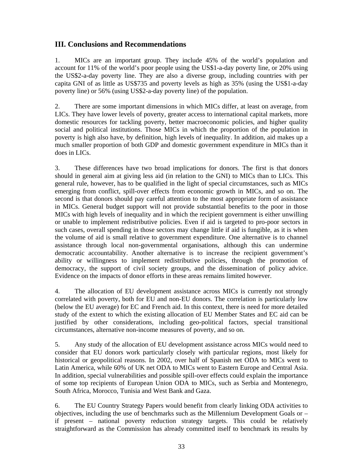# **III. Conclusions and Recommendations**

1. MICs are an important group. They include 45% of the world's population and account for 11% of the world's poor people using the US\$1-a-day poverty line, or 20% using the US\$2-a-day poverty line. They are also a diverse group, including countries with per capita GNI of as little as US\$735 and poverty levels as high as 35% (using the US\$1-a-day poverty line) or 56% (using US\$2-a-day poverty line) of the population.

2. There are some important dimensions in which MICs differ, at least on average, from LICs. They have lower levels of poverty, greater access to international capital markets, more domestic resources for tackling poverty, better macroeconomic policies, and higher quality social and political institutions. Those MICs in which the proportion of the population in poverty is high also have, by definition, high levels of inequality. In addition, aid makes up a much smaller proportion of both GDP and domestic government expenditure in MICs than it does in LICs.

3. These differences have two broad implications for donors. The first is that donors should in general aim at giving less aid (in relation to the GNI) to MICs than to LICs. This general rule, however, has to be qualified in the light of special circumstances, such as MICs emerging from conflict, spill-over effects from economic growth in MICs, and so on. The second is that donors should pay careful attention to the most appropriate form of assistance in MICs. General budget support will not provide substantial benefits to the poor in those MICs with high levels of inequality and in which the recipient government is either unwilling or unable to implement redistributive policies. Even if aid is targeted to pro-poor sectors in such cases, overall spending in those sectors may change little if aid is fungible, as it is when the volume of aid is small relative to government expenditure. One alternative is to channel assistance through local non-governmental organisations, although this can undermine democratic accountability. Another alternative is to increase the recipient government's ability or willingness to implement redistributive policies, through the promotion of democracy, the support of civil society groups, and the dissemination of policy advice. Evidence on the impacts of donor efforts in these areas remains limited however.

4. The allocation of EU development assistance across MICs is currently not strongly correlated with poverty, both for EU and non-EU donors. The correlation is particularly low (below the EU average) for EC and French aid. In this context, there is need for more detailed study of the extent to which the existing allocation of EU Member States and EC aid can be justified by other considerations, including geo-political factors, special transitional circumstances, alternative non-income measures of poverty, and so on.

5. Any study of the allocation of EU development assistance across MICs would need to consider that EU donors work particularly closely with particular regions, most likely for historical or geopolitical reasons. In 2002, over half of Spanish net ODA to MICs went to Latin America, while 60% of UK net ODA to MICs went to Eastern Europe and Central Asia. In addition, special vulnerabilities and possible spill-over effects could explain the importance of some top recipients of European Union ODA to MICs, such as Serbia and Montenegro, South Africa, Morocco, Tunisia and West Bank and Gaza.

6. The EU Country Strategy Papers would benefit from clearly linking ODA activities to objectives, including the use of benchmarks such as the Millennium Development Goals or – if present – national poverty reduction strategy targets. This could be relatively straightforward as the Commission has already committed itself to benchmark its results by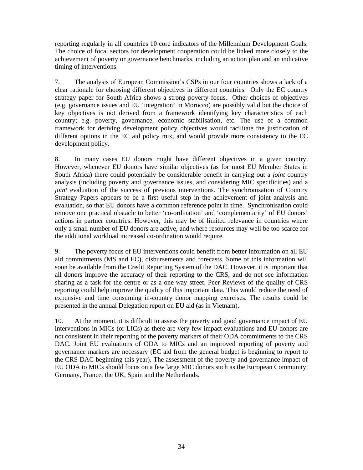reporting regularly in all countries 10 core indicators of the Millennium Development Goals. The choice of focal sectors for development cooperation could be linked more closely to the achievement of poverty or governance benchmarks, including an action plan and an indicative timing of interventions.

7. The analysis of European Commission's CSPs in our four countries shows a lack of a clear rationale for choosing different objectives in different countries. Only the EC country strategy paper for South Africa shows a strong poverty focus. Other choices of objectives (e.g. governance issues and EU 'integration' in Morocco) are possibly valid but the choice of key objectives is not derived from a framework identifying key characteristics of each country; e.g. poverty, governance, economic stabilisation, etc. The use of a common framework for deriving development policy objectives would facilitate the justification of different options in the EC aid policy mix, and would provide more consistency to the EC development policy.

8. In many cases EU donors might have different objectives in a given country. However, whenever EU donors have similar objectives (as for most EU Member States in South Africa) there could potentially be considerable benefit in carrying out a *joint* country analysis (including poverty and governance issues, and considering MIC specificities) and a *joint* evaluation of the success of previous interventions. The synchronisation of Country Strategy Papers appears to be a first useful step in the achievement of joint analysis and evaluation, so that EU donors have a common reference point in time. Synchronisation could remove one practical obstacle to better 'co-ordination' and 'complementarity' of EU donors' actions in partner countries. However, this may be of limited relevance in countries where only a small number of EU donors are active, and where resources may well be too scarce for the additional workload increased co-ordination would require.

9. The poverty focus of EU interventions could benefit from better information on all EU aid commitments (MS and EC), disbursements and forecasts. Some of this information will soon be available from the Credit Reporting System of the DAC. However, it is important that all donors improve the accuracy of their reporting to the CRS, and do not see information sharing as a task for the centre or as a one-way street. Peer Reviews of the quality of CRS reporting could help improve the quality of this important data. This would reduce the need of expensive and time consuming in-country donor mapping exercises. The results could be presented in the annual Delegation report on EU aid (as in Vietnam).

10. At the moment, it is difficult to assess the poverty and good governance impact of EU interventions in MICs (or LICs) as there are very few impact evaluations and EU donors are not consistent in their reporting of the poverty markers of their ODA commitments to the CRS DAC. Joint EU evaluations of ODA to MICs and an improved reporting of poverty and governance markers are necessary (EC aid from the general budget is beginning to report to the CRS DAC beginning this year). The assessment of the poverty and governance impact of EU ODA to MICs should focus on a few large MIC donors such as the European Community, Germany, France, the UK, Spain and the Netherlands.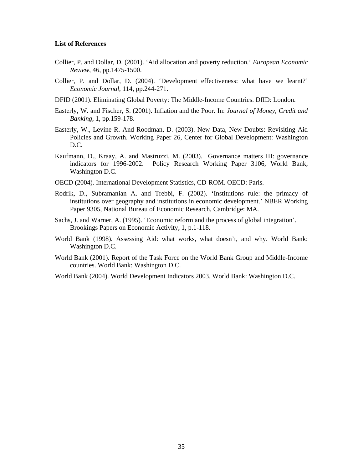#### **List of References**

- Collier, P. and Dollar, D. (2001). 'Aid allocation and poverty reduction.' *European Economic Review*, 46, pp.1475-1500.
- Collier, P. and Dollar, D. (2004). 'Development effectiveness: what have we learnt?' *Economic Journal*, 114, pp.244-271.
- DFID (2001). Eliminating Global Poverty: The Middle-Income Countries. DfID: London.
- Easterly, W. and Fischer, S. (2001). Inflation and the Poor. In: *Journal of Money, Credit and Banking*, 1, pp.159-178.
- Easterly, W., Levine R. And Roodman, D. (2003). New Data, New Doubts: Revisiting Aid Policies and Growth. Working Paper 26, Center for Global Development: Washington D.C.
- Kaufmann, D., Kraay, A. and Mastruzzi, M. (2003). Governance matters III: governance indicators for 1996-2002. Policy Research Working Paper 3106, World Bank, Washington D.C.
- OECD (2004). International Development Statistics, CD-ROM. OECD: Paris.
- Rodrik, D., Subramanian A. and Trebbi, F. (2002). 'Institutions rule: the primacy of institutions over geography and institutions in economic development.' NBER Working Paper 9305, National Bureau of Economic Research, Cambridge: MA.
- Sachs, J. and Warner, A. (1995). 'Economic reform and the process of global integration'. Brookings Papers on Economic Activity, 1, p.1-118.
- World Bank (1998). Assessing Aid: what works, what doesn't, and why. World Bank: Washington D.C.
- World Bank (2001). Report of the Task Force on the World Bank Group and Middle-Income countries. World Bank: Washington D.C.
- World Bank (2004). World Development Indicators 2003. World Bank: Washington D.C.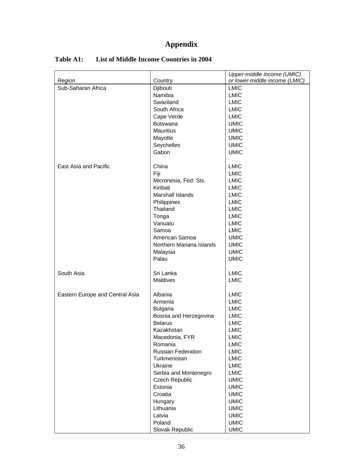# **Appendix**

| Sub-Saharan Africa<br><b>LMIC</b><br>Djibouti<br>Namibia<br><b>LMIC</b><br>Swaziland<br><b>LMIC</b><br>South Africa<br><b>LMIC</b><br><b>LMIC</b><br>Cape Verde<br><b>UMIC</b><br><b>Botswana</b><br><b>UMIC</b><br><b>Mauritius</b><br><b>UMIC</b><br>Mayotte<br>Seychelles<br><b>UMIC</b><br>Gabon<br><b>UMIC</b><br>East Asia and Pacific<br>China<br><b>LMIC</b><br>Fiji<br><b>LMIC</b><br><b>LMIC</b><br>Micronesia, Fed. Sts.<br>Kiribati<br><b>LMIC</b><br>Marshall Islands<br><b>LMIC</b><br><b>LMIC</b><br>Philippines<br>Thailand<br><b>LMIC</b><br><b>LMIC</b><br>Tonga<br>Vanuatu<br><b>LMIC</b><br><b>LMIC</b><br>Samoa<br>American Samoa<br><b>UMIC</b><br><b>UMIC</b><br>Northern Mariana Islands<br><b>UMIC</b><br>Malaysia<br>Palau<br><b>UMIC</b><br>South Asia<br>Sri Lanka<br><b>LMIC</b><br><b>Maldives</b><br><b>LMIC</b><br>Eastern Europe and Central Asia<br>Albania<br><b>LMIC</b><br><b>LMIC</b><br>Armenia<br><b>LMIC</b><br><b>Bulgaria</b><br><b>LMIC</b><br>Bosnia and Herzegovina<br><b>Belarus</b><br><b>LMIC</b><br><b>LMIC</b><br>Kazakhstan<br>LMIC<br>Macedonia, FYR<br><b>LMIC</b><br>Romania<br>Russian Federation<br><b>LMIC</b><br><b>LMIC</b><br>Turkmenistan<br><b>LMIC</b><br>Ukraine<br>Serbia and Montenegro<br><b>LMIC</b><br><b>UMIC</b><br>Czech Republic<br>Estonia<br><b>UMIC</b> |        |         | Upper-middle income (UMIC)    |  |  |
|--------------------------------------------------------------------------------------------------------------------------------------------------------------------------------------------------------------------------------------------------------------------------------------------------------------------------------------------------------------------------------------------------------------------------------------------------------------------------------------------------------------------------------------------------------------------------------------------------------------------------------------------------------------------------------------------------------------------------------------------------------------------------------------------------------------------------------------------------------------------------------------------------------------------------------------------------------------------------------------------------------------------------------------------------------------------------------------------------------------------------------------------------------------------------------------------------------------------------------------------------------------------------------------------------------------------------------------|--------|---------|-------------------------------|--|--|
|                                                                                                                                                                                                                                                                                                                                                                                                                                                                                                                                                                                                                                                                                                                                                                                                                                                                                                                                                                                                                                                                                                                                                                                                                                                                                                                                      | Region | Country | or lower-middle income (LMIC) |  |  |
|                                                                                                                                                                                                                                                                                                                                                                                                                                                                                                                                                                                                                                                                                                                                                                                                                                                                                                                                                                                                                                                                                                                                                                                                                                                                                                                                      |        |         |                               |  |  |
|                                                                                                                                                                                                                                                                                                                                                                                                                                                                                                                                                                                                                                                                                                                                                                                                                                                                                                                                                                                                                                                                                                                                                                                                                                                                                                                                      |        |         |                               |  |  |
|                                                                                                                                                                                                                                                                                                                                                                                                                                                                                                                                                                                                                                                                                                                                                                                                                                                                                                                                                                                                                                                                                                                                                                                                                                                                                                                                      |        |         |                               |  |  |
|                                                                                                                                                                                                                                                                                                                                                                                                                                                                                                                                                                                                                                                                                                                                                                                                                                                                                                                                                                                                                                                                                                                                                                                                                                                                                                                                      |        |         |                               |  |  |
|                                                                                                                                                                                                                                                                                                                                                                                                                                                                                                                                                                                                                                                                                                                                                                                                                                                                                                                                                                                                                                                                                                                                                                                                                                                                                                                                      |        |         |                               |  |  |
|                                                                                                                                                                                                                                                                                                                                                                                                                                                                                                                                                                                                                                                                                                                                                                                                                                                                                                                                                                                                                                                                                                                                                                                                                                                                                                                                      |        |         |                               |  |  |
|                                                                                                                                                                                                                                                                                                                                                                                                                                                                                                                                                                                                                                                                                                                                                                                                                                                                                                                                                                                                                                                                                                                                                                                                                                                                                                                                      |        |         |                               |  |  |
|                                                                                                                                                                                                                                                                                                                                                                                                                                                                                                                                                                                                                                                                                                                                                                                                                                                                                                                                                                                                                                                                                                                                                                                                                                                                                                                                      |        |         |                               |  |  |
|                                                                                                                                                                                                                                                                                                                                                                                                                                                                                                                                                                                                                                                                                                                                                                                                                                                                                                                                                                                                                                                                                                                                                                                                                                                                                                                                      |        |         |                               |  |  |
|                                                                                                                                                                                                                                                                                                                                                                                                                                                                                                                                                                                                                                                                                                                                                                                                                                                                                                                                                                                                                                                                                                                                                                                                                                                                                                                                      |        |         |                               |  |  |
|                                                                                                                                                                                                                                                                                                                                                                                                                                                                                                                                                                                                                                                                                                                                                                                                                                                                                                                                                                                                                                                                                                                                                                                                                                                                                                                                      |        |         |                               |  |  |
|                                                                                                                                                                                                                                                                                                                                                                                                                                                                                                                                                                                                                                                                                                                                                                                                                                                                                                                                                                                                                                                                                                                                                                                                                                                                                                                                      |        |         |                               |  |  |
|                                                                                                                                                                                                                                                                                                                                                                                                                                                                                                                                                                                                                                                                                                                                                                                                                                                                                                                                                                                                                                                                                                                                                                                                                                                                                                                                      |        |         |                               |  |  |
|                                                                                                                                                                                                                                                                                                                                                                                                                                                                                                                                                                                                                                                                                                                                                                                                                                                                                                                                                                                                                                                                                                                                                                                                                                                                                                                                      |        |         |                               |  |  |
|                                                                                                                                                                                                                                                                                                                                                                                                                                                                                                                                                                                                                                                                                                                                                                                                                                                                                                                                                                                                                                                                                                                                                                                                                                                                                                                                      |        |         |                               |  |  |
|                                                                                                                                                                                                                                                                                                                                                                                                                                                                                                                                                                                                                                                                                                                                                                                                                                                                                                                                                                                                                                                                                                                                                                                                                                                                                                                                      |        |         |                               |  |  |
|                                                                                                                                                                                                                                                                                                                                                                                                                                                                                                                                                                                                                                                                                                                                                                                                                                                                                                                                                                                                                                                                                                                                                                                                                                                                                                                                      |        |         |                               |  |  |
|                                                                                                                                                                                                                                                                                                                                                                                                                                                                                                                                                                                                                                                                                                                                                                                                                                                                                                                                                                                                                                                                                                                                                                                                                                                                                                                                      |        |         |                               |  |  |
|                                                                                                                                                                                                                                                                                                                                                                                                                                                                                                                                                                                                                                                                                                                                                                                                                                                                                                                                                                                                                                                                                                                                                                                                                                                                                                                                      |        |         |                               |  |  |
|                                                                                                                                                                                                                                                                                                                                                                                                                                                                                                                                                                                                                                                                                                                                                                                                                                                                                                                                                                                                                                                                                                                                                                                                                                                                                                                                      |        |         |                               |  |  |
|                                                                                                                                                                                                                                                                                                                                                                                                                                                                                                                                                                                                                                                                                                                                                                                                                                                                                                                                                                                                                                                                                                                                                                                                                                                                                                                                      |        |         |                               |  |  |
|                                                                                                                                                                                                                                                                                                                                                                                                                                                                                                                                                                                                                                                                                                                                                                                                                                                                                                                                                                                                                                                                                                                                                                                                                                                                                                                                      |        |         |                               |  |  |
|                                                                                                                                                                                                                                                                                                                                                                                                                                                                                                                                                                                                                                                                                                                                                                                                                                                                                                                                                                                                                                                                                                                                                                                                                                                                                                                                      |        |         |                               |  |  |
|                                                                                                                                                                                                                                                                                                                                                                                                                                                                                                                                                                                                                                                                                                                                                                                                                                                                                                                                                                                                                                                                                                                                                                                                                                                                                                                                      |        |         |                               |  |  |
|                                                                                                                                                                                                                                                                                                                                                                                                                                                                                                                                                                                                                                                                                                                                                                                                                                                                                                                                                                                                                                                                                                                                                                                                                                                                                                                                      |        |         |                               |  |  |
|                                                                                                                                                                                                                                                                                                                                                                                                                                                                                                                                                                                                                                                                                                                                                                                                                                                                                                                                                                                                                                                                                                                                                                                                                                                                                                                                      |        |         |                               |  |  |
|                                                                                                                                                                                                                                                                                                                                                                                                                                                                                                                                                                                                                                                                                                                                                                                                                                                                                                                                                                                                                                                                                                                                                                                                                                                                                                                                      |        |         |                               |  |  |
|                                                                                                                                                                                                                                                                                                                                                                                                                                                                                                                                                                                                                                                                                                                                                                                                                                                                                                                                                                                                                                                                                                                                                                                                                                                                                                                                      |        |         |                               |  |  |
|                                                                                                                                                                                                                                                                                                                                                                                                                                                                                                                                                                                                                                                                                                                                                                                                                                                                                                                                                                                                                                                                                                                                                                                                                                                                                                                                      |        |         |                               |  |  |
|                                                                                                                                                                                                                                                                                                                                                                                                                                                                                                                                                                                                                                                                                                                                                                                                                                                                                                                                                                                                                                                                                                                                                                                                                                                                                                                                      |        |         |                               |  |  |
|                                                                                                                                                                                                                                                                                                                                                                                                                                                                                                                                                                                                                                                                                                                                                                                                                                                                                                                                                                                                                                                                                                                                                                                                                                                                                                                                      |        |         |                               |  |  |
|                                                                                                                                                                                                                                                                                                                                                                                                                                                                                                                                                                                                                                                                                                                                                                                                                                                                                                                                                                                                                                                                                                                                                                                                                                                                                                                                      |        |         |                               |  |  |
|                                                                                                                                                                                                                                                                                                                                                                                                                                                                                                                                                                                                                                                                                                                                                                                                                                                                                                                                                                                                                                                                                                                                                                                                                                                                                                                                      |        |         |                               |  |  |
|                                                                                                                                                                                                                                                                                                                                                                                                                                                                                                                                                                                                                                                                                                                                                                                                                                                                                                                                                                                                                                                                                                                                                                                                                                                                                                                                      |        |         |                               |  |  |
|                                                                                                                                                                                                                                                                                                                                                                                                                                                                                                                                                                                                                                                                                                                                                                                                                                                                                                                                                                                                                                                                                                                                                                                                                                                                                                                                      |        |         |                               |  |  |
|                                                                                                                                                                                                                                                                                                                                                                                                                                                                                                                                                                                                                                                                                                                                                                                                                                                                                                                                                                                                                                                                                                                                                                                                                                                                                                                                      |        |         |                               |  |  |
|                                                                                                                                                                                                                                                                                                                                                                                                                                                                                                                                                                                                                                                                                                                                                                                                                                                                                                                                                                                                                                                                                                                                                                                                                                                                                                                                      |        |         |                               |  |  |
|                                                                                                                                                                                                                                                                                                                                                                                                                                                                                                                                                                                                                                                                                                                                                                                                                                                                                                                                                                                                                                                                                                                                                                                                                                                                                                                                      |        |         |                               |  |  |
|                                                                                                                                                                                                                                                                                                                                                                                                                                                                                                                                                                                                                                                                                                                                                                                                                                                                                                                                                                                                                                                                                                                                                                                                                                                                                                                                      |        |         |                               |  |  |
|                                                                                                                                                                                                                                                                                                                                                                                                                                                                                                                                                                                                                                                                                                                                                                                                                                                                                                                                                                                                                                                                                                                                                                                                                                                                                                                                      |        |         |                               |  |  |
|                                                                                                                                                                                                                                                                                                                                                                                                                                                                                                                                                                                                                                                                                                                                                                                                                                                                                                                                                                                                                                                                                                                                                                                                                                                                                                                                      |        |         |                               |  |  |
|                                                                                                                                                                                                                                                                                                                                                                                                                                                                                                                                                                                                                                                                                                                                                                                                                                                                                                                                                                                                                                                                                                                                                                                                                                                                                                                                      |        |         |                               |  |  |
|                                                                                                                                                                                                                                                                                                                                                                                                                                                                                                                                                                                                                                                                                                                                                                                                                                                                                                                                                                                                                                                                                                                                                                                                                                                                                                                                      |        |         |                               |  |  |
|                                                                                                                                                                                                                                                                                                                                                                                                                                                                                                                                                                                                                                                                                                                                                                                                                                                                                                                                                                                                                                                                                                                                                                                                                                                                                                                                      |        |         |                               |  |  |
| Croatia<br><b>UMIC</b>                                                                                                                                                                                                                                                                                                                                                                                                                                                                                                                                                                                                                                                                                                                                                                                                                                                                                                                                                                                                                                                                                                                                                                                                                                                                                                               |        |         |                               |  |  |
| <b>UMIC</b><br>Hungary                                                                                                                                                                                                                                                                                                                                                                                                                                                                                                                                                                                                                                                                                                                                                                                                                                                                                                                                                                                                                                                                                                                                                                                                                                                                                                               |        |         |                               |  |  |
| Lithuania<br><b>UMIC</b>                                                                                                                                                                                                                                                                                                                                                                                                                                                                                                                                                                                                                                                                                                                                                                                                                                                                                                                                                                                                                                                                                                                                                                                                                                                                                                             |        |         |                               |  |  |
| <b>UMIC</b><br>Latvia                                                                                                                                                                                                                                                                                                                                                                                                                                                                                                                                                                                                                                                                                                                                                                                                                                                                                                                                                                                                                                                                                                                                                                                                                                                                                                                |        |         |                               |  |  |
| Poland<br><b>UMIC</b>                                                                                                                                                                                                                                                                                                                                                                                                                                                                                                                                                                                                                                                                                                                                                                                                                                                                                                                                                                                                                                                                                                                                                                                                                                                                                                                |        |         |                               |  |  |
| Slovak Republic<br><b>UMIC</b>                                                                                                                                                                                                                                                                                                                                                                                                                                                                                                                                                                                                                                                                                                                                                                                                                                                                                                                                                                                                                                                                                                                                                                                                                                                                                                       |        |         |                               |  |  |

## **Table A1: List of Middle Income Countries in 2004**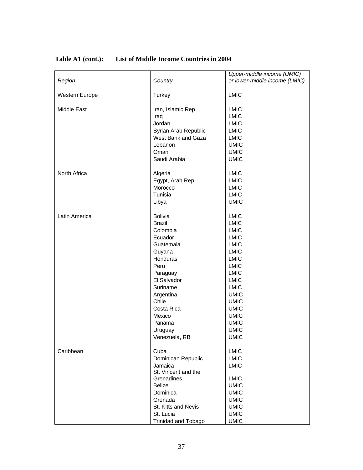|                    |                            | Upper-middle income (UMIC)    |
|--------------------|----------------------------|-------------------------------|
| Region             | Country                    | or lower-middle income (LMIC) |
| Western Europe     | Turkey                     | <b>LMIC</b>                   |
| <b>Middle East</b> | Iran, Islamic Rep.         | <b>LMIC</b>                   |
|                    | Iraq                       | <b>LMIC</b>                   |
|                    | Jordan                     | <b>LMIC</b>                   |
|                    | Syrian Arab Republic       | <b>LMIC</b>                   |
|                    | West Bank and Gaza         | <b>LMIC</b>                   |
|                    | Lebanon                    | <b>UMIC</b>                   |
|                    | Oman                       | <b>UMIC</b>                   |
|                    | Saudi Arabia               | <b>UMIC</b>                   |
|                    |                            |                               |
| North Africa       | Algeria                    | <b>LMIC</b>                   |
|                    | Egypt, Arab Rep.           | <b>LMIC</b>                   |
|                    | Morocco                    | <b>LMIC</b>                   |
|                    | Tunisia                    | <b>LMIC</b>                   |
|                    | Libya                      | <b>UMIC</b>                   |
|                    |                            |                               |
| Latin America      | <b>Bolivia</b>             | <b>LMIC</b>                   |
|                    | <b>Brazil</b>              | <b>LMIC</b>                   |
|                    | Colombia                   | <b>LMIC</b>                   |
|                    | Ecuador                    | <b>LMIC</b>                   |
|                    | Guatemala                  | <b>LMIC</b>                   |
|                    | Guyana                     | <b>LMIC</b>                   |
|                    | Honduras                   | <b>LMIC</b>                   |
|                    | Peru                       | <b>LMIC</b>                   |
|                    | Paraguay                   | <b>LMIC</b>                   |
|                    | El Salvador                | <b>LMIC</b>                   |
|                    | Suriname                   | <b>LMIC</b>                   |
|                    | Argentina                  | <b>UMIC</b>                   |
|                    | Chile                      | <b>UMIC</b>                   |
|                    | Costa Rica                 | <b>UMIC</b>                   |
|                    | Mexico                     | <b>UMIC</b>                   |
|                    | Panama                     | <b>UMIC</b>                   |
|                    | Uruguay                    | <b>UMIC</b>                   |
|                    | Venezuela, RB              | <b>UMIC</b>                   |
|                    |                            |                               |
| Caribbean          | Cuba                       | <b>LMIC</b>                   |
|                    | Dominican Republic         | <b>LMIC</b>                   |
|                    | Jamaica                    | <b>LMIC</b>                   |
|                    | St. Vincent and the        |                               |
|                    | Grenadines                 | <b>LMIC</b>                   |
|                    | <b>Belize</b>              | <b>UMIC</b>                   |
|                    | Dominica                   | <b>UMIC</b>                   |
|                    | Grenada                    | <b>UMIC</b>                   |
|                    | St. Kitts and Nevis        | <b>UMIC</b>                   |
|                    | St. Lucia                  | <b>UMIC</b>                   |
|                    | <b>Trinidad and Tobago</b> | <b>UMIC</b>                   |

# **Table A1 (cont.): List of Middle Income Countries in 2004**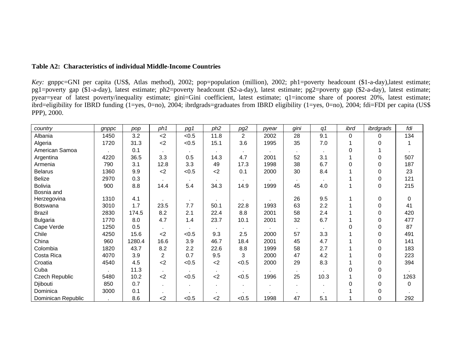## **Table A2: Characteristics of individual Middle-Income Countries**

*Key:* gnppc=GNI per capita (US\$, Atlas method), 2002; pop=population (million), 2002; ph1=poverty headcount (\$1-a-day),latest estimate; pg1=poverty gap (\$1-a-day), latest estimate; ph2=poverty headcount (\$2-a-day), latest estimate; pg2=poverty gap (\$2-a-day), latest estimate; pyear=year of latest poverty/inequality estimate; gini=Gini coefficient, latest estimate; q1=income share of poorest 20%, latest estimate; ibrd=eligibility for IBRD funding  $(1 = yes, 0 = no)$ , 2004; ibrdgrads=graduates from IBRD eligibility (1=yes, 0=no), 2004; fdi=FDI per capita (US\$ PPP), 2000.

| country               | gnppc | pop    | ph1   | pg1   | ph <sub>2</sub> | pg2            | pyear | gini | q1   | ibrd | ibrdgrads | fdi         |
|-----------------------|-------|--------|-------|-------|-----------------|----------------|-------|------|------|------|-----------|-------------|
| Albania               | 1450  | 3.2    | $<$ 2 | < 0.5 | 11.8            | $\overline{2}$ | 2002  | 28   | 9.1  | 0    | 0         | 134         |
| Algeria               | 1720  | 31.3   | $2$   | < 0.5 | 15.1            | 3.6            | 1995  | 35   | 7.0  |      | 0         |             |
| American Samoa        |       | 0.1    |       |       |                 |                |       |      |      | 0    |           |             |
| Argentina             | 4220  | 36.5   | 3.3   | 0.5   | 14.3            | 4.7            | 2001  | 52   | 3.1  |      | 0         | 507         |
| Armenia               | 790   | 3.1    | 12.8  | 3.3   | 49              | 17.3           | 1998  | 38   | 6.7  | 0    | 0         | 187         |
| <b>Belarus</b>        | 1360  | 9.9    | $<$ 2 | < 0.5 | $2$             | 0.1            | 2000  | 30   | 8.4  |      | $\Omega$  | 23          |
| <b>Belize</b>         | 2970  | 0.3    |       |       |                 |                |       | ٠    |      |      | 0         | 121         |
| <b>Bolivia</b>        | 900   | 8.8    | 14.4  | 5.4   | 34.3            | 14.9           | 1999  | 45   | 4.0  | 1    | 0         | 215         |
| Bosnia and            |       |        |       |       |                 |                |       |      |      |      |           |             |
| Herzegovina           | 1310  | 4.1    |       |       |                 |                |       | 26   | 9.5  | 1    | 0         | $\mathbf 0$ |
| <b>Botswana</b>       | 3010  | 1.7    | 23.5  | 7.7   | 50.1            | 22.8           | 1993  | 63   | 2.2  |      | 0         | 41          |
| <b>Brazil</b>         | 2830  | 174.5  | 8.2   | 2.1   | 22.4            | 8.8            | 2001  | 58   | 2.4  |      | 0         | 420         |
| <b>Bulgaria</b>       | 1770  | 8.0    | 4.7   | 1.4   | 23.7            | 10.1           | 2001  | 32   | 6.7  |      | 0         | 477         |
| Cape Verde            | 1250  | 0.5    |       |       |                 |                |       |      |      | 0    | 0         | 87          |
| Chile                 | 4250  | 15.6   | $<$ 2 | < 0.5 | 9.3             | 2.5            | 2000  | 57   | 3.3  |      | 0         | 491         |
| China                 | 960   | 1280.4 | 16.6  | 3.9   | 46.7            | 18.4           | 2001  | 45   | 4.7  |      | 0         | 141         |
| Colombia              | 1820  | 43.7   | 8.2   | 2.2   | 22.6            | 8.8            | 1999  | 58   | 2.7  |      | $\Omega$  | 183         |
| Costa Rica            | 4070  | 3.9    | 2     | 0.7   | 9.5             | 3              | 2000  | 47   | 4.2  |      | 0         | 223         |
| Croatia               | 4540  | 4.5    | $2$   | < 0.5 | $2$             | < 0.5          | 2000  | 29   | 8.3  |      | 0         | 394         |
| Cuba                  |       | 11.3   |       |       |                 |                |       |      |      | 0    | 0         |             |
| <b>Czech Republic</b> | 5480  | 10.2   | <     | < 0.5 | $<$ 2           | < 0.5          | 1996  | 25   | 10.3 |      | 0         | 1263        |
| Djibouti              | 850   | 0.7    |       |       |                 |                | ٠     |      |      | 0    | $\Omega$  | $\Omega$    |
| Dominica              | 3000  | 0.1    |       |       |                 | ٠              |       |      |      |      | 0         |             |
| Dominican Republic    |       | 8.6    | $<$ 2 | < 0.5 | $<$ 2           | < 0.5          | 1998  | 47   | 5.1  |      | 0         | 292         |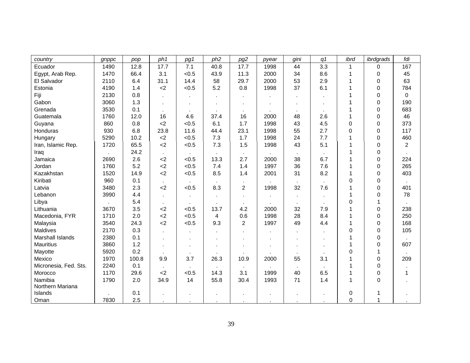| country               | gnppc | pop   | ph1       | pg1     | ph <sub>2</sub> | pg2            | pyear | gini   | q <sub>1</sub> | ibrd     | ibrdgrads | fdi            |
|-----------------------|-------|-------|-----------|---------|-----------------|----------------|-------|--------|----------------|----------|-----------|----------------|
| Ecuador               | 1490  | 12.8  | 17.7      | 7.1     | 40.8            | 17.7           | 1998  | 44     | 3.3            | 1        | 0         | 167            |
| Egypt, Arab Rep.      | 1470  | 66.4  | 3.1       | < 0.5   | 43.9            | 11.3           | 2000  | 34     | 8.6            | 1        | 0         | 45             |
| El Salvador           | 2110  | 6.4   | 31.1      | 14.4    | 58              | 29.7           | 2000  | 53     | 2.9            | 1        | 0         | 63             |
| Estonia               | 4190  | 1.4   | $2$       | < 0.5   | 5.2             | 0.8            | 1998  | 37     | 6.1            | 1        | 0         | 784            |
| Fiji                  | 2130  | 0.8   |           |         |                 |                |       |        |                | 1        | 0         | $\mathbf 0$    |
| Gabon                 | 3060  | 1.3   |           |         |                 |                |       |        |                | 1        | $\Omega$  | 190            |
| Grenada               | 3530  | 0.1   |           | ٠.      | $\blacksquare$  | ٠              |       | $\sim$ |                | 1        | 0         | 683            |
| Guatemala             | 1760  | 12.0  | 16        | 4.6     | 37.4            | 16             | 2000  | 48     | 2.6            | 1        | 0         | 46             |
| Guyana                | 860   | 0.8   | <         | < 0.5   | 6.1             | 1.7            | 1998  | 43     | 4.5            | 0        | 0         | 373            |
| Honduras              | 930   | 6.8   | 23.8      | 11.6    | 44.4            | 23.1           | 1998  | 55     | 2.7            | $\Omega$ | 0         | 117            |
| Hungary               | 5290  | 10.2  | $<$ 2     | < 0.5   | 7.3             | 1.7            | 1998  | 24     | 7.7            | 1        | 0         | 460            |
| Iran, Islamic Rep.    | 1720  | 65.5  | <         | < 0.5   | 7.3             | 1.5            | 1998  | 43     | 5.1            | 1        | 0         | $\overline{2}$ |
| Iraq                  |       | 24.2  | $\sim$    |         |                 |                |       |        |                | 1        | 0         |                |
| Jamaica               | 2690  | 2.6   | $2$       | < 0.5   | 13.3            | 2.7            | 2000  | 38     | 6.7            | 1        | $\Omega$  | 224            |
| Jordan                | 1760  | 5.2   | $2$       | < 0.5   | 7.4             | 1.4            | 1997  | 36     | 7.6            | 1        | 0         | 265            |
| Kazakhstan            | 1520  | 14.9  | $2$       | < 0.5   | 8.5             | 1.4            | 2001  | 31     | 8.2            | 1        | 0         | 403            |
| Kiribati              | 960   | 0.1   | $\sim$    |         | $\blacksquare$  |                |       |        |                | 0        | 0         |                |
| Latvia                | 3480  | 2.3   | $2$       | < 0.5   | 8.3             | $\overline{2}$ | 1998  | 32     | 7.6            | 1        | 0         | 401            |
| Lebanon               | 3990  | 4.4   |           |         |                 |                |       |        |                | 1        | 0         | 78             |
| Libya                 |       | 5.4   | $\bullet$ | $\cdot$ |                 | $\mathbf{r}$   |       |        |                | 0        |           |                |
| Lithuania             | 3670  | 3.5   | $2$       | < 0.5   | 13.7            | 4.2            | 2000  | 32     | 7.9            | 1        | $\Omega$  | 238            |
| Macedonia, FYR        | 1710  | 2.0   | $2$       | < 0.5   | 4               | 0.6            | 1998  | 28     | 8.4            |          | $\Omega$  | 250            |
| Malaysia              | 3540  | 24.3  | &2        | < 0.5   | 9.3             | $\overline{2}$ | 1997  | 49     | 4.4            |          | 0         | 168            |
| <b>Maldives</b>       | 2170  | 0.3   | ÷.        |         |                 |                |       |        |                | 0        | 0         | 105            |
| Marshall Islands      | 2380  | 0.1   | ×         |         |                 |                |       |        |                | 1        | 0         |                |
| <b>Mauritius</b>      | 3860  | 1.2   |           |         |                 |                |       |        |                | 1        | 0         | 607            |
| Mayotte               | 5920  | 0.2   |           |         |                 |                |       |        |                | 0        |           |                |
| Mexico                | 1970  | 100.8 | 9.9       | 3.7     | 26.3            | 10.9           | 2000  | 55     | 3.1            | 1        | 0         | 209            |
| Micronesia, Fed. Sts. | 2240  | 0.1   |           |         |                 |                |       |        |                |          | $\Omega$  |                |
| Morocco               | 1170  | 29.6  | $2$       | < 0.5   | 14.3            | 3.1            | 1999  | 40     | 6.5            | 1        | $\Omega$  | 1              |
| Namibia               | 1790  | 2.0   | 34.9      | 14      | 55.8            | 30.4           | 1993  | 71     | 1.4            | 1        | $\Omega$  |                |
| Northern Mariana      |       |       |           |         |                 |                |       |        |                |          |           |                |
| Islands               |       | 0.1   |           |         | $\blacksquare$  |                |       |        |                | 0        |           |                |
| Oman                  | 7830  | 2.5   |           |         |                 |                |       |        |                | 0        |           |                |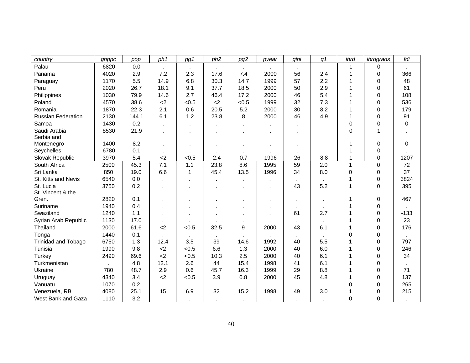| country                    | gnppc | pop   | ph1          | pg1            | ph <sub>2</sub> | pg2            | pyear  | gini | q <sub>1</sub> | ibrd         | ibrdgrads   | fdi    |
|----------------------------|-------|-------|--------------|----------------|-----------------|----------------|--------|------|----------------|--------------|-------------|--------|
| Palau                      | 6820  | 0.0   |              |                |                 |                |        |      |                | 1            | 0           |        |
| Panama                     | 4020  | 2.9   | 7.2          | 2.3            | 17.6            | 7.4            | 2000   | 56   | 2.4            | 1            | 0           | 366    |
| Paraguay                   | 1170  | 5.5   | 14.9         | 6.8            | 30.3            | 14.7           | 1999   | 57   | 2.2            | 1            | 0           | 48     |
| Peru                       | 2020  | 26.7  | 18.1         | 9.1            | 37.7            | 18.5           | 2000   | 50   | 2.9            | 1            | 0           | 61     |
| Philippines                | 1030  | 79.9  | 14.6         | 2.7            | 46.4            | 17.2           | 2000   | 46   | 5.4            | 1            | 0           | 108    |
| Poland                     | 4570  | 38.6  | $2$          | < 0.5          | $<$ 2           | < 0.5          | 1999   | 32   | 7.3            | 1            | 0           | 536    |
| Romania                    | 1870  | 22.3  | 2.1          | 0.6            | 20.5            | 5.2            | 2000   | 30   | 8.2            | 1            | 0           | 179    |
| <b>Russian Federation</b>  | 2130  | 144.1 | 6.1          | 1.2            | 23.8            | 8              | 2000   | 46   | 4.9            | 1            | 0           | 91     |
| Samoa                      | 1430  | 0.2   |              |                |                 |                |        |      |                | 0            | 0           | 0      |
| Saudi Arabia               | 8530  | 21.9  |              |                |                 |                |        |      |                | 0            | 1           |        |
| Serbia and                 |       |       |              |                |                 |                |        |      |                |              |             |        |
| Montenegro                 | 1400  | 8.2   | $\mathbf{r}$ |                |                 |                |        |      |                | 1            | 0           | 0      |
| Seychelles                 | 6780  | 0.1   | $\cdot$      |                |                 |                |        |      |                |              | 0           |        |
| Slovak Republic            | 3970  | 5.4   | $2$          | < 0.5          | 2.4             | 0.7            | 1996   | 26   | 8.8            | 1            | 0           | 1207   |
| South Africa               | 2500  | 45.3  | 7.1          | 1.1            | 23.8            | 8.6            | 1995   | 59   | 2.0            | $\mathbf{1}$ | $\Omega$    | 72     |
| Sri Lanka                  | 850   | 19.0  | 6.6          | $\mathbf{1}$   | 45.4            | 13.5           | 1996   | 34   | 8.0            | 0            | $\Omega$    | 37     |
| St. Kitts and Nevis        | 6540  | 0.0   |              |                |                 |                |        |      |                | 1            | 0           | 3824   |
| St. Lucia                  | 3750  | 0.2   |              |                |                 |                |        | 43   | 5.2            | 1            | $\mathbf 0$ | 395    |
| St. Vincent & the          |       |       |              |                |                 |                |        |      |                |              |             |        |
| Gren.                      | 2820  | 0.1   |              |                |                 |                |        |      |                | 1            | 0           | 467    |
| Suriname                   | 1940  | 0.4   |              |                |                 |                |        |      |                | 1            | 0           |        |
| Swaziland                  | 1240  | 1.1   |              |                |                 |                |        | 61   | 2.7            |              | 0           | $-133$ |
| Syrian Arab Republic       | 1130  | 17.0  | $\epsilon$   | $\blacksquare$ |                 | $\blacksquare$ |        |      |                | 1            | 0           | 23     |
| Thailand                   | 2000  | 61.6  | $<$ 2        | < 0.5          | 32.5            | 9              | 2000   | 43   | 6.1            | 1            | $\Omega$    | 176    |
| Tonga                      | 1440  | 0.1   |              |                |                 |                |        |      |                | $\Omega$     | 0           |        |
| <b>Trinidad and Tobago</b> | 6750  | 1.3   | 12.4         | 3.5            | 39              | 14.6           | 1992   | 40   | 5.5            |              | 0           | 797    |
| Tunisia                    | 1990  | 9.8   | &2           | < 0.5          | 6.6             | 1.3            | 2000   | 40   | 6.0            | 1            | 0           | 246    |
| Turkey                     | 2490  | 69.6  | &2           | < 0.5          | 10.3            | 2.5            | 2000   | 40   | 6.1            | 1            | 0           | 34     |
| Turkmenistan               |       | 4.8   | 12.1         | 2.6            | 44              | 15.4           | 1998   | 41   | 6.1            | 1            | 0           |        |
| Ukraine                    | 780   | 48.7  | 2.9          | 0.6            | 45.7            | 16.3           | 1999   | 29   | 8.8            | 1            | 0           | 71     |
| Uruguay                    | 4340  | 3.4   | $2$          | < 0.5          | 3.9             | 0.8            | 2000   | 45   | 4.8            | 1            | $\Omega$    | 137    |
| Vanuatu                    | 1070  | 0.2   | $\mathbf{r}$ | $\blacksquare$ |                 |                |        |      |                | 0            | $\Omega$    | 265    |
| Venezuela, RB              | 4080  | 25.1  | 15           | 6.9            | 32              | 15.2           | 1998   | 49   | 3.0            | 1            | 0           | 215    |
| West Bank and Gaza         | 1110  | 3.2   | $\bullet$    | $\sim$         | $\sim$          | $\sim$         | $\sim$ |      |                | 0            | $\Omega$    |        |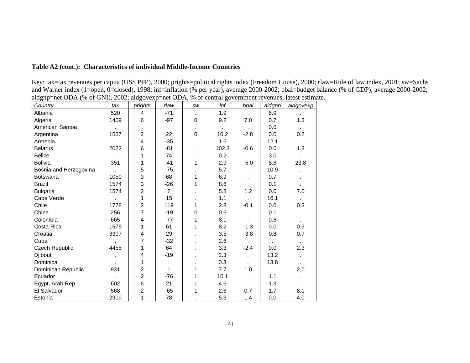# **Table A2 (cont.): Characteristics of individual Middle-Income Countries**

Key: tax=tax revenues per capita (US\$ PPP), 2000; prights=political rights index (Freedom House), 2000; rlaw=Rule of law index, 2001; sw=Sachs and Warner index (1=open, 0=closed), 1998; inf=inflation (% per year), average 2000-2002; bbal=budget balance (% of GDP), average 2000-2002; aidgnp=net ODA (% of GNI), 2002; aidgovexp=net ODA, % of central government revenues, latest estimate.

| Country                | tax            | prights        | rlaw           | <b>SW</b>   | inf   | bbal   | aidgnp       | aidgovexp |
|------------------------|----------------|----------------|----------------|-------------|-------|--------|--------------|-----------|
| Albania                | 520            | 4              | $-71$          |             | 1.9   |        | 6.9          |           |
| Algeria                | 1409           | 6              | $-97$          | $\Omega$    | 9.2   | 7.0    | 0.7          | 1.3       |
| American Samoa         |                |                |                |             |       |        | 0.0          |           |
| Argentina              | 1567           | $\overline{2}$ | 22             | $\mathbf 0$ | 10.2  | $-2.8$ | 0.0          | 0.2       |
| Armenia                |                | 4              | $-35$          |             | 1.6   |        | 12.1         |           |
| <b>Belarus</b>         | 2022           | 6              | $-81$          |             | 102.3 | $-0.6$ | 0.0          | 1.3       |
| <b>Belize</b>          |                | 1              | 74             |             | 0.2   |        | 3.0          |           |
| <b>Bolivia</b>         | 351            | 1              | $-41$          | 1           | 2.9   | $-5.0$ | 8.6          | 23.8      |
| Bosnia and Herzegovina |                | 5              | $-75$          |             | 5.7   |        | 10.9         |           |
| <b>Botswana</b>        | 1059           | 3              | 68             | 1           | 6.9   |        | 0.7          |           |
| <b>Brazil</b>          | 1574           | 3              | $-26$          | 1           | 8.6   |        | 0.1          |           |
| <b>Bulgaria</b>        | 1574           | 2              | $\overline{c}$ |             | 5.8   | 1.2    | 0.0          | 7.0       |
| Cape Verde             |                | 1              | 15             |             | 1.1   |        | 16.1         |           |
| Chile                  | 1778           | $\overline{2}$ | 119            | 1           | 2.8   | $-0.1$ | 0.0          | 0.3       |
| China                  | 256            | $\overline{7}$ | $-19$          | 0           | 0.6   |        | 0.1          |           |
| Colombia               | 665            | $\overline{4}$ | $-77$          | 1           | 8.1   |        | 0.6          |           |
| Costa Rica             | 1575           | 1              | 61             | 1           | 8.2   | $-1.3$ | 0.0          | 0.3       |
| Croatia                | 3307           | 4              | 29             |             | 3.5   | $-3.8$ | 0.8          | 0.7       |
| Cuba                   |                | 7              | $-32$          |             | 2.6   |        | $\mathbf{r}$ |           |
| Czech Republic         | 4455           | 1              | 64             |             | 3.3   | $-2.4$ | 0.0          | 2.3       |
| Djibouti               | $\blacksquare$ | 4              | $-19$          |             | 2.3   |        | 13.2         |           |
| Dominica               |                | 1              | ٠              |             | 0.3   |        | 13.8         |           |
| Dominican Republic     | 931            | $\overline{c}$ | 1              | 1           | 7.7   | 1.0    |              | 2.0       |
| Ecuador                |                | $\overline{2}$ | $-76$          | 1           | 10.1  |        | 1.1          |           |
| Egypt, Arab Rep.       | 602            | 6              | 21             | 1           | 4.6   |        | 1.3          |           |
| El Salvador            | 568            | $\overline{2}$ | $-65$          | 1           | 2.6   | 0.7    | 1.7          | 8.1       |
| Estonia                | 2909           | 1              | 78             |             | 5.3   | 1.4    | 0.0          | 4.0       |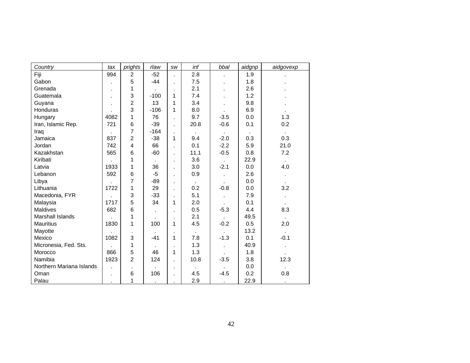| Country                  | tax  | prights         | rlaw         | SW             | inf    | bbal           | aidgnp | aidgovexp      |
|--------------------------|------|-----------------|--------------|----------------|--------|----------------|--------|----------------|
| Fiji                     | 994  | $\overline{2}$  | $-52$        |                | 2.8    | ä,             | 1.9    |                |
| Gabon                    |      | 5               | $-44$        | ä,             | 7.5    |                | 1.8    |                |
| Grenada                  |      | 1               |              | ä,             | 2.1    |                | 2.6    |                |
| Guatemala                | ٠    | 3               | $-100$       | 1              | 7.4    |                | 1.2    |                |
| Guyana                   | ä,   | $\overline{2}$  | 13           | 1              | 3.4    |                | 9.8    |                |
| Honduras                 |      | 3               | $-106$       | 1              | 8.0    |                | 6.9    |                |
| Hungary                  | 4082 | 1               | 76           | $\blacksquare$ | 9.7    | $-3.5$         | 0.0    | 1.3            |
| Iran, Islamic Rep.       | 721  | $6\phantom{1}6$ | $-39$        | ä,             | 20.8   | $-0.6$         | 0.1    | 0.2            |
| Iraq                     |      | $\overline{7}$  | $-164$       | ä,             |        |                |        |                |
| Jamaica                  | 837  | $\overline{2}$  | $-38$        | 1              | 9.4    | $-2.0$         | 0.3    | 0.3            |
| Jordan                   | 742  | $\overline{4}$  | 66           | ×,             | 0.1    | $-2.2$         | 5.9    | 21.0           |
| Kazakhstan               | 565  | 6               | $-60$        | ×,             | 11.1   | $-0.5$         | 0.8    | 7.2            |
| Kiribati                 |      | 1               |              | ä,             | 3.6    |                | 22.9   |                |
| Latvia                   | 1933 | 1               | 36           | ×,             | 3.0    | $-2.1$         | 0.0    | 4.0            |
| Lebanon                  | 592  | 6               | $-5$         | ä,             | 0.9    |                | 2.6    |                |
| Libya                    |      | 7               | $-89$        | ä,             | $\sim$ |                | 0.0    | $\mathbf{r}$   |
| Lithuania                | 1722 | 1               | 29           | ä,             | 0.2    | $-0.8$         | 0.0    | 3.2            |
| Macedonia, FYR           |      | 3               | $-33$        | ×,             | 5.1    |                | 7.9    |                |
| Malaysia                 | 1717 | 5               | 34           | 1              | 2.0    |                | 0.1    |                |
| <b>Maldives</b>          | 682  | $6\phantom{1}6$ | $\mathbf{r}$ |                | 0.5    | $-5.3$         | 4.4    | 8.3            |
| Marshall Islands         |      | 1               |              | ×,             | 2.1    |                | 49.5   | $\sim$         |
| <b>Mauritius</b>         | 1830 | 1               | 100          | 1              | 4.5    | $-0.2$         | 0.5    | 2.0            |
| Mayotte                  |      |                 |              | ×,             |        |                | 13.2   |                |
| Mexico                   | 1082 | 3               | $-41$        | 1              | 7.8    | $-1.3$         | 0.1    | $-0.1$         |
| Micronesia, Fed. Sts.    |      | 1               |              | ×              | 1.3    | $\blacksquare$ | 40.9   |                |
| Morocco                  | 866  | 5               | 46           | 1              | 1.3    |                | 1.8    | $\blacksquare$ |
| Namibia                  | 1923 | $\overline{2}$  | 124          | ä,             | 10.8   | $-3.5$         | 3.8    | 12.3           |
| Northern Mariana Islands |      |                 |              | ä,             |        |                | 0.0    |                |
| Oman                     | ä,   | 6               | 106          | ×,             | 4.5    | $-4.5$         | 0.2    | 0.8            |
| Palau                    | ٠    | 1               | $\cdot$      | ×,             | 2.9    | $\epsilon$     | 22.9   | $\cdot$        |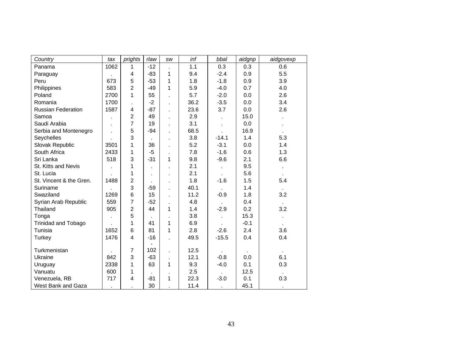| Country                    | tax  | prights                 | rlaw  | SW | inf  | bbal           | aidgnp | aidgovexp |
|----------------------------|------|-------------------------|-------|----|------|----------------|--------|-----------|
| Panama                     | 1062 | 1                       | $-12$ |    | 1.1  | 0.3            | 0.3    | 0.6       |
| Paraguay                   |      | 4                       | $-83$ | 1  | 9.4  | $-2.4$         | 0.9    | 5.5       |
| Peru                       | 673  | 5                       | $-53$ | 1  | 1.8  | $-1.8$         | 0.9    | 3.9       |
| Philippines                | 583  | $\overline{c}$          | $-49$ | 1  | 5.9  | $-4.0$         | 0.7    | 4.0       |
| Poland                     | 2700 | 1                       | 55    |    | 5.7  | $-2.0$         | 0.0    | 2.6       |
| Romania                    | 1700 |                         | $-2$  |    | 36.2 | $-3.5$         | 0.0    | 3.4       |
| <b>Russian Federation</b>  | 1587 | $\overline{\mathbf{4}}$ | $-87$ |    | 23.6 | 3.7            | 0.0    | 2.6       |
| Samoa                      |      | 2                       | 49    |    | 2.9  |                | 15.0   |           |
| Saudi Arabia               |      | $\overline{7}$          | 19    |    | 3.1  |                | 0.0    |           |
| Serbia and Montenegro      |      | 5                       | $-94$ |    | 68.5 |                | 16.9   |           |
| Seychelles                 |      | 3                       |       |    | 3.8  | $-14.1$        | 1.4    | 5.3       |
| Slovak Republic            | 3501 | 1                       | 36    |    | 5.2  | $-3.1$         | 0.0    | 1.4       |
| South Africa               | 2433 | 1                       | $-5$  |    | 7.8  | $-1.6$         | 0.6    | 1.3       |
| Sri Lanka                  | 518  | 3                       | $-31$ | 1  | 9.8  | $-9.6$         | 2.1    | 6.6       |
| St. Kitts and Nevis        |      | 1                       |       |    | 2.1  |                | 9.5    |           |
| St. Lucia                  |      | 1                       | ×     |    | 2.1  | $\epsilon$     | 5.6    |           |
| St. Vincent & the Gren.    | 1488 | $\overline{c}$          |       |    | 1.8  | $-1.6$         | 1.5    | 5.4       |
| Suriname                   |      | 3                       | $-59$ |    | 40.1 |                | 1.4    |           |
| Swaziland                  | 1269 | 6                       | 15    |    | 11.2 | $-0.9$         | 1.8    | 3.2       |
| Syrian Arab Republic       | 559  | $\overline{7}$          | $-52$ |    | 4.8  |                | 0.4    |           |
| Thailand                   | 905  | $\overline{c}$          | 44    | 1  | 1.4  | $-2.9$         | 0.2    | 3.2       |
| Tonga                      | ä,   | 5                       |       |    | 3.8  | $\blacksquare$ | 15.3   |           |
| <b>Trinidad and Tobago</b> |      | 1                       | 41    | 1  | 6.9  |                | $-0.1$ |           |
| Tunisia                    | 1652 | $6\phantom{1}6$         | 81    | 1  | 2.8  | $-2.6$         | 2.4    | 3.6       |
| Turkey                     | 1476 | 4                       | $-16$ |    | 49.5 | $-15.5$        | 0.4    | 0.4       |
|                            |      |                         |       |    |      |                |        |           |
| Turkmenistan               |      | $\overline{7}$          | 102   |    | 12.5 |                |        |           |
| Ukraine                    | 842  | 3                       | $-63$ | ×. | 12.1 | $-0.8$         | 0.0    | 6.1       |
| Uruguay                    | 2338 | 1                       | 63    | 1  | 9.3  | $-4.0$         | 0.1    | 0.3       |
| Vanuatu                    | 600  | 1                       |       |    | 2.5  |                | 12.5   |           |
| Venezuela, RB              | 717  | 4                       | -81   | 1  | 22.3 | $-3.0$         | 0.1    | 0.3       |
| West Bank and Gaza         |      |                         | 30    |    | 11.4 | $\bullet$      | 45.1   | $\bullet$ |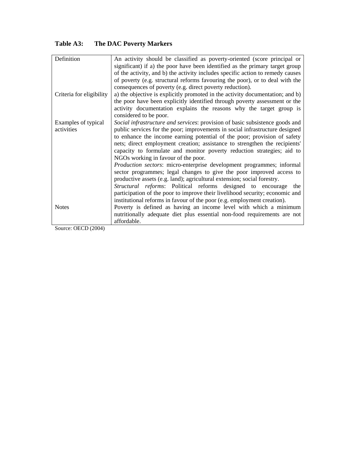# **Table A3: The DAC Poverty Markers**

| Definition<br>An activity should be classified as poverty-oriented (score principal or<br>significant) if a) the poor have been identified as the primary target group<br>of the activity, and b) the activity includes specific action to remedy causes<br>of poverty (e.g. structural reforms favouring the poor), or to deal with the<br>consequences of poverty (e.g. direct poverty reduction).<br>Criteria for eligibility<br>a) the objective is explicitly promoted in the activity documentation; and b)<br>the poor have been explicitly identified through poverty assessment or the<br>activity documentation explains the reasons why the target group is<br>considered to be poor.<br>Social infrastructure and services: provision of basic subsistence goods and<br>Examples of typical<br>activities<br>public services for the poor; improvements in social infrastructure designed<br>to enhance the income earning potential of the poor; provision of safety<br>nets; direct employment creation; assistance to strengthen the recipients'<br>capacity to formulate and monitor poverty reduction strategies; aid to<br>NGOs working in favour of the poor.<br><i>Production sectors:</i> micro-enterprise development programmes; informal<br>sector programmes; legal changes to give the poor improved access to<br>productive assets (e.g. land); agricultural extension; social forestry.<br><i>Structural reforms:</i> Political reforms designed to encourage<br>the<br>participation of the poor to improve their livelihood security; economic and<br>institutional reforms in favour of the poor (e.g. employment creation).<br>Poverty is defined as having an income level with which a minimum<br><b>Notes</b><br>nutritionally adequate diet plus essential non-food requirements are not<br>affordable. |  |
|---------------------------------------------------------------------------------------------------------------------------------------------------------------------------------------------------------------------------------------------------------------------------------------------------------------------------------------------------------------------------------------------------------------------------------------------------------------------------------------------------------------------------------------------------------------------------------------------------------------------------------------------------------------------------------------------------------------------------------------------------------------------------------------------------------------------------------------------------------------------------------------------------------------------------------------------------------------------------------------------------------------------------------------------------------------------------------------------------------------------------------------------------------------------------------------------------------------------------------------------------------------------------------------------------------------------------------------------------------------------------------------------------------------------------------------------------------------------------------------------------------------------------------------------------------------------------------------------------------------------------------------------------------------------------------------------------------------------------------------------------------------------------------------------------------------------------------------------|--|
|                                                                                                                                                                                                                                                                                                                                                                                                                                                                                                                                                                                                                                                                                                                                                                                                                                                                                                                                                                                                                                                                                                                                                                                                                                                                                                                                                                                                                                                                                                                                                                                                                                                                                                                                                                                                                                             |  |
|                                                                                                                                                                                                                                                                                                                                                                                                                                                                                                                                                                                                                                                                                                                                                                                                                                                                                                                                                                                                                                                                                                                                                                                                                                                                                                                                                                                                                                                                                                                                                                                                                                                                                                                                                                                                                                             |  |
|                                                                                                                                                                                                                                                                                                                                                                                                                                                                                                                                                                                                                                                                                                                                                                                                                                                                                                                                                                                                                                                                                                                                                                                                                                                                                                                                                                                                                                                                                                                                                                                                                                                                                                                                                                                                                                             |  |
|                                                                                                                                                                                                                                                                                                                                                                                                                                                                                                                                                                                                                                                                                                                                                                                                                                                                                                                                                                                                                                                                                                                                                                                                                                                                                                                                                                                                                                                                                                                                                                                                                                                                                                                                                                                                                                             |  |
|                                                                                                                                                                                                                                                                                                                                                                                                                                                                                                                                                                                                                                                                                                                                                                                                                                                                                                                                                                                                                                                                                                                                                                                                                                                                                                                                                                                                                                                                                                                                                                                                                                                                                                                                                                                                                                             |  |
|                                                                                                                                                                                                                                                                                                                                                                                                                                                                                                                                                                                                                                                                                                                                                                                                                                                                                                                                                                                                                                                                                                                                                                                                                                                                                                                                                                                                                                                                                                                                                                                                                                                                                                                                                                                                                                             |  |
|                                                                                                                                                                                                                                                                                                                                                                                                                                                                                                                                                                                                                                                                                                                                                                                                                                                                                                                                                                                                                                                                                                                                                                                                                                                                                                                                                                                                                                                                                                                                                                                                                                                                                                                                                                                                                                             |  |
|                                                                                                                                                                                                                                                                                                                                                                                                                                                                                                                                                                                                                                                                                                                                                                                                                                                                                                                                                                                                                                                                                                                                                                                                                                                                                                                                                                                                                                                                                                                                                                                                                                                                                                                                                                                                                                             |  |
|                                                                                                                                                                                                                                                                                                                                                                                                                                                                                                                                                                                                                                                                                                                                                                                                                                                                                                                                                                                                                                                                                                                                                                                                                                                                                                                                                                                                                                                                                                                                                                                                                                                                                                                                                                                                                                             |  |
|                                                                                                                                                                                                                                                                                                                                                                                                                                                                                                                                                                                                                                                                                                                                                                                                                                                                                                                                                                                                                                                                                                                                                                                                                                                                                                                                                                                                                                                                                                                                                                                                                                                                                                                                                                                                                                             |  |
|                                                                                                                                                                                                                                                                                                                                                                                                                                                                                                                                                                                                                                                                                                                                                                                                                                                                                                                                                                                                                                                                                                                                                                                                                                                                                                                                                                                                                                                                                                                                                                                                                                                                                                                                                                                                                                             |  |
|                                                                                                                                                                                                                                                                                                                                                                                                                                                                                                                                                                                                                                                                                                                                                                                                                                                                                                                                                                                                                                                                                                                                                                                                                                                                                                                                                                                                                                                                                                                                                                                                                                                                                                                                                                                                                                             |  |
|                                                                                                                                                                                                                                                                                                                                                                                                                                                                                                                                                                                                                                                                                                                                                                                                                                                                                                                                                                                                                                                                                                                                                                                                                                                                                                                                                                                                                                                                                                                                                                                                                                                                                                                                                                                                                                             |  |
|                                                                                                                                                                                                                                                                                                                                                                                                                                                                                                                                                                                                                                                                                                                                                                                                                                                                                                                                                                                                                                                                                                                                                                                                                                                                                                                                                                                                                                                                                                                                                                                                                                                                                                                                                                                                                                             |  |
|                                                                                                                                                                                                                                                                                                                                                                                                                                                                                                                                                                                                                                                                                                                                                                                                                                                                                                                                                                                                                                                                                                                                                                                                                                                                                                                                                                                                                                                                                                                                                                                                                                                                                                                                                                                                                                             |  |
|                                                                                                                                                                                                                                                                                                                                                                                                                                                                                                                                                                                                                                                                                                                                                                                                                                                                                                                                                                                                                                                                                                                                                                                                                                                                                                                                                                                                                                                                                                                                                                                                                                                                                                                                                                                                                                             |  |
|                                                                                                                                                                                                                                                                                                                                                                                                                                                                                                                                                                                                                                                                                                                                                                                                                                                                                                                                                                                                                                                                                                                                                                                                                                                                                                                                                                                                                                                                                                                                                                                                                                                                                                                                                                                                                                             |  |

Source: OECD (2004)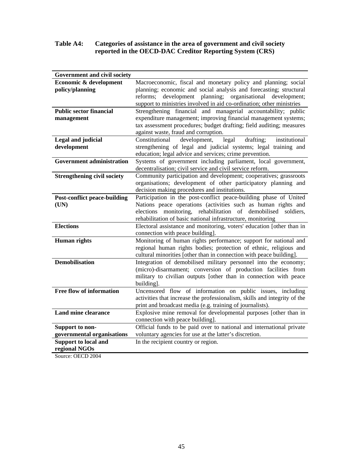# **Table A4: Categories of assistance in the area of government and civil society reported in the OECD-DAC Creditor Reporting System (CRS)**

| Government and civil society        |                                                                           |
|-------------------------------------|---------------------------------------------------------------------------|
| Economic & development              | Macroeconomic, fiscal and monetary policy and planning; social            |
| policy/planning                     | planning; economic and social analysis and forecasting; structural        |
|                                     | development planning; organisational development;<br>reforms;             |
|                                     | support to ministries involved in aid co-ordination; other ministries     |
| <b>Public sector financial</b>      | Strengthening financial and managerial accountability; public             |
| management                          | expenditure management; improving financial management systems;           |
|                                     | tax assessment procedures; budget drafting; field auditing; measures      |
|                                     | against waste, fraud and corruption.                                      |
| <b>Legal and judicial</b>           | development,<br>legal<br>institutional<br>Constitutional<br>drafting;     |
| development                         | strengthening of legal and judicial systems; legal training and           |
|                                     | education; legal advice and services; crime prevention.                   |
| <b>Government administration</b>    | Systems of government including parliament, local government,             |
|                                     | decentralisation; civil service and civil service reform.                 |
| <b>Strengthening civil society</b>  | Community participation and development; cooperatives; grassroots         |
|                                     | organisations; development of other participatory planning and            |
|                                     | decision making procedures and institutions.                              |
| <b>Post-conflict peace-building</b> | Participation in the post-conflict peace-building phase of United         |
| (UN)                                | Nations peace operations (activities such as human rights and             |
|                                     | elections monitoring, rehabilitation of demobilised<br>soldiers,          |
|                                     | rehabilitation of basic national infrastructure, monitoring               |
| <b>Elections</b>                    | Electoral assistance and monitoring, voters' education [other than in     |
|                                     | connection with peace building].                                          |
| <b>Human</b> rights                 | Monitoring of human rights performance; support for national and          |
|                                     | regional human rights bodies; protection of ethnic, religious and         |
|                                     | cultural minorities [other than in connection with peace building].       |
| <b>Demobilisation</b>               | Integration of demobilised military personnel into the economy;           |
|                                     | (micro)-disarmament; conversion of production facilities from             |
|                                     | military to civilian outputs [other than in connection with peace         |
|                                     | building].                                                                |
| Free flow of information            | Uncensored flow of information on public issues, including                |
|                                     | activities that increase the professionalism, skills and integrity of the |
|                                     | print and broadcast media (e.g. training of journalists).                 |
| <b>Land mine clearance</b>          | Explosive mine removal for developmental purposes [other than in          |
|                                     | connection with peace building].                                          |
| Support to non-                     | Official funds to be paid over to national and international private      |
| governmental organisations          | voluntary agencies for use at the latter's discretion.                    |
| <b>Support to local and</b>         | In the recipient country or region.                                       |
| regional NGOs                       |                                                                           |

Source: OECD 2004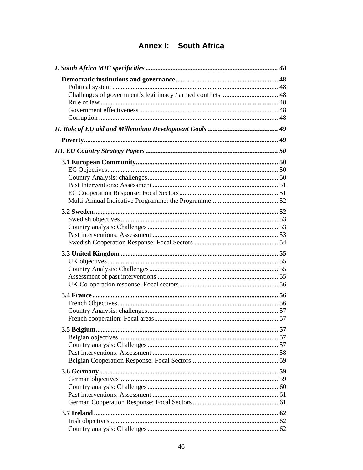# **Annex I: South Africa**

| 3.5 Belgium. | 57 |
|--------------|----|
|              |    |
|              |    |
|              |    |
|              |    |
|              |    |
|              |    |
|              |    |
|              |    |
|              |    |
|              |    |
|              |    |
|              |    |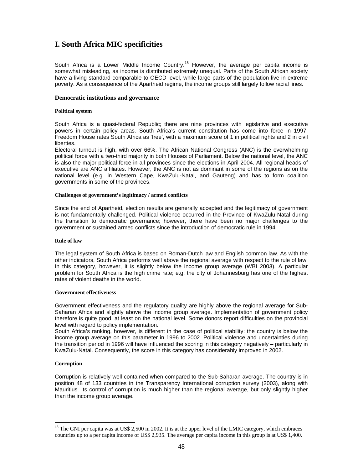# **I. South Africa MIC specificities**

South Africa is a Lower Middle Income Country.<sup>18</sup> However, the average per capita income is somewhat misleading, as income is distributed extremely unequal. Parts of the South African society have a living standard comparable to OECD level, while large parts of the population live in extreme poverty. As a consequence of the Apartheid regime, the income groups still largely follow racial lines.

## **Democratic institutions and governance**

#### **Political system**

South Africa is a quasi-federal Republic; there are nine provinces with legislative and executive powers in certain policy areas. South Africa's current constitution has come into force in 1997. Freedom House rates South Africa as 'free', with a maximum score of 1 in political rights and 2 in civil liberties.

Electoral turnout is high, with over 66%. The African National Congress (ANC) is the overwhelming political force with a two-third majority in both Houses of Parliament. Below the national level, the ANC is also the major political force in all provinces since the elections in April 2004. All regional heads of executive are ANC affiliates. However, the ANC is not as dominant in some of the regions as on the national level (e.g. in Western Cape, KwaZulu-Natal, and Gauteng) and has to form coalition governments in some of the provinces.

#### **Challenges of government's legitimacy / armed conflicts**

Since the end of Apartheid, election results are generally accepted and the legitimacy of government is not fundamentally challenged. Political violence occurred in the Province of KwaZulu-Natal during the transition to democratic governance; however, there have been no major challenges to the government or sustained armed conflicts since the introduction of democratic rule in 1994.

#### **Rule of law**

The legal system of South Africa is based on Roman-Dutch law and English common law. As with the other indicators, South Africa performs well above the regional average with respect to the rule of law. In this category, however, it is slightly below the income group average (WBI 2003). A particular problem for South Africa is the high crime rate; e.g. the city of Johannesburg has one of the highest rates of violent deaths in the world.

#### **Government effectiveness**

Government effectiveness and the regulatory quality are highly above the regional average for Sub-Saharan Africa and slightly above the income group average. Implementation of government policy therefore is quite good, at least on the national level. Some donors report difficulties on the provincial level with regard to policy implementation.

South Africa's ranking, however, is different in the case of political stability: the country is below the income group average on this parameter in 1996 to 2002. Political violence and uncertainties during the transition period in 1996 will have influenced the scoring in this category negatively – particularly in KwaZulu-Natal. Consequently, the score in this category has considerably improved in 2002.

#### **Corruption**

 $\overline{a}$ 

Corruption is relatively well contained when compared to the Sub-Saharan average. The country is in position 48 of 133 countries in the Transparency International corruption survey (2003), along with Mauritius. Its control of corruption is much higher than the regional average, but only slightly higher than the income group average.

<sup>&</sup>lt;sup>18</sup> The GNI per capita was at US\$ 2,500 in 2002. It is at the upper level of the LMIC category, which embraces countries up to a per capita income of US\$ 2,935. The average per capita income in this group is at US\$ 1,400.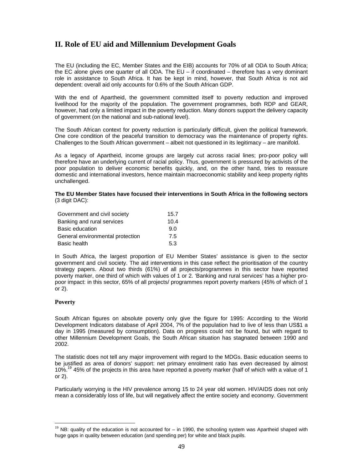# **II. Role of EU aid and Millennium Development Goals**

The EU (including the EC, Member States and the EIB) accounts for 70% of all ODA to South Africa; the EC alone gives one quarter of all ODA. The EU – if coordinated – therefore has a very dominant role in assistance to South Africa. It has be kept in mind, however, that South Africa is not aid dependent: overall aid only accounts for 0.6% of the South African GDP.

With the end of Apartheid, the government committed itself to poverty reduction and improved livelihood for the majority of the population. The government programmes, both RDP and GEAR, however, had only a limited impact in the poverty reduction. Many donors support the delivery capacity of government (on the national and sub-national level).

The South African context for poverty reduction is particularly difficult, given the political framework. One core condition of the peaceful transition to democracy was the maintenance of property rights. Challenges to the South African government – albeit not questioned in its legitimacy – are manifold.

As a legacy of Apartheid, income groups are largely cut across racial lines; pro-poor policy will therefore have an underlying current of racial policy. Thus, government is pressured by activists of the poor population to deliver economic benefits quickly, and, on the other hand, tries to reassure domestic and international investors, hence maintain macroeconomic stability and keep property rights unchallenged.

#### **The EU Member States have focused their interventions in South Africa in the following sectors** (3 digit DAC):

| Government and civil society     | 15.7 |
|----------------------------------|------|
| Banking and rural services       | 10.4 |
| Basic education                  | 9.0  |
| General environmental protection | 7.5  |
| Basic health                     | 53   |

In South Africa, the largest proportion of EU Member States' assistance is given to the sector government and civil society. The aid interventions in this case reflect the prioritisation of the country strategy papers. About two thirds (61%) of all projects/programmes in this sector have reported poverty marker, one third of which with values of 1 or 2. 'Banking and rural services' has a higher propoor impact: in this sector, 65% of all projects/ programmes report poverty markers (45% of which of 1 or 2).

## **Poverty**

 $\overline{a}$ 

South African figures on absolute poverty only give the figure for 1995: According to the World Development Indicators database of April 2004, 7% of the population had to live of less than US\$1 a day in 1995 (measured by consumption). Data on progress could not be found, but with regard to other Millennium Development Goals, the South African situation has stagnated between 1990 and 2002.

The statistic does not tell any major improvement with regard to the MDGs. Basic education seems to be justified as area of donors' support: net primary enrolment ratio has even decreased by almost 10%.19 45% of the projects in this area have reported a poverty marker (half of which with a value of 1 or 2).

Particularly worrying is the HIV prevalence among 15 to 24 year old women. HIV/AIDS does not only mean a considerably loss of life, but will negatively affect the entire society and economy. Government

 $19$  NB: quality of the education is not accounted for – in 1990, the schooling system was Apartheid shaped with huge gaps in quality between education (and spending per) for white and black pupils.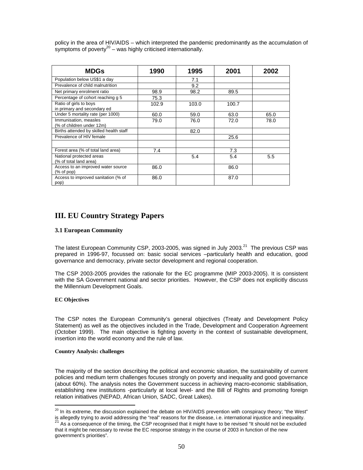policy in the area of HIV/AIDS – which interpreted the pandemic predominantly as the accumulation of symptoms of poverty $^{20}$  – was highly criticised internationally.

| <b>MDGs</b>                                           | 1990  | 1995  | 2001  | 2002 |
|-------------------------------------------------------|-------|-------|-------|------|
| Population below US\$1 a day                          |       | 7.1   |       |      |
| Prevalence of child malnutrition                      |       | 9.2   |       |      |
| Net primary enrolment ratio                           | 98.9  | 98.2  | 89.5  |      |
| Percentage of cohort reaching g 5                     | 75.3  |       |       |      |
| Ratio of girls to boys<br>in primary and secondary ed | 102.9 | 103.0 | 100.7 |      |
| Under 5 mortality rate (per 1000)                     | 60.0  | 59.0  | 63.0  | 65.0 |
| Immunisation, measles<br>(% of children under 12m)    | 79.0  | 76.0  | 72.0  | 78.0 |
| Births attended by skilled health staff               |       | 82.0  |       |      |
| Prevalence of HIV female                              |       |       | 25.6  |      |
|                                                       |       |       |       |      |
| Forest area (% of total land area)                    | 7.4   |       | 7.3   |      |
| National protected areas<br>(% of total land area)    |       | 5.4   | 5.4   | 5.5  |
| Access to an improved water source<br>(% of pop)      | 86.0  |       | 86.0  |      |
| Access to improved sanitation (% of<br>pop)           | 86.0  |       | 87.0  |      |

# **III. EU Country Strategy Papers**

## **3.1 European Community**

The latest European Community CSP, 2003-2005, was signed in July 2003.<sup>21</sup> The previous CSP was prepared in 1996-97, focussed on: basic social services –particularly health and education, good governance and democracy, private sector development and regional cooperation.

The CSP 2003-2005 provides the rationale for the EC programme (MIP 2003-2005). It is consistent with the SA Government national and sector priorities. However, the CSP does not explicitly discuss the Millennium Development Goals.

#### **EC Objectives**

 $\overline{a}$ 

The CSP notes the European Community's general objectives (Treaty and Development Policy Statement) as well as the objectives included in the Trade, Development and Cooperation Agreement (October 1999). The main objective is fighting poverty in the context of sustainable development, insertion into the world economy and the rule of law.

#### **Country Analysis: challenges**

The majority of the section describing the political and economic situation, the sustainability of current policies and medium term challenges focuses strongly on poverty and inequality and good governance (about 60%). The analysis notes the Government success in achieving macro-economic stabilisation, establishing new institutions -particularly at local level- and the Bill of Rights and promoting foreign relation initiatives (NEPAD, African Union, SADC, Great Lakes).

 $^{20}$  In its extreme, the discussion explained the debate on HIV/AIDS prevention with conspiracy theory; "the West" is allegedly trying to avoid addressing the "real" reasons for the disease, i.e. international injustice and inequality.<br><sup>21</sup> As a consequence of the timing, the CSP recognised that it might have to be revised "It should

that it might be necessary to revise the EC response strategy in the course of 2003 in function of the new government's priorities".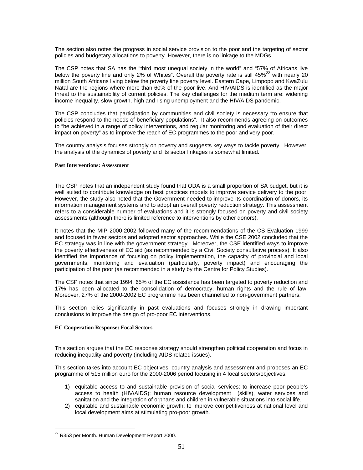The section also notes the progress in social service provision to the poor and the targeting of sector policies and budgetary allocations to poverty. However, there is no linkage to the MDGs.

The CSP notes that SA has the "third most unequal society in the world" and "57% of Africans live below the poverty line and only 2% of Whites". Overall the poverty rate is still 45%<sup>22</sup> with nearly 20 million South Africans living below the poverty line poverty level. Eastern Cape, Limpopo and KwaZulu Natal are the regions where more than 60% of the poor live. And HIV/AIDS is identified as the major threat to the sustainability of current policies. The key challenges for the medium term are: widening income inequality, slow growth, high and rising unemployment and the HIV/AIDS pandemic.

The CSP concludes that participation by communities and civil society is necessary "to ensure that policies respond to the needs of beneficiary populations". It also recommends agreeing on outcomes to "be achieved in a range of policy interventions, and regular monitoring and evaluation of their direct impact on poverty" as to improve the reach of EC programmes to the poor and very poor.

The country analysis focuses strongly on poverty and suggests key ways to tackle poverty. However, the analysis of the dynamics of poverty and its sector linkages is somewhat limited.

#### **Past Interventions: Assessment**

The CSP notes that an independent study found that ODA is a small proportion of SA budget, but it is well suited to contribute knowledge on best practices models to improve service delivery to the poor. However, the study also noted that the Government needed to improve its coordination of donors, its information management systems and to adopt an overall poverty reduction strategy. This assessment refers to a considerable number of evaluations and it is strongly focused on poverty and civil society assessments (although there is limited reference to interventions by other donors).

It notes that the MIP 2000-2002 followed many of the recommendations of the CS Evaluation 1999 and focused in fewer sectors and adopted sector approaches. While the CSE 2002 concluded that the EC strategy was in line with the government strategy. Moreover, the CSE identified ways to improve the poverty effectiveness of EC aid (as recommended by a Civil Society consultative process). It also identified the importance of focusing on policy implementation, the capacity of provincial and local governments, monitoring and evaluation (particularly, poverty impact) and encouraging the participation of the poor (as recommended in a study by the Centre for Policy Studies).

The CSP notes that since 1994, 65% of the EC assistance has been targeted to poverty reduction and 17% has been allocated to the consolidation of democracy, human rights and the rule of law. Moreover, 27% of the 2000-2002 EC programme has been channelled to non-government partners.

This section relies significantly in past evaluations and focuses strongly in drawing important conclusions to improve the design of pro-poor EC interventions.

#### **EC Cooperation Response: Focal Sectors**

This section argues that the EC response strategy should strengthen political cooperation and focus in reducing inequality and poverty (including AIDS related issues).

This section takes into account EC objectives, country analysis and assessment and proposes an EC programme of 515 million euro for the 2000-2006 period focusing in 4 focal sectors/objectives:

- 1) equitable access to and sustainable provision of social services: to increase poor people's access to health (HIV/AIDS); human resource development (skills), water services and sanitation and the integration of orphans and children in vulnerable situations into social life.
- 2) equitable and sustainable economic growth: to improve competitiveness at national level and local development aims at stimulating pro-poor growth.

 $\overline{a}$ 

 $^{22}$  R353 per Month. Human Development Report 2000.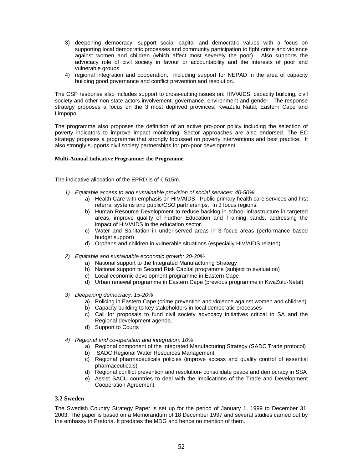- 3) deepening democracy: support social capital and democratic values with a focus on supporting local democratic processes and community participation to fight crime and violence against women and children (which affect most severely the poor). Also supports the advocacy role of civil society in favour or accountability and the interests of poor and vulnerable groups
- 4) regional integration and cooperation, including support for NEPAD in the area of capacity building good governance and conflict prevention and resolution..

The CSP response also includes support to cross-cutting issues on: HIV/AIDS, capacity building, civil society and other non state actors involvement, governance, environment and gender. The response strategy proposes a focus on the 3 most deprived provinces: KwaZulu Natal, Eastern Cape and Limpopo.

The programme also proposes the definition of an active pro-poor policy including the selection of poverty indicators to improve impact monitoring. Sector approaches are also endorsed. The EC strategy proposes a programme that strongly focussed on poverty interventions and best practice. It also strongly supports civil society partnerships for pro-poor development.

#### **Multi-Annual Indicative Programme: the Programme**

The indicative allocation of the EPRD is of  $\epsilon$  515m.

- *1) Equitable access to and sustainable provision of social services: 40-50%* 
	- a) Health Care with emphasis on HIV/AIDS. Public primary health care services and first referral systems and public/CSO partnerships. In 3 focus regions.
	- b) Human Resource Development to reduce backlog in school infrastructure in targeted areas, improve quality of Further Education and Training bands, addressing the impact of HIV/AIDS in the education sector.
	- c) Water and Sanitation in under-served areas in 3 focus areas (performance based budget support)
	- d) Orphans and children in vulnerable situations (especially HIV/AIDS related)
- *2) Equitable and sustainable economic growth: 20-30%* 
	- a) National support to the Integrated Manufacturing Strategy
	- b) National support to Second Risk Capital programme (subject to evaluation)
	- c) Local economic development programme in Eastern Cape
	- d) Urban renewal programme in Eastern Cape (previous programme in KwaZulu-Natal)
- *3) Deepening democracy: 15-20%* 
	- a) Policing in Eastern Cape (crime prevention and violence against women and children)
	- b) Capacity building to key stakeholders in local democratic processes
	- c) Call for proposals to fund civil society advocacy initiatives critical to SA and the Regional development agenda.
	- d) Support to Courts
- *4) Regional and co-operation and integration: 10%* 
	- a) Regional component of the Integrated Manufacturing Strategy (SADC Trade protocol)
	- b) SADC Regional Water Resources Management
	- c) Regional pharmaceuticals policies (improve access and quality control of essential pharmaceuticals)
	- d) Regional conflict prevention and resolution- consolidate peace and democracy in SSA
	- e) Assist SACU countries to deal with the implications of the Trade and Development Cooperation Agreement.

## **3.2 Sweden**

The Swedish Country Strategy Paper is set up for the period of January 1, 1999 to December 31, 2003. The paper is based on a Memorandum of 18 December 1997 and several studies carried out by the embassy in Pretoria. It predates the MDG and hence no mention of them.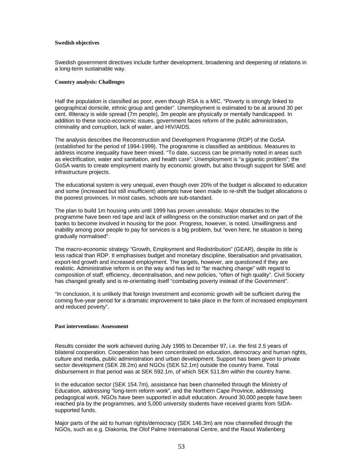#### **Swedish objectives**

Swedish government directives include further development, broadening and deepening of relations in a long-term sustainable way.

#### **Country analysis: Challenges**

Half the population is classified as poor, even though RSA is a MIC. "Poverty is strongly linked to geographical domicile, ethnic group and gender". Unemployment is estimated to be at around 30 per cent. Illiteracy is wide spread (7m people), 3m people are physically or mentally handicapped. In addition to these socio-economic issues, government faces reform of the public administration, criminality and corruption, lack of water, and HIV/AIDS.

The analysis describes the Reconstruction and Development Programme (RDP) of the GoSA (established for the period of 1994-1999). The programme is classified as ambitious. Measures to address income inequality have been mixed. "To date, success can be primarily noted in areas such as electrification, water and sanitation, and health care". Unemployment is "a gigantic problem"; the GoSA wants to create employment mainly by economic growth, but also through support for SME and infrastructure projects.

The educational system is very unequal, even though over 20% of the budget is allocated to education and some (increased but still insufficient) attempts have been made to re-shift the budget allocations o the poorest provinces. In most cases, schools are sub-standard.

The plan to build 1m housing units until 1999 has proven unrealistic. Major obstacles to the programme have been red tape and lack of willingness on the construction market and on part of the banks to become involved in housing for the poor. Progress, however, is noted. Unwillingness and inability among poor people to pay for services is a big problem, but "even here, he situation is being gradually normalised".

The macro-economic strategy "Growth, Employment and Redistribution" (GEAR), despite its title is less radical than RDP. It emphasises budget and monetary discipline, liberalisation and privatisation, export-led growth and increased employment. The targets, however, are questioned if they are realistic. Administrative reform is on the way and has led to "far reaching change" with regard to composition of staff, efficiency, decentralisation, and new policies, "often of high quality". Civil Society has changed greatly and is re-orientating itself "combating poverty instead of the Government".

"In conclusion, it is unlikely that foreign investment and economic growth will be sufficient during the coming five-year period for a dramatic improvement to take place in the form of increased employment and reduced poverty".

#### **Past interventions: Assessment**

Results consider the work achieved during July 1995 to December 97, i.e. the first 2.5 years of bilateral cooperation. Cooperation has been concentrated on education, democracy and human rights, culture and media, public administration and urban development. Support has been given to private sector development (SEK 28.2m) and NGOs (SEK 52.1m) outside the country frame. Total disbursement in that period was at SEK 592.1m, of which SEK 511.8m within the country frame.

In the education sector (SEK 154.7m), assistance has been channelled through the Ministry of Education, addressing "long-term reform work", and the Northern Cape Province, addressing pedagogical work. NGOs have been supported in adult education. Around 30,000 people have been reached p/a by the programmes, and 5,000 university students have received grants from SIDAsupported funds.

Major parts of the aid to human rights/democracy (SEK 146.3m) are now channelled through the NGOs, such as e.g. Diakonia, the Olof Palme International Centre, and the Raoul Wallenberg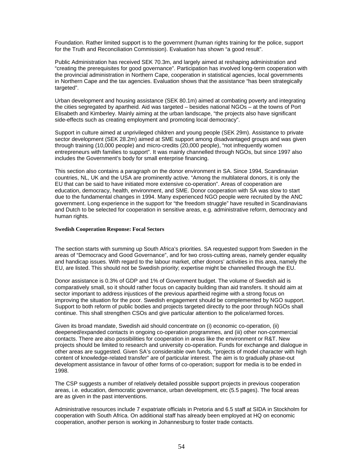Foundation. Rather limited support is to the government (human rights training for the police, support for the Truth and Reconciliation Commission). Evaluation has shown "a good result".

Public Administration has received SEK 70.3m, and largely aimed at reshaping administration and "creating the prerequisites for good governance". Participation has involved long-term cooperation with the provincial administration in Northern Cape, cooperation in statistical agencies, local governments in Northern Cape and the tax agencies. Evaluation shows that the assistance "has been strategically targeted".

Urban development and housing assistance (SEK 80.1m) aimed at combating poverty and integrating the cities segregated by apartheid. Aid was targeted – besides national NGOs – at the towns of Port Elisabeth and Kimberley. Mainly aiming at the urban landscape, "the projects also have significant side-effects such as creating employment and promoting local democracy".

Support in culture aimed at unprivileged children and young people (SEK 29m). Assistance to private sector development (SEK 28.2m) aimed at SME support among disadvantaged groups and was given through training (10,000 people) and micro-credits (20,000 people), "not infrequently women entrepreneurs with families to support". It was mainly channelled through NGOs, but since 1997 also includes the Government's body for small enterprise financing.

This section also contains a paragraph on the donor environment in SA. Since 1994, Scandinavian countries, NL, UK and the USA are prominently active. "Among the multilateral donors, it is only the EU that can be said to have initiated more extensive co-operation". Areas of cooperation are education, democracy, health, environment, and SME. Donor cooperation with SA was slow to start due to the fundamental changes in 1994. Many experienced NGO people were recruited by the ANC government. Long experience in the support for "the freedom struggle" have resulted in Scandinavians and Dutch to be selected for cooperation in sensitive areas, e.g. administrative reform, democracy and human rights.

#### **Swedish Cooperation Response: Focal Sectors**

The section starts with summing up South Africa's priorities. SA requested support from Sweden in the areas of "Democracy and Good Governance", and for two cross-cutting areas, namely gender equality and handicap issues. With regard to the labour market, other donors' activities in this area, namely the EU, are listed. This should not be Swedish priority; expertise might be channelled through the EU.

Donor assistance is 0.3% of GDP and 1% of Government budget. The volume of Swedish aid is comparatively small, so it should rather focus on capacity building than aid transfers. It should aim at sector important to address injustices of the previous apartheid regime with a strong focus on improving the situation for the poor. Swedish engagement should be complemented by NGO support. Support to both reform of public bodies and projects targeted directly to the poor through NGOs shall continue. This shall strengthen CSOs and give particular attention to the police/armed forces.

Given its broad mandate, Swedish aid should concentrate on (i) economic co-operation, (ii) deepened/expanded contacts in ongoing co-operation programmes, and (iii) other non-commercial contacts. There are also possibilities for cooperation in areas like the environment or R&T. New projects should be limited to research and university co-operation. Funds for exchange and dialogue in other areas are suggested. Given SA's considerable own funds, "projects of model character with high content of knowledge-related transfer" are of particular interest. The aim is to gradually phase-out development assistance in favour of other forms of co-operation; support for media is to be ended in 1998.

The CSP suggests a number of relatively detailed possible support projects in previous cooperation areas, i.e. education, democratic governance, urban development, etc (5.5 pages). The focal areas are as given in the past interventions.

Administrative resources include 7 expatriate officials in Pretoria and 6.5 staff at SIDA in Stockholm for cooperation with South Africa. On additional staff has already been employed at HQ on economic cooperation, another person is working in Johannesburg to foster trade contacts.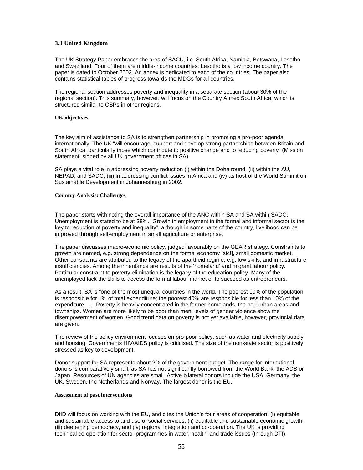## **3.3 United Kingdom**

The UK Strategy Paper embraces the area of SACU, i.e. South Africa, Namibia, Botswana, Lesotho and Swaziland. Four of them are middle-income countries; Lesotho is a low income country. The paper is dated to October 2002. An annex is dedicated to each of the countries. The paper also contains statistical tables of progress towards the MDGs for all countries.

The regional section addresses poverty and inequality in a separate section (about 30% of the regional section). This summary, however, will focus on the Country Annex South Africa, which is structured similar to CSPs in other regions.

#### **UK objectives**

The key aim of assistance to SA is to strengthen partnership in promoting a pro-poor agenda internationally. The UK "will encourage, support and develop strong partnerships between Britain and South Africa, particularly those which contribute to positive change and to reducing poverty" (Mission statement, signed by all UK government offices in SA)

SA plays a vital role in addressing poverty reduction (i) within the Doha round, (ii) within the AU, NEPAD, and SADC, (iii) in addressing conflict issues in Africa and (iv) as host of the World Summit on Sustainable Development in Johannesburg in 2002.

#### **Country Analysis: Challenges**

The paper starts with noting the overall importance of the ANC within SA and SA within SADC. Unemployment is stated to be at 38%. "Growth in employment in the formal and informal sector is the key to reduction of poverty and inequality", although in some parts of the country, livelihood can be improved through self-employment in small agriculture or enterprise.

The paper discusses macro-economic policy, judged favourably on the GEAR strategy. Constraints to growth are named, e.g. strong dependence on the formal economy [sic!], small domestic market. Other constraints are attributed to the legacy of the apartheid regime, e.g. low skills, and infrastructure insufficiencies. Among the inheritance are results of the 'homeland' and migrant labour policy. Particular constraint to poverty elimination is the legacy of the education policy. Many of the unemployed lack the skills to access the formal labour market or to succeed as entrepreneurs.

As a result, SA is "one of the most unequal countries in the world. The poorest 10% of the population is responsible for 1% of total expenditure; the poorest 40% are responsible for less than 10% of the expenditure…". Poverty is heavily concentrated in the former homelands, the peri-urban areas and townships. Women are more likely to be poor than men; levels of gender violence show the disempowerment of women. Good trend data on poverty is not yet available, however, provincial data are given.

The review of the policy environment focuses on pro-poor policy, such as water and electricity supply and housing. Governments HIV/AIDS policy is criticised. The size of the non-state sector is positively stressed as key to development.

Donor support for SA represents about 2% of the government budget. The range for international donors is comparatively small, as SA has not significantly borrowed from the World Bank, the ADB or Japan. Resources of UN agencies are small. Active bilateral donors include the USA, Germany, the UK, Sweden, the Netherlands and Norway. The largest donor is the EU.

#### **Assessment of past interventions**

DfID will focus on working with the EU, and cites the Union's four areas of cooperation: (i) equitable and sustainable access to and use of social services, (ii) equitable and sustainable economic growth, (iii) deepening democracy, and (iv) regional integration and co-operation. The UK is providing technical co-operation for sector programmes in water, health, and trade issues (through DTI).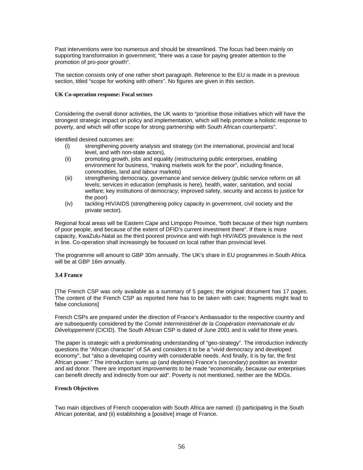Past interventions were too numerous and should be streamlined. The focus had been mainly on supporting transformation in government; "there was a case for paying greater attention to the promotion of pro-poor growth".

The section consists only of one rather short paragraph. Reference to the EU is made in a previous section, titled "scope for working with others". No figures are given in this section.

#### **UK Co-operation response: Focal sectors**

Considering the overall donor activities, the UK wants to "prioritise those initiatives which will have the strongest strategic impact on policy and implementation, which will help promote a holistic response to poverty, and which will offer scope for strong partnership with South African counterparts".

Identified desired outcomes are:

- (i) strengthening poverty analysis and strategy (on the international, provincial and local level, and with non-state actors),
- (ii) promoting growth, jobs and equality (restructuring public enterprises, enabling environment for business, "making markets work for the poor", including finance, commodities, land and labour markets)
- (iii) strengthening democracy, governance and service delivery (public service reform on all levels; services in education (emphasis is here), health, water, sanitation, and social welfare; key institutions of democracy; improved safety, security and access to justice for the poor)
- (iv) tackling HIV/AIDS (strengthening policy capacity in government, civil society and the private sector).

Regional focal areas will be Eastern Cape and Limpopo Province, "both because of their high numbers of poor people, and because of the extent of DFID's current investment there". If there is more capacity, KwaZulu-Natal as the third poorest province and with high HIV/AIDS prevalence is the next in line. Co-operation shall increasingly be focused on local rather than provincial level.

The programme will amount to GBP 30m annually. The UK's share in EU programmes in South Africa will be at GBP 16m annually.

#### **3.4 France**

[The French CSP was only available as a summary of 5 pages; the original document has 17 pages. The content of the French CSP as reported here has to be taken with care; fragments might lead to false conclusions]

French CSPs are prepared under the direction of France's Ambassador to the respective country and are subsequently considered by the *Comité Interministériel de la Coopération internationale et du Développement* (CICID). The South African CSP is dated of June 2001 and is valid for three years.

The paper is strategic with a predominating understanding of "geo-strategy". The introduction indirectly questions the "African character" of SA and considers it to be a "vivid democracy and developed economy", but "also a developing country with considerable needs. And finally, it is by far, the first African power." The introduction sums up (and deplores) France's (secondary) position as investor and aid donor. There are important improvements to be made "economically, because our enterprises can benefit directly and indirectly from our aid". Poverty is not mentioned, neither are the MDGs.

#### **French Objectives**

Two main objectives of French cooperation with South Africa are named: (i) participating in the South African potential, and (ii) establishing a [positive] image of France.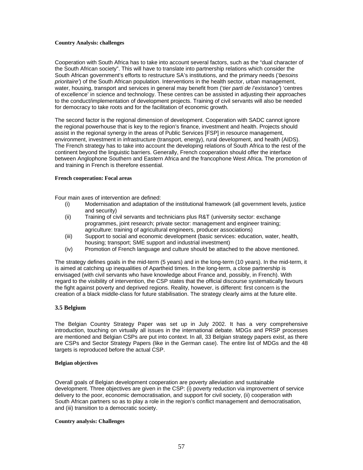#### **Country Analysis: challenges**

Cooperation with South Africa has to take into account several factors, such as the "dual character of the South African society". This will have to translate into partnership relations which consider the South African government's efforts to restructure SA's institutions, and the primary needs (*'besoins prioritaire'*) of the South African population. Interventions in the health sector, urban management, water, housing, transport and services in general may benefit from ('*tier parti de l'existance'*) 'centres of excellence' in science and technology. These centres can be assisted in adjusting their approaches to the conduct/implementation of development projects. Training of civil servants will also be needed for democracy to take roots and for the facilitation of economic growth.

The second factor is the regional dimension of development. Cooperation with SADC cannot ignore the regional powerhouse that is key to the region's finance, investment and health. Projects should assist in the regional synergy in the areas of Public Services [FSP] in resource management, environment, investment in infrastructure (transport, energy), rural development, and health (AIDS). The French strategy has to take into account the developing relations of South Africa to the rest of the continent beyond the linguistic barriers. Generally, French cooperation should offer the interface between Anglophone Southern and Eastern Africa and the francophone West Africa. The promotion of and training in French is therefore essential.

#### **French cooperation: Focal areas**

Four main axes of intervention are defined:

- (i) Modernisation and adaptation of the institutional framework (all government levels, justice and security)
- (ii) Training of civil servants and technicians plus R&T (university sector: exchange programmes, joint research; private sector: management and engineer training; agriculture: training of agricultural engineers, producer associations)
- (iii) Support to social and economic development (basic services: education, water, health, housing; transport; SME support and industrial investment)
- (iv) Promotion of French language and culture should be attached to the above mentioned.

The strategy defines goals in the mid-term (5 years) and in the long-term (10 years). In the mid-term, it is aimed at catching up inequalities of Apartheid times. In the long-term, a close partnership is envisaged (with civil servants who have knowledge about France and, possibly, in French). With regard to the visibility of intervention, the CSP states that the official discourse systematically favours the fight against poverty and deprived regions. Reality, however, is different: first concern is the creation of a black middle-class for future stabilisation. The strategy clearly aims at the future elite.

#### **3.5 Belgium**

The Belgian Country Strategy Paper was set up in July 2002. It has a very comprehensive introduction, touching on virtually all issues in the international debate. MDGs and PRSP processes are mentioned and Belgian CSPs are put into context. In all, 33 Belgian strategy papers exist, as there are CSPs and Sector Strategy Papers (like in the German case). The entire list of MDGs and the 48 targets is reproduced before the actual CSP.

#### **Belgian objectives**

Overall goals of Belgian development cooperation are poverty alleviation and sustainable development. Three objectives are given in the CSP: (i) poverty reduction via improvement of service delivery to the poor, economic democratisation, and support for civil society, (ii) cooperation with South African partners so as to play a role in the region's conflict management and democratisation, and (iii) transition to a democratic society.

#### **Country analysis: Challenges**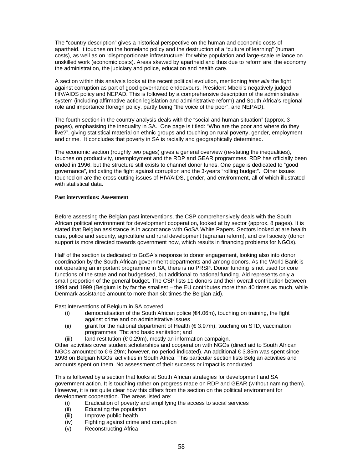The "country description" gives a historical perspective on the human and economic costs of apartheid. It touches on the homeland policy and the destruction of a "culture of learning" (human costs), as well as on "disproportionate infrastructure" for white population and large-scale reliance on unskilled work (economic costs). Areas skewed by apartheid and thus due to reform are: the economy, the administration, the judiciary and police, education and health care.

A section within this analysis looks at the recent political evolution, mentioning *inter alia* the fight against corruption as part of good governance endeavours, President Mbeki's negatively judged HIV/AIDS policy and NEPAD. This is followed by a comprehensive description of the administrative system (including affirmative action legislation and administrative reform) and South Africa's regional role and importance (foreign policy, partly being "the voice of the poor", and NEPAD).

The fourth section in the country analysis deals with the "social and human situation" (approx. 3 pages), emphasising the inequality in SA. One page is titled: "Who are the poor and where do they live?", giving statistical material on ethnic groups and touching on rural poverty, gender, employment and crime. It concludes that poverty in SA is racially and geographically determined.

The economic section (roughly two pages) gives a general overview (re-stating the inequalities), touches on productivity, unemployment and the RDP and GEAR programmes. RDP has officially been ended in 1996, but the structure still exists to channel donor funds. One page is dedicated to "good governance", indicating the fight against corruption and the 3-years "rolling budget". Other issues touched on are the cross-cutting issues of HIV/AIDS, gender, and environment, all of which illustrated with statistical data.

#### **Past interventions: Assessment**

Before assessing the Belgian past interventions, the CSP comprehensively deals with the South African political environment for development cooperation, looked at by sector (approx. 8 pages). It is stated that Belgian assistance is in accordance with GoSA White Papers. Sectors looked at are health care, police and security, agriculture and rural development (agrarian reform), and civil society (donor support is more directed towards government now, which results in financing problems for NGOs).

Half of the section is dedicated to GoSA's response to donor engagement, looking also into donor coordination by the South African government departments and among donors. As the World Bank is not operating an important programme in SA, there is no PRSP. Donor funding is not used for core functions of the state and not budgetised, but additional to national funding. Aid represents only a small proportion of the general budget. The CSP lists 11 donors and their overall contribution between 1994 and 1999 (Belgium is by far the smallest – the EU contributes more than 40 times as much, while Denmark assistance amount to more than six times the Belgian aid).

Past interventions of Belgium in SA covered

- (i) democratisation of the South African police (€4.06m), touching on training, the fight against crime and on administrative issues
- (ii) grant for the national department of Health ( $\epsilon$ 3.97m), touching on STD, vaccination programmes, Tbc and basic sanitation; and
- (iii) land restitution ( $\epsilon$  0.29m), mostly an information campaign.

Other activities cover student scholarships and cooperation with NGOs (direct aid to South African NGOs amounted to € 6.29m; however, no period indicated). An additional € 3.85m was spent since 1998 on Belgian NGOs' activities in South Africa. This particular section lists Belgian activities and amounts spent on them. No assessment of their success or impact is conducted.

This is followed by a section that looks at South African strategies for development and SA government action. It is touching rather on progress made on RDP and GEAR (without naming them). However, it is not quite clear how this differs from the section on the political environment for development cooperation. The areas listed are:

- (i) Eradication of poverty and amplifying the access to social services
- (ii) Educating the population
- (iii) Improve public health
- (iv) Fighting against crime and corruption<br>(v) Reconstructing Africa
- Reconstructing Africa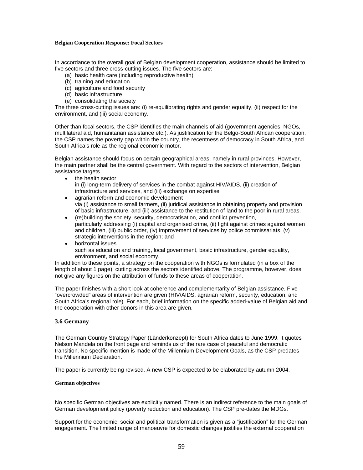#### **Belgian Cooperation Response: Focal Sectors**

In accordance to the overall goal of Belgian development cooperation, assistance should be limited to five sectors and three cross-cutting issues. The five sectors are:

- (a) basic health care (including reproductive health)
- (b) training and education
- (c) agriculture and food security
- (d) basic infrastructure
- (e) consolidating the society

The three cross-cutting issues are: (i) re-equilibrating rights and gender equality, (ii) respect for the environment, and (iii) social economy.

Other than focal sectors, the CSP identifies the main channels of aid (government agencies, NGOs, multilateral aid, humanitarian assistance etc.). As justification for the Belgo-South African cooperation, the CSP names the poverty gap within the country, the recentness of democracy in South Africa, and South Africa's role as the regional economic motor.

Belgian assistance should focus on certain geographical areas, namely in rural provinces. However, the main partner shall be the central government. With regard to the sectors of intervention, Belgian assistance targets

- the health sector
	- in (i) long-term delivery of services in the combat against HIV/AIDS, (ii) creation of infrastructure and services, and (iii) exchange on expertise
- agrarian reform and economic development via (i) assistance to small farmers, (ii) juridical assistance in obtaining property and provision of basic infrastructure, and (iii) assistance to the restitution of land to the poor in rural areas.
- (re)building the society, security, democratisation, and conflict prevention, particularly addressing (i) capital and organised crime, (ii) fight against crimes against women and children, (iii) public order, (iv) improvement of services by police commissariats, (v) strategic interventions in the region; and
- horizontal issues such as education and training, local government, basic infrastructure, gender equality, environment, and social economy.

In addition to these points, a strategy on the cooperation with NGOs is formulated (in a box of the length of about 1 page), cutting across the sectors identified above. The programme, however, does not give any figures on the attribution of funds to these areas of cooperation.

The paper finishes with a short look at coherence and complementarity of Belgian assistance. Five "overcrowded" areas of intervention are given (HIV/AIDS, agrarian reform, security, education, and South Africa's regional role). For each, brief information on the specific added-value of Belgian aid and the cooperation with other donors in this area are given.

## **3.6 Germany**

The German Country Strategy Paper (Länderkonzept) for South Africa dates to June 1999. It quotes Nelson Mandela on the front page and reminds us of the rare case of peaceful and democratic transition. No specific mention is made of the Millennium Development Goals, as the CSP predates the Millennium Declaration.

The paper is currently being revised. A new CSP is expected to be elaborated by autumn 2004.

#### **German objectives**

No specific German objectives are explicitly named. There is an indirect reference to the main goals of German development policy (poverty reduction and education). The CSP pre-dates the MDGs.

Support for the economic, social and political transformation is given as a "justification" for the German engagement. The limited range of manoeuvre for domestic changes justifies the external cooperation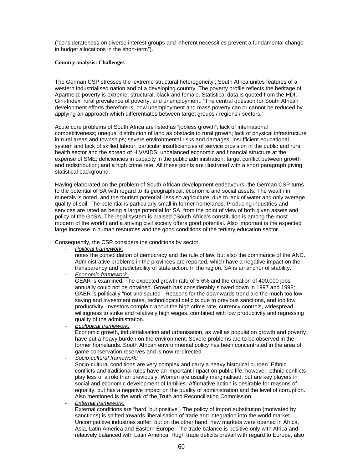("considerateness on diverse interest groups and inherent necessities prevent a fundamental change in budget allocations in the short-term").

#### **Country analysis: Challenges**

The German CSP stresses the 'extreme structural heterogeneity'; South Africa unites features of a western industrialised nation and of a developing country. The poverty profile reflects the heritage of Apartheid: poverty is extreme, structural, black and female. Statistical data is quoted from the HDI, Gini-Index, rural prevalence of poverty, and unemployment. "The central question for South African development efforts therefore is, how unemployment and mass poverty can or cannot be reduced by applying an approach which differentiates between target groups / regions / sectors."

Acute core problems of South Africa are listed as "jobless growth"; lack of international competitiveness; unequal distribution of land as obstacle to rural growth; lack of physical infrastructure in rural areas and townships; severe environmental risks and damages; insufficient educational system and lack of skilled labour; particular insufficiencies of service provision in the public and rural health sector and the spread of HIV/AIDS; unbalanced economic and financial structure at the expense of SME; deficiencies in capacity in the public administration; target conflict between growth and redistribution; and a high crime rate. All these points are illustrated with a short paragraph giving statistical background.

Having elaborated on the problem of South African development endeavours, the German CSP turns to the potential of SA with regard to its geographical, economic and social assets. The wealth in minerals is noted, and the tourism potential; less so agriculture, due to lack of water and only average quality of soil. The potential is particularly small in former homelands. Producing industries and services are rated as being a large potential for SA, from the point of view of both given assets and policy of the GoSA. The legal system is praised ('South Africa's constitution is among the most modern of the world') and a striving civil society offers good potential. Also important is the expected large increase in human resources and the good conditions of the tertiary education sector.

Consequently, the CSP considers the conditions by sector.

- *Political framework:* 

notes the consolidation of democracy and the rule of law, but also the dominance of the ANC. Administrative problems in the provinces are reported, which have a negative impact on the transparency and predictability of state action. In the region, SA is an anchor of stability. - *Economic framework:*

GEAR is examined. The expected growth rate of 5-6% and the creation of 400.000 jobs annually could not be obtained. Growth has considerably slowed down in 1997 and 1998; GAER is politically "not undisputed". Reasons for the downwards trend are the much too low saving and investment rates, technological deficits due to previous sanctions, and too low productivity. Investors complain about the high crime rate, currency controls, widespread willingness to strike and relatively high wages, combined with low productivity and regressing quality of the administration.

- *Ecological framework:*

Economic growth, industrialisation and urbanisation, as well as population growth and poverty have put a heavy burden on the environment. Severe problems are to be observed in the former homelands. South African environmental policy has been concentrated in the area of game conservation reserves and is now re-directed.

- *Socio-cultural framework:* 

Socio-cultural conditions are very complex and carry a heavy historical burden. Ethnic conflicts and traditional rules have an important impact on public life; however, ethnic conflicts play less of a role than previously. Women are usually marginalised, but are key players in social and economic development of families. Affirmative action is desirable for reasons of equality, but has a negative impact on the quality of administration and the level of corruption. Also mentioned is the work of the Truth and Reconciliation Commission.

#### - *External framework:*

External conditions are "hard, but positive". The policy of import substitution (motivated by sanctions) is shifted towards liberalisation of trade and integration into the world market. Uncompetitive industries suffer, but on the other hand, new markets were opened in Africa, Asia, Latin America and Eastern Europe. The trade balance is positive only with Africa and relatively balanced with Latin America. Hugh trade deficits prevail with regard to Europe, also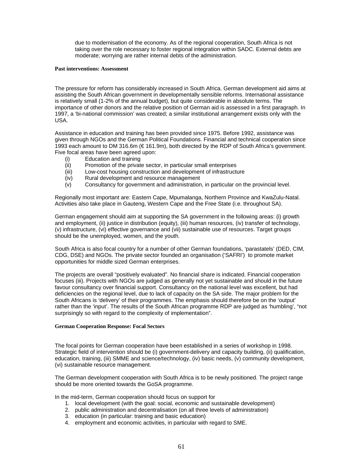due to modernisation of the economy. As of the regional cooperation, South Africa is not taking over the role necessary to foster regional integration within SADC. External debts are moderate; worrying are rather internal debts of the administration.

#### **Past interventions: Assessment**

The pressure for reform has considerably increased in South Africa. German development aid aims at assisting the South African government in developmentally sensible reforms. International assistance is relatively small (1-2% of the annual budget), but quite considerable in absolute terms. The importance of other donors and the relative position of German aid is assessed in a first paragraph. In 1997, a 'bi-national commission' was created; a similar institutional arrangement exists only with the USA.

Assistance in education and training has been provided since 1975. Before 1992, assistance was given through NGOs and the German Political Foundations. Financial and technical cooperation since 1993 each amount to DM 316.6m (€ 161.9m), both directed by the RDP of South Africa's government. Five focal areas have been agreed upon:

- (i) Education and training
- (ii) Promotion of the private sector, in particular small enterprises
- (iii) Low-cost housing construction and development of infrastructure
- (iv) Rural development and resource management
- (v) Consultancy for government and administration, in particular on the provincial level.

Regionally most important are: Eastern Cape, Mpumalanga, Northern Province and KwaZulu-Natal. Activities also take place in Gauteng, Western Cape and the Free State (i.e. throughout SA).

German engagement should aim at supporting the SA government in the following areas: (i) growth and employment, (ii) justice in distribution (equity), (iii) human resources, (iv) transfer of technology, (v) infrastructure, (vi) effective governance and (vii) sustainable use of resources. Target groups should be the unemployed, women, and the youth.

South Africa is also focal country for a number of other German foundations, 'parastatels' (DED, CIM, CDG, DSE) and NGOs. The private sector founded an organisation ('SAFRI') to promote market opportunities for middle sized German enterprises.

The projects are overall "positively evaluated". No financial share is indicated. Financial cooperation focuses (iii). Projects with NGOs are judged as generally not yet sustainable and should in the future favour consultancy over financial support. Consultancy on the national level was excellent, but had deficiencies on the regional level, due to lack of capacity on the SA side. The major problem for the South Africans is 'delivery' of their programmes. The emphasis should therefore be on the 'output' rather than the 'input'. The results of the South African programme RDP are judged as 'humbling', "not surprisingly so with regard to the complexity of implementation".

#### **German Cooperation Response: Focal Sectors**

The focal points for German cooperation have been established in a series of workshop in 1998. Strategic field of intervention should be (i) government-delivery and capacity building, (ii) qualification, education, training, (iii) SMME and science/technology, (iv) basic needs, (v) community development, (vi) sustainable resource management.

The German development cooperation with South Africa is to be newly positioned. The project range should be more oriented towards the GoSA programme.

In the mid-term, German cooperation should focus on support for

- 1. local development (with the goal: social, economic and sustainable development)
- 2. public administration and decentralisation (on all three levels of administration)
- 3. education (in particular: training and basic education)
- 4. employment and economic activities, in particular with regard to SME.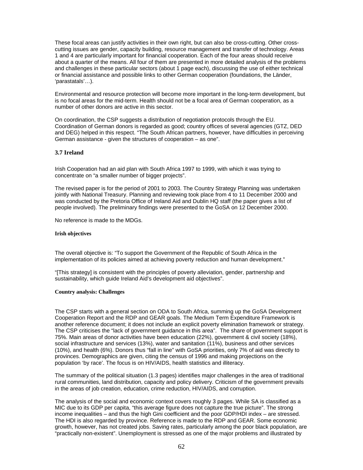These focal areas can justify activities in their own right, but can also be cross-cutting. Other crosscutting issues are gender, capacity building, resource management and transfer of technology. Areas 1 and 4 are particularly important for financial cooperation. Each of the four areas should receive about a quarter of the means. All four of them are presented in more detailed analysis of the problems and challenges in these particular sectors (about 1 page each), discussing the use of either technical or financial assistance and possible links to other German cooperation (foundations, the Länder, 'parastatals'…).

Environmental and resource protection will become more important in the long-term development, but is no focal areas for the mid-term. Health should not be a focal area of German cooperation, as a number of other donors are active in this sector.

On coordination, the CSP suggests a distribution of negotiation protocols through the EU. Coordination of German donors is regarded as good; country offices of several agencies (GTZ, DED and DEG) helped in this respect. "The South African partners, however, have difficulties in perceiving German assistance - given the structures of cooperation – as one".

## **3.7 Ireland**

Irish Cooperation had an aid plan with South Africa 1997 to 1999, with which it was trying to concentrate on "a smaller number of bigger projects".

The revised paper is for the period of 2001 to 2003. The Country Strategy Planning was undertaken jointly with National Treasury. Planning and reviewing took place from 4 to 11 December 2000 and was conducted by the Pretoria Office of Ireland Aid and Dublin HQ staff (the paper gives a list of people involved). The preliminary findings were presented to the GoSA on 12 December 2000.

No reference is made to the MDGs.

#### **Irish objectives**

The overall objective is: "To support the Government of the Republic of South Africa in the implementation of its policies aimed at achieving poverty reduction and human development."

"[This strategy] is consistent with the principles of poverty alleviation, gender, partnership and sustainability, which guide Ireland Aid's development aid objectives".

#### **Country analysis: Challenges**

The CSP starts with a general section on ODA to South Africa, summing up the GoSA Development Cooperation Report and the RDP and GEAR goals. The Medium Term Expenditure Framework is another reference document; it does not include an explicit poverty elimination framework or strategy. The CSP criticises the "lack of government guidance in this area". The share of government support is 75%. Main areas of donor activities have been education (22%), government & civil society (18%), social infrastructure and services (13%), water and sanitation (11%), business and other services (10%), and health (6%). Donors thus "fall in line" with GoSA priorities, only 7% of aid was directly to provinces. Demographics are given, citing the census of 1996 and making projections on the population 'by race'. The focus is on HIV/AIDS, health statistics and illiteracy.

The summary of the political situation (1.3 pages) identifies major challenges in the area of traditional rural communities, land distribution, capacity and policy delivery. Criticism of the government prevails in the areas of job creation, education, crime reduction, HIV/AIDS, and corruption.

The analysis of the social and economic context covers roughly 3 pages. While SA is classified as a MIC due to its GDP per capita, "this average figure does not capture the true picture". The strong income inequalities – and thus the high Gini coefficient and the poor GDP/HDI index – are stressed. The HDI is also regarded by province. Reference is made to the RDP and GEAR. Some economic growth, however, has not created jobs. Saving rates, particularly among the poor black population, are "practically non-existent". Unemployment is stressed as one of the major problems and illustrated by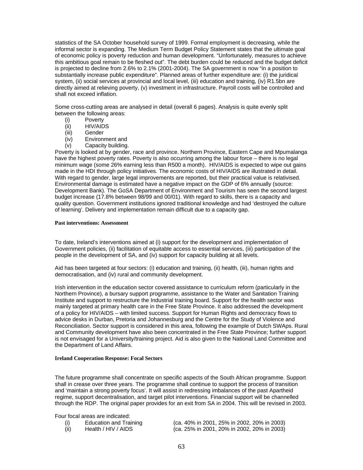statistics of the SA October household survey of 1999. Formal employment is decreasing, while the informal sector is expanding. The Medium Term Budget Policy Statement states that the ultimate goal of economic policy is poverty reduction and human development. "Unfortunately, measures to achieve this ambitious goal remain to be fleshed out". The debt burden could be reduced and the budget deficit is projected to decline from 2.6% to 2.1% (2001-2004). The SA government is now "in a position to substantially increase public expenditure". Planned areas of further expenditure are: (i) the juridical system, (ii) social services at provincial and local level, (iii) education and training, (iv) R1.5bn are directly aimed at relieving poverty, (v) investment in infrastructure. Payroll costs will be controlled and shall not exceed inflation.

Some cross-cutting areas are analysed in detail (overall 6 pages). Analysis is quite evenly split between the following areas:

- (i) Poverty
- (ii) HIV/AIDS
- (iii) Gender
- (iv) Environment and
- (v) Capacity building.

Poverty is looked at by gender, race and province. Northern Province, Eastern Cape and Mpumalanga have the highest poverty rates. Poverty is also occurring among the labour force – there is no legal minimum wage (some 26% earning less than R500 a month). HIV/AIDS is expected to wipe out gains made in the HDI through policy initiatives. The economic costs of HIV/AIDS are illustrated in detail. With regard to gender, large legal improvements are reported, but their practical value is relativised. Environmental damage is estimated have a negative impact on the GDP of 6% annually (source: Development Bank). The GoSA Department of Environment and Tourism has seen the second largest budget increase (17.8% between 98/99 and 00/01). With regard to skills, there is a capacity and quality question. Government institutions ignored traditional knowledge and had 'destroyed the culture of learning'. Delivery and implementation remain difficult due to a capacity gap.

#### **Past interventions: Assessment**

To date, Ireland's interventions aimed at (i) support for the development and implementation of Government policies, (ii) facilitation of equitable access to essential services, (iii) participation of the people in the development of SA, and (iv) support for capacity building at all levels.

Aid has been targeted at four sectors: (i) education and training, (ii) health, (iii), human rights and democratisation, and (iv) rural and community development.

Irish intervention in the education sector covered assistance to curriculum reform (particularly in the Northern Province), a bursary support programme, assistance to the Water and Sanitation Training Institute and support to restructure the Industrial training board. Support for the health sector was mainly targeted at primary health care in the Free State Province. It also addressed the development of a policy for HIV/AIDS – with limited success. Support for Human Rights and democracy flows to advice desks in Durban, Pretoria and Johannesburg and the Centre for the Study of Violence and Reconciliation. Sector support is considered in this area, following the example of Dutch SWAps. Rural and Community development have also been concentrated in the Free State Province; further support is not envisaged for a University/training project. Aid is also given to the National Land Committee and the Department of Land Affairs.

#### **Ireland Cooperation Response: Focal Sectors**

The future programme shall concentrate on specific aspects of the South African programme. Support shall in crease over three years. The programme shall continue to support the process of transition and 'maintain a strong poverty focus'. It will assist in redressing imbalances of the past Apartheid regime, support decentralisation, and target pilot interventions. Financial support will be channelled through the RDP. The original paper provides for an exit from SA in 2004. This will be revised in 2003.

Four focal areas are indicated:

| (i)  | Education and Training | (ca. 40% in 2001, 25% in 2002, 20% in 2003) |
|------|------------------------|---------------------------------------------|
| (ii) | Health / HIV / AIDS    | (ca. 25% in 2001, 20% in 2002, 20% in 2003) |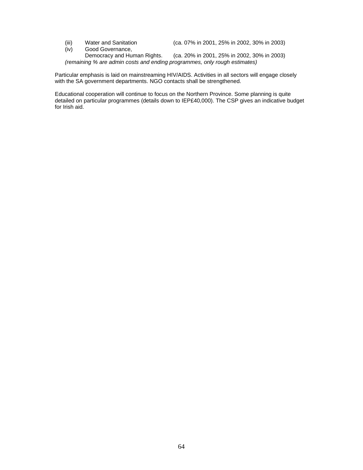(iii) Water and Sanitation (ca. 07% in 2001, 25% in 2002, 30% in 2003)<br>(iv) Good Governance,

Good Governance,<br>Democracy and Human Rights. (ca. 20% in 2001, 25% in 2002, 30% in 2003) *(remaining % are admin costs and ending programmes, only rough estimates)* 

Particular emphasis is laid on mainstreaming HIV/AIDS. Activities in all sectors will engage closely with the SA government departments. NGO contacts shall be strengthened.

Educational cooperation will continue to focus on the Northern Province. Some planning is quite detailed on particular programmes (details down to IEP£40,000). The CSP gives an indicative budget for Irish aid.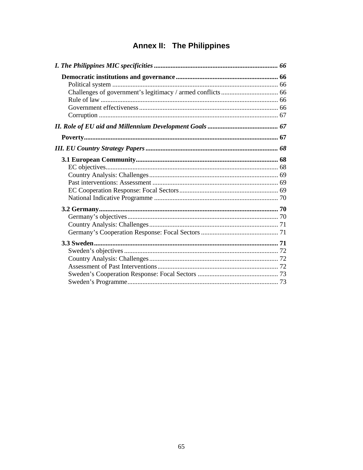# Annex II: The Philippines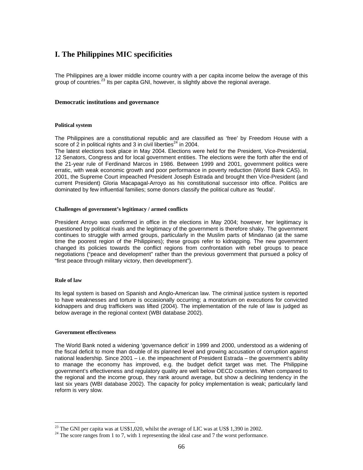# **I. The Philippines MIC specificities**

The Philippines are a lower middle income country with a per capita income below the average of this group of countries.<sup>23</sup> Its per capita GNI, however, is slightly above the regional average.

#### **Democratic institutions and governance**

#### **Political system**

The Philippines are a constitutional republic and are classified as 'free' by Freedom House with a score of 2 in political rights and 3 in civil liberties<sup> $24$ </sup> in 2004.

The latest elections took place in May 2004. Elections were held for the President, Vice-Presidential, 12 Senators, Congress and for local government entities. The elections were the forth after the end of the 21-year rule of Ferdinand Marcos in 1986. Between 1999 and 2001, government politics were erratic, with weak economic growth and poor performance in poverty reduction (World Bank CAS). In 2001, the Supreme Court impeached President Joseph Estrada and brought then Vice-President (and current President) Gloria Macapagal-Arroyo as his constitutional successor into office. Politics are dominated by few influential families; some donors classify the political culture as 'feudal'.

#### **Challenges of government's legitimacy / armed conflicts**

President Arroyo was confirmed in office in the elections in May 2004; however, her legitimacy is questioned by political rivals and the legitimacy of the government is therefore shaky. The government continues to struggle with armed groups, particularly in the Muslim parts of Mindanao (at the same time the poorest region of the Philippines); these groups refer to kidnapping. The new government changed its policies towards the conflict regions from confrontation with rebel groups to peace negotiations ("peace and development" rather than the previous government that pursued a policy of "first peace through military victory, then development").

#### **Rule of law**

 $\overline{a}$ 

Its legal system is based on Spanish and Anglo-American law. The criminal justice system is reported to have weaknesses and torture is occasionally occurring; a moratorium on executions for convicted kidnappers and drug traffickers was lifted (2004). The implementation of the rule of law is judged as below average in the regional context (WBI database 2002).

#### **Government effectiveness**

The World Bank noted a widening 'governance deficit' in 1999 and 2000, understood as a widening of the fiscal deficit to more than double of its planned level and growing accusation of corruption against national leadership. Since 2001 – i.e. the impeachment of President Estrada – the government's ability to manage the economy has improved, e.g. the budget deficit target was met. The Philippine government's effectiveness and regulatory quality are well below OECD countries. When compared to the regional and the income group, they rank around average, but show a declining tendency in the last six years (WBI database 2002). The capacity for policy implementation is weak; particularly land reform is very slow.

 $^{23}$  The GNI per capita was at US\$1,020, whilst the average of LIC was at US\$ 1,390 in 2002.

 $24$  The score ranges from 1 to 7, with 1 representing the ideal case and 7 the worst performance.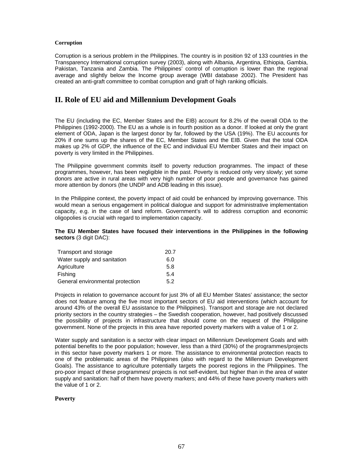## **Corruption**

Corruption is a serious problem in the Philippines. The country is in position 92 of 133 countries in the Transparency International corruption survey (2003), along with Albania, Argentina, Ethiopia, Gambia, Pakistan, Tanzania and Zambia. The Philippines' control of corruption is lower than the regional average and slightly below the Income group average (WBI database 2002). The President has created an anti-graft committee to combat corruption and graft of high ranking officials.

# **II. Role of EU aid and Millennium Development Goals**

The EU (including the EC, Member States and the EIB) account for 8.2% of the overall ODA to the Philippines (1992-2000). The EU as a whole is in fourth position as a donor. If looked at only the grant element of ODA, Japan is the largest donor by far, followed by the USA (19%). The EU accounts for 20% if one sums up the shares of the EC, Member States and the EIB. Given that the total ODA makes up 2% of GDP, the influence of the EC and individual EU Member States and their impact on poverty is very limited in the Philippines.

The Philippine government commits itself to poverty reduction programmes. The impact of these programmes, however, has been negligible in the past. Poverty is reduced only very slowly; yet some donors are active in rural areas with very high number of poor people and governance has gained more attention by donors (the UNDP and ADB leading in this issue).

In the Philippine context, the poverty impact of aid could be enhanced by improving governance. This would mean a serious engagement in political dialogue and support for administrative implementation capacity, e.g. in the case of land reform. Government's will to address corruption and economic oligopolies is crucial with regard to implementation capacity.

#### **The EU Member States have focused their interventions in the Philippines in the following sectors** (3 digit DAC):

| Transport and storage            | 20.7 |
|----------------------------------|------|
| Water supply and sanitation      | 6.0  |
| Agriculture                      | 5.8  |
| Fishing                          | 5.4  |
| General environmental protection | 5.2  |

Projects in relation to governance account for just 3% of all EU Member States' assistance; the sector does not feature among the five most important sectors of EU aid interventions (which account for around 43% of the overall EU assistance to the Philippines). Transport and storage are not declared priority sectors in the country strategies – the Swedish cooperation, however, had positively discussed the possibility of projects in infrastructure that should come on the request of the Philippine government. None of the projects in this area have reported poverty markers with a value of 1 or 2.

Water supply and sanitation is a sector with clear impact on Millennium Development Goals and with potential benefits to the poor population; however, less than a third (30%) of the programmes/projects in this sector have poverty markers 1 or more. The assistance to environmental protection reacts to one of the problematic areas of the Philippines (also with regard to the Millennium Development Goals). The assistance to agriculture potentially targets the poorest regions in the Philippines. The pro-poor impact of these programmes/ projects is not self-evident, but higher than in the area of water supply and sanitation: half of them have poverty markers; and 44% of these have poverty markers with the value of 1 or 2.

#### **Poverty**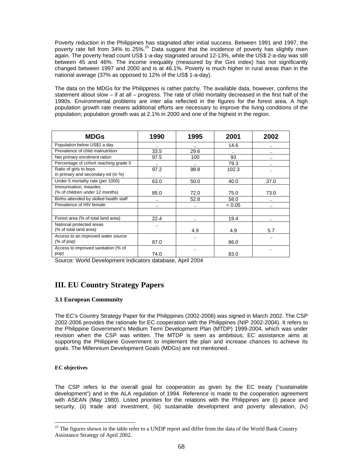Poverty reduction in the Philippines has stagnated after initial success. Between 1991 and 1997, the poverty rate fell from 34% to 25%.<sup>25</sup> Data suggest that the incidence of poverty has slightly risen again. The poverty head count US\$ 1-a-day stagnated around 12-13%, while the US\$ 2-a-day was still between 45 and 46%. The income inequality (measured by the Gini index) has not significantly changed between 1997 and 2000 and is at 46.1%. Poverty is much higher in rural areas than in the national average (37% as opposed to 12% of the US\$ 1-a-day).

The data on the MDGs for the Philippines is rather patchy. The available data, however, confirms the statement about slow – if at all – progress. The rate of child mortality decreased in the first half of the 1990s. Environmental problems are inter alia reflected in the figures for the forest area. A high population growth rate means additional efforts are necessary to improve the living conditions of the population; population growth was at 2.1% in 2000 and one of the highest in the region.

| <b>MDGs</b>                                                  | 1990                 | 1995    | 2001     | 2002                 |
|--------------------------------------------------------------|----------------------|---------|----------|----------------------|
| Population below US\$1 a day                                 | $\ddot{\phantom{a}}$ |         | 14.6     |                      |
| Prevalence of child malnutrition                             | 33.5                 | 29.6    | $\cdots$ | $\cdot$ .            |
| Net primary enrolment ration                                 | 97.5                 | 100     | 93       |                      |
| Percentage of cohort reaching grade 5                        | $\cdots$             |         | 79.3     |                      |
| Ratio of girls to boys<br>in primary and secondary ed (in %) | 97.2                 | 98.8    | 102.3    |                      |
| Under 5 mortality rate (per 1000)                            | 63.0                 | 50.0    | 40.0     | 37.0                 |
| Immunisation, measles<br>(% of children under 12 months)     | 85.0                 | 72.0    | 75.0     | 73.0                 |
| Births attended by skilled health staff                      |                      | 52.8    | 58.0     | $\cdot$              |
| Prevalence of HIV female                                     |                      | $\cdot$ | < 0.05   | $\ddot{\phantom{a}}$ |
|                                                              |                      |         |          |                      |
| Forest area (% of total land area)                           | 22.4                 |         | 19.4     | $\ddot{\phantom{a}}$ |
| National protected areas<br>(% of total land area)           | $\cdot$ .            | 4.9     | 4.9      | 5.7                  |
| Access to an improved water source<br>$%$ of pop)            | 87.0                 |         | 86.0     |                      |
| Access to improved sanitation (% of<br>pop)                  | 74.0                 |         | 83.0     |                      |

Source: World Development Indicators database, April 2004

# **III. EU Country Strategy Papers**

## **3.1 European Community**

The EC's Country Strategy Paper for the Philippines (2002-2006) was signed in March 2002. The CSP 2002-2006 provides the rationale for EC cooperation with the Philippines (NIP 2002-2004). It refers to the Philippine Government's Medium Term Development Plan (MTDP) 1999-2004, which was under revision when the CSP was written. The MTDP is seen as ambitious; EC assistance aims at supporting the Philippine Government to implement the plan and increase chances to achieve its goals. The Millennium Development Goals (MDGs) are not mentioned.

## **EC objectives**

 $\overline{a}$ 

The CSP refers to the overall goal for cooperation as given by the EC treaty ("sustainable development") and in the ALA regulation of 1994. Reference is made to the cooperation agreement with ASEAN (May 1980). Listed priorities for the relations with the Philippines are (i) peace and security, (ii) trade and investment, (iii) sustainable development and poverty alleviation, (iv)

<sup>&</sup>lt;sup>25</sup> The figures shown in the table refer to a UNDP report and differ from the data of the World Bank Country Assistance Strategy of April 2002.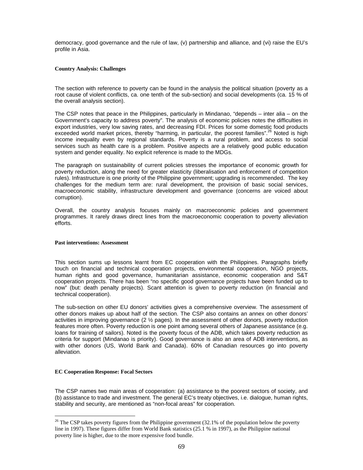democracy, good governance and the rule of law, (v) partnership and alliance, and (vi) raise the EU's profile in Asia.

#### **Country Analysis: Challenges**

The section with reference to poverty can be found in the analysis the political situation (poverty as a root cause of violent conflicts, ca. one tenth of the sub-section) and social developments (ca. 15 % of the overall analysis section).

The CSP notes that peace in the Philippines, particularly in Mindanao, "depends – inter alia – on the Government's capacity to address poverty". The analysis of economic policies notes the difficulties in export industries, very low saving rates, and decreasing FDI. Prices for some domestic food products exceeded world market prices, thereby "harming, in particular, the poorest families".<sup>26</sup> Noted is high income inequality even by regional standards. Poverty is a rural problem, and access to social services such as health care is a problem. Positive aspects are a relatively good public education system and gender equality. No explicit reference is made to the MDGs.

The paragraph on sustainability of current policies stresses the importance of economic growth for poverty reduction, along the need for greater elasticity (liberalisation and enforcement of competition rules). Infrastructure is one priority of the Philippine government; upgrading is recommended. The key challenges for the medium term are: rural development, the provision of basic social services, macroeconomic stability, infrastructure development and governance (concerns are voiced about corruption).

Overall, the country analysis focuses mainly on macroeconomic policies and government programmes. It rarely draws direct lines from the macroeconomic cooperation to poverty alleviation efforts.

#### **Past interventions: Assessment**

This section sums up lessons learnt from EC cooperation with the Philippines. Paragraphs briefly touch on financial and technical cooperation projects, environmental cooperation, NGO projects, human rights and good governance, humanitarian assistance, economic cooperation and S&T cooperation projects. There has been "no specific good governance projects have been funded up to now" (but: death penalty projects). Scant attention is given to poverty reduction (in financial and technical cooperation).

The sub-section on other EU donors' activities gives a comprehensive overview. The assessment of other donors makes up about half of the section. The CSP also contains an annex on other donors' activities in improving governance (2  $\frac{1}{2}$  pages). In the assessment of other donors, poverty reduction features more often. Poverty reduction is one point among several others of Japanese assistance (e.g. loans for training of sailors). Noted is the poverty focus of the ADB, which takes poverty reduction as criteria for support (Mindanao is priority). Good governance is also an area of ADB interventions, as with other donors (US, World Bank and Canada). 60% of Canadian resources go into poverty alleviation.

#### **EC Cooperation Response: Focal Sectors**

 $\overline{a}$ 

The CSP names two main areas of cooperation: (a) assistance to the poorest sectors of society, and (b) assistance to trade and investment. The general EC's treaty objectives, i.e. dialogue, human rights, stability and security, are mentioned as "non-focal areas" for cooperation.

<sup>&</sup>lt;sup>26</sup> The CSP takes poverty figures from the Philippine government (32.1% of the population below the poverty line in 1997). These figures differ from World Bank statistics (25.1 % in 1997), as the Philippine national poverty line is higher, due to the more expensive food bundle.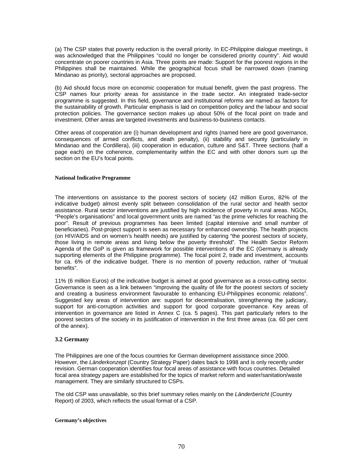(a) The CSP states that poverty reduction is the overall priority. In EC-Philippine dialogue meetings, it was acknowledged that the Philippines "could no longer be considered priority country". Aid would concentrate on poorer countries in Asia. Three points are made: Support for the poorest regions in the Philippines shall be maintained. While the geographical focus shall be narrowed down (naming Mindanao as priority), sectoral approaches are proposed.

(b) Aid should focus more on economic cooperation for mutual benefit, given the past progress. The CSP names four priority areas for assistance in the trade sector. An integrated trade-sector programme is suggested. In this field, governance and institutional reforms are named as factors for the sustainability of growth. Particular emphasis is laid on competition policy and the labour and social protection policies. The governance section makes up about 50% of the focal point on trade and investment. Other areas are targeted investments and business-to-business contacts.

Other areas of cooperation are (i) human development and rights (named here are good governance, consequences of armed conflicts, and death penalty), (ii) stability and security (particularly in Mindanao and the Cordillera), (iii) cooperation in education, culture and S&T. Three sections (half a page each) on the coherence, complementarity within the EC and with other donors sum up the section on the EU's focal points.

#### **National Indicative Programme**

The interventions on assistance to the poorest sectors of society (42 million Euros, 82% of the indicative budget) almost evenly split between consolidation of the rural sector and health sector assistance. Rural sector interventions are justified by high incidence of poverty in rural areas. NGOs, "People's organisations" and local government units are named "as the prime vehicles for reaching the poor". Result of previous programmes has been limited (capital intensive and small number of beneficiaries). Post-project support is seen as necessary for enhanced ownership. The health projects (on HIV/AIDS and on women's health needs) are justified by catering "the poorest sectors of society, those living in remote areas and living below the poverty threshold". The Health Sector Reform Agenda of the GoP is given as framework for possible interventions of the EC (Germany is already supporting elements of the Philippine programme). The focal point 2, trade and investment, accounts for ca. 6% of the indicative budget. There is no mention of poverty reduction, rather of "mutual benefits".

11% (6 million Euros) of the indicative budget is aimed at good governance as a cross-cutting sector. Governance is seen as a link between "improving the quality of life for the poorest sectors of society and creating a business environment favourable to enhancing EU-Philippines economic relations". Suggested key areas of intervention are: support for decentralisation, strengthening the judiciary, support for anti-corruption activities and support for good corporate governance. Key areas of intervention in governance are listed in Annex C (ca. 5 pages). This part particularly refers to the poorest sectors of the society in its justification of intervention in the first three areas (ca. 60 per cent of the annex).

#### **3.2 Germany**

The Philippines are one of the focus countries for German development assistance since 2000. However, the *Länderkonzept* (Country Strategy Paper) dates back to 1998 and is only recently under revision. German cooperation identifies four focal areas of assistance with focus countries. Detailed focal area strategy papers are established for the topics of market reform and water/sanitation/waste management. They are similarly structured to CSPs.

The old CSP was unavailable, so this brief summary relies mainly on the *Länderbericht* (Country Report) of 2003, which reflects the usual format of a CSP.

## **Germany's objectives**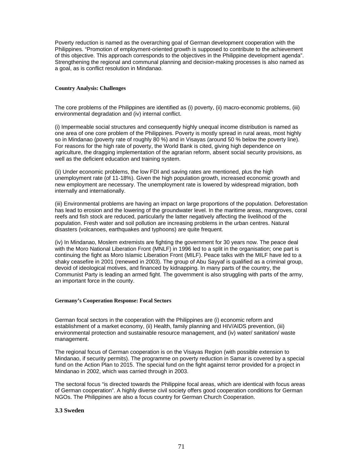Poverty reduction is named as the overarching goal of German development cooperation with the Philippines. "Promotion of employment-oriented growth is supposed to contribute to the achievement of this objective. This approach corresponds to the objectives in the Philippine development agenda". Strengthening the regional and communal planning and decision-making processes is also named as a goal, as is conflict resolution in Mindanao.

#### **Country Analysis: Challenges**

The core problems of the Philippines are identified as (i) poverty, (ii) macro-economic problems, (iii) environmental degradation and (iv) internal conflict.

(i) Impermeable social structures and consequently highly unequal income distribution is named as one area of one core problem of the Philippines. Poverty is mostly spread in rural areas, most highly so in Mindanao (poverty rate of roughly 80 %) and in Visayas (around 50 % below the poverty line). For reasons for the high rate of poverty, the World Bank is cited, giving high dependence on agriculture, the dragging implementation of the agrarian reform, absent social security provisions, as well as the deficient education and training system.

(ii) Under economic problems, the low FDI and saving rates are mentioned, plus the high unemployment rate (of 11-18%). Given the high population growth, increased economic growth and new employment are necessary. The unemployment rate is lowered by widespread migration, both internally and internationally.

(iii) Environmental problems are having an impact on large proportions of the population. Deforestation has lead to erosion and the lowering of the groundwater level. In the maritime areas, mangroves, coral reefs and fish stock are reduced, particularly the latter negatively affecting the livelihood of the population. Fresh water and soil pollution are increasing problems in the urban centres. Natural disasters (volcanoes, earthquakes and typhoons) are quite frequent.

(iv) In Mindanao, Moslem extremists are fighting the government for 30 years now. The peace deal with the Moro National Liberation Front (MNLF) in 1996 led to a split in the organisation; one part is continuing the fight as Moro Islamic Liberation Front (MILF). Peace talks with the MILF have led to a shaky ceasefire in 2001 (renewed in 2003). The group of Abu Sayyaf is qualified as a criminal group, devoid of ideological motives, and financed by kidnapping. In many parts of the country, the Communist Party is leading an armed fight. The government is also struggling with parts of the army, an important force in the county.

#### **Germany's Cooperation Response: Focal Sectors**

German focal sectors in the cooperation with the Philippines are (i) economic reform and establishment of a market economy, (ii) Health, family planning and HIV/AIDS prevention, (iii) environmental protection and sustainable resource management, and (iv) water/ sanitation/ waste management.

The regional focus of German cooperation is on the Visayas Region (with possible extension to Mindanao, if security permits). The programme on poverty reduction in Samar is covered by a special fund on the Action Plan to 2015. The special fund on the fight against terror provided for a project in Mindanao in 2002, which was carried through in 2003.

The sectoral focus "is directed towards the Philippine focal areas, which are identical with focus areas of German cooperation". A highly diverse civil society offers good cooperation conditions for German NGOs. The Philippines are also a focus country for German Church Cooperation.

#### **3.3 Sweden**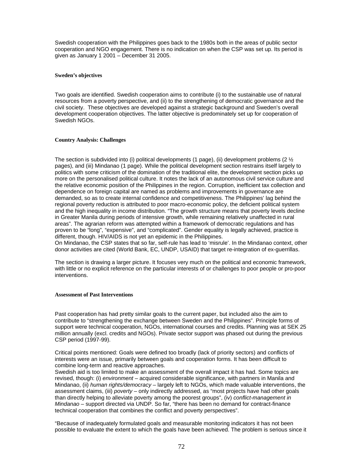Swedish cooperation with the Philippines goes back to the 1980s both in the areas of public sector cooperation and NGO engagement. There is no indication on when the CSP was set up. Its period is given as January 1 2001 – December 31 2005.

#### **Sweden's objectives**

Two goals are identified. Swedish cooperation aims to contribute (i) to the sustainable use of natural resources from a poverty perspective, and (ii) to the strengthening of democratic governance and the civil society. These objectives are developed against a strategic background and Sweden's overall development cooperation objectives. The latter objective is predominately set up for cooperation of Swedish NGOs.

#### **Country Analysis: Challenges**

The section is subdivided into (i) political developments (1 page), (ii) development problems (2  $\frac{1}{2}$ pages), and (iii) Mindanao (1 page). While the political development section restrains itself largely to politics with some criticism of the domination of the traditional elite, the development section picks up more on the personalised political culture. It notes the lack of an autonomous civil service culture and the relative economic position of the Philippines in the region. Corruption, inefficient tax collection and dependence on foreign capital are named as problems and improvements in governance are demanded, so as to create internal confidence and competitiveness. The Philippines' lag behind the regional poverty reduction is attributed to poor macro-economic policy, the deficient political system and the high inequality in income distribution. "The growth structure means that poverty levels decline in Greater Manila during periods of intensive growth, while remaining relatively unaffected in rural areas". The agrarian reform was attempted within a framework of democratic regulations and has proven to be "long", "expensive", and "complicated". Gender equality is legally achieved, practice is different, though. HIV/AIDS is not yet an epidemic in the Philippines.

On Mindanao, the CSP states that so far, self-rule has lead to 'misrule'. In the Mindanao context, other donor activities are cited (World Bank, EC, UNDP, USAID) that target re-integration of ex-guerrillas.

The section is drawing a larger picture. It focuses very much on the political and economic framework, with little or no explicit reference on the particular interests of or challenges to poor people or pro-poor interventions.

#### **Assessment of Past Interventions**

Past cooperation has had pretty similar goals to the current paper, but included also the aim to contribute to "strengthening the exchange between Sweden and the Philippines". Principle forms of support were technical cooperation, NGOs, international courses and credits. Planning was at SEK 25 million annually (excl. credits and NGOs). Private sector support was phased out during the previous CSP period (1997-99).

Critical points mentioned: Goals were defined too broadly (lack of priority sectors) and conflicts of interests were an issue, primarily between goals and cooperation forms. It has been difficult to combine long-term and reactive approaches.

Swedish aid is too limited to make an assessment of the overall impact it has had. Some topics are revised, though: (i) *environment* – acquired considerable significance, with partners in Manila and Mindanao, (ii) *human rights/democracy* – largely left to NGOs, which made valuable interventions, the assessment claims, (iii) *poverty* – only indirectly addressed, as "most projects have had other goals than directly helping to alleviate poverty among the poorest groups", (iv) *conflict-management in Mindanao* – support directed via UNDP. So far, "there has been no demand for contract-finance technical cooperation that combines the conflict and poverty perspectives".

"Because of inadequately formulated goals and measurable monitoring indicators it has not been possible to evaluate the extent to which the goals have been achieved. The problem is serious since it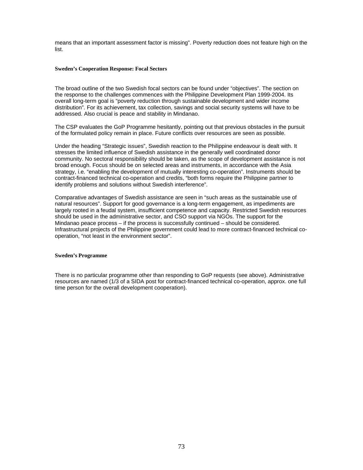means that an important assessment factor is missing". Poverty reduction does not feature high on the list.

#### **Sweden's Cooperation Response: Focal Sectors**

The broad outline of the two Swedish focal sectors can be found under "objectives". The section on the response to the challenges commences with the Philippine Development Plan 1999-2004. Its overall long-term goal is "poverty reduction through sustainable development and wider income distribution". For its achievement, tax collection, savings and social security systems will have to be addressed. Also crucial is peace and stability in Mindanao.

The CSP evaluates the GoP Programme hesitantly, pointing out that previous obstacles in the pursuit of the formulated policy remain in place. Future conflicts over resources are seen as possible.

Under the heading "Strategic issues", Swedish reaction to the Philippine endeavour is dealt with. It stresses the limited influence of Swedish assistance in the generally well coordinated donor community. No sectoral responsibility should be taken, as the scope of development assistance is not broad enough. Focus should be on selected areas and instruments, in accordance with the Asia strategy, i.e. "enabling the development of mutually interesting co-operation". Instruments should be contract-financed technical co-operation and credits, "both forms require the Philippine partner to identify problems and solutions without Swedish interference".

Comparative advantages of Swedish assistance are seen in "such areas as the sustainable use of natural resources". Support for good governance is a long-term engagement, as impediments are largely rooted in a feudal system, insufficient competence and capacity. Restricted Swedish resources should be used in the administrative sector, and CSO support via NGOs. The support for the Mindanao peace process – if the process is successfully continued – should be considered. Infrastructural projects of the Philippine government could lead to more contract-financed technical cooperation, "not least in the environment sector".

#### **Sweden's Programme**

There is no particular programme other than responding to GoP requests (see above). Administrative resources are named (1/3 of a SIDA post for contract-financed technical co-operation, approx. one full time person for the overall development cooperation).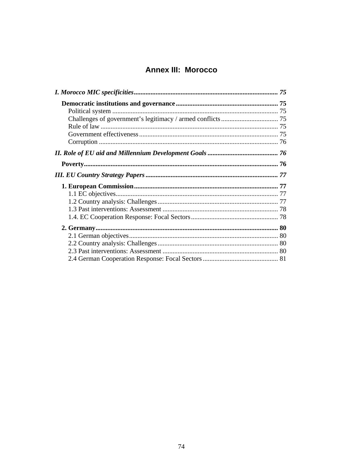# **Annex III: Morocco**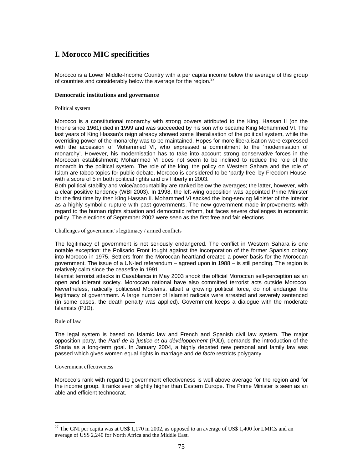# **I. Morocco MIC specificities**

Morocco is a Lower Middle-Income Country with a per capita income below the average of this group of countries and considerably below the average for the region.<sup>2</sup>

### **Democratic institutions and governance**

### Political system

Morocco is a constitutional monarchy with strong powers attributed to the King. Hassan II (on the throne since 1961) died in 1999 and was succeeded by his son who became King Mohammed VI. The last years of King Hassan's reign already showed some liberalisation of the political system, while the overriding power of the monarchy was to be maintained. Hopes for more liberalisation were expressed with the accession of Mohammed VI, who expressed a commitment to the 'modernisation of monarchy'. However, his modernisation has to take into account strong conservative forces in the Moroccan establishment; Mohammed VI does not seem to be inclined to reduce the role of the monarch in the political system. The role of the king, the policy on Western Sahara and the role of Islam are taboo topics for public debate. Morocco is considered to be 'partly free' by Freedom House, with a score of 5 in both political rights and civil liberty in 2003.

Both political stability and voice/accountability are ranked below the averages; the latter, however, with a clear positive tendency (WBI 2003). In 1998, the left-wing opposition was appointed Prime Minister for the first time by then King Hassan II. Mohammed VI sacked the long-serving Minister of the Interior as a highly symbolic rupture with past governments. The new government made improvements with regard to the human rights situation and democratic reform, but faces severe challenges in economic policy. The elections of September 2002 were seen as the first free and fair elections.

#### Challenges of government's legitimacy / armed conflicts

The legitimacy of government is not seriously endangered. The conflict in Western Sahara is one notable exception: the Polisario Front fought against the incorporation of the former Spanish colony into Morocco in 1975. Settlers from the Moroccan heartland created a power basis for the Moroccan government. The issue of a UN-led referendum – agreed upon in 1988 – is still pending. The region is relatively calm since the ceasefire in 1991.

Islamist terrorist attacks in Casablanca in May 2003 shook the official Moroccan self-perception as an open and tolerant society. Moroccan national have also committed terrorist acts outside Morocco. Nevertheless, radically politicised Moslems, albeit a growing political force, do not endanger the legitimacy of government. A large number of Islamist radicals were arrested and severely sentenced (in some cases, the death penalty was applied). Government keeps a dialogue with the moderate Islamists (PJD).

#### Rule of law

 $\overline{a}$ 

The legal system is based on Islamic law and French and Spanish civil law system. The major opposition party, the *Parti de la justice et du dévéloppement* (PJD), demands the introduction of the Sharia as a long-term goal. In January 2004, a highly debated new personal and family law was passed which gives women equal rights in marriage and *de facto* restricts polygamy.

#### Government effectiveness

Morocco's rank with regard to government effectiveness is well above average for the region and for the income group. It ranks even slightly higher than Eastern Europe. The Prime Minister is seen as an able and efficient technocrat.

 $27$  The GNI per capita was at US\$ 1,170 in 2002, as opposed to an average of US\$ 1,400 for LMICs and an average of US\$ 2,240 for North Africa and the Middle East.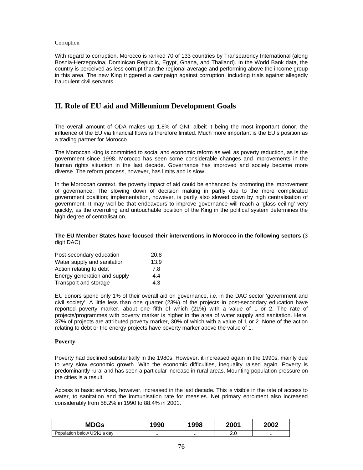### Corruption

With regard to corruption, Morocco is ranked 70 of 133 countries by Transparency International (along Bosnia-Herzegovina, Dominican Republic, Egypt, Ghana, and Thailand). In the World Bank data, the country is perceived as less corrupt than the regional average and performing above the income group in this area. The new King triggered a campaign against corruption, including trials against allegedly fraudulent civil servants.

# **II. Role of EU aid and Millennium Development Goals**

The overall amount of ODA makes up 1.8% of GNI; albeit it being the most important donor, the influence of the EU via financial flows is therefore limited. Much more important is the EU's position as a trading partner for Morocco.

The Moroccan King is committed to social and economic reform as well as poverty reduction, as is the government since 1998. Morocco has seen some considerable changes and improvements in the human rights situation in the last decade. Governance has improved and society became more diverse. The reform process, however, has limits and is slow.

In the Moroccan context, the poverty impact of aid could be enhanced by promoting the improvement of governance. The slowing down of decision making in partly due to the more complicated government coalition; implementation, however, is partly also slowed down by high centralisation of government. It may well be that endeavours to improve governance will reach a 'glass ceiling' very quickly, as the overruling and untouchable position of the King in the political system determines the high degree of centralisation.

### **The EU Member States have focused their interventions in Morocco in the following sectors** (3 digit DAC):

| Post-secondary education     | 20.8 |
|------------------------------|------|
| Water supply and sanitation  | 13.9 |
| Action relating to debt      | 7.8  |
| Energy generation and supply | 4.4  |
| Transport and storage        | 4.3  |

EU donors spend only 1% of their overall aid on governance, i.e. in the DAC sector 'government and civil society'. A little less than one quarter (23%) of the projects in post-secondary education have reported poverty marker, about one fifth of which (21%) with a value of 1 or 2. The rate of projects/programmes with poverty marker is higher in the area of water supply and sanitation. Here, 37% of projects are attributed poverty marker, 30% of which with a value of 1 or 2. None of the action relating to debt or the energy projects have poverty marker above the value of 1.

## **Poverty**

Poverty had declined substantially in the 1980s. However, it increased again in the 1990s, mainly due to very slow economic growth. With the economic difficulties, inequality raised again. Poverty is predominantly rural and has seen a particular increase in rural areas. Mounting population pressure on the cities is a result.

Access to basic services, however, increased in the last decade. This is visible in the rate of access to water, to sanitation and the immunisation rate for measles. Net primary enrolment also increased considerably from 58.2% in 1990 to 88.4% in 2001.

| <b>MDGs</b>                  | 1990 | 1998 | 2001     | 2002 |
|------------------------------|------|------|----------|------|
| Population below US\$1 a day |      |      | ົ<br>z.u |      |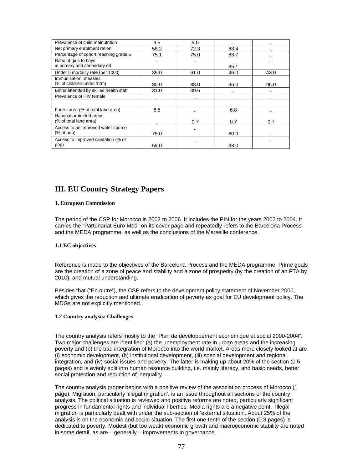| Prevalence of child malnutrition                                       | 9.5  | 9.0      |      | $\cdots$  |
|------------------------------------------------------------------------|------|----------|------|-----------|
| Net primary enrolment ration                                           | 58.2 | 72.3     | 88.4 | $\cdot$ . |
| Percentage of cohort reaching grade 5                                  | 75.1 | 75.0     | 83.7 |           |
| Ratio of girls to boys<br>in primary and secondary ed                  |      |          | 85.1 |           |
| Under 5 mortality rate (per 1000)                                      | 85.0 | 61.0     | 46.0 | 43.0      |
| Immunisation, measles<br>(% of children under 12m)                     | 80.0 | 88.0     | 96.0 | 96.0      |
| Births attended by skilled health staff                                | 31.0 | 39.6     |      | $\cdots$  |
| Prevalence of HIV female                                               |      | $\cdots$ |      | $\cdots$  |
|                                                                        |      |          |      |           |
| Forest area (% of total land area)                                     | 6.8  |          | 6.8  | $\cdot$ . |
| National protected areas<br>(% of total land area)                     |      | 0.7      | 0.7  | 0.7       |
| Access to an improved water source<br>$(% \mathcal{L}_{0})$ (% of pop) | 75.0 |          | 80.0 | $\cdot$ . |
| Access to improved sanitation (% of<br>pop)                            | 58.0 |          | 68.0 |           |

# **III. EU Country Strategy Papers**

### **1. European Commission**

The period of the CSP for Morocco is 2002 to 2006. It includes the PIN for the years 2002 to 2004. It carries the "Partenariat Euro-Med" on its cover page and repeatedly refers to the Barcelona Process and the MEDA programme, as well as the conclusions of the Marseille conference.

### **1.1 EC objectives**

Reference is made to the objectives of the Barcelona Process and the MEDA programme. Prime goals are the creation of a zone of peace and stability and a zone of prosperity (by the creation of an FTA by 2010), and mutual understanding.

Besides that ("En outre"), the CSP refers to the development policy statement of November 2000, which gives the reduction and ultimate eradication of poverty as goal for EU development policy. The MDGs are not explicitly mentioned.

### **1.2 Country analysis: Challenges**

The country analysis refers mostly to the "Plan de developpement économique et social 2000-2004". Two major challenges are identified: (a) the unemployment rate in urban areas and the increasing poverty and (b) the bad integration of Morocco into the world market. Areas more closely looked at are (i) economic development, (b) institutional development, (iii) special development and regional integration, and (iv) social issues and poverty. The latter is making up about 20% of the section (0.5 pages) and is evenly split into human resource building, i.e. mainly literacy, and basic needs, better social protection and reduction of inequality.

The country analysis proper begins with a positive review of the association process of Morocco (1 page). Migration, particularly 'illegal migration', is an issue throughout all sections of the country analysis. The political situation is reviewed and positive reforms are noted, particularly significant progress in fundamental rights and individual liberties. Media rights are a negative point. Illegal migration is particularly dealt with under the sub-section of 'external situation'. About 25% of the analysis is on the economic and social situation. The first one-tenth of the section (0.3 pages) is dedicated to poverty. Modest (but too weak) economic growth and macroeconomic stability are noted in some detail, as are – generally – improvements in governance.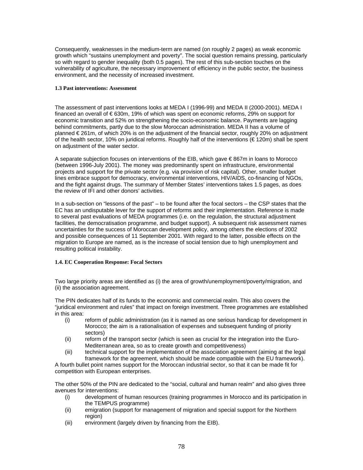Consequently, weaknesses in the medium-term are named (on roughly 2 pages) as weak economic growth which "sustains unemployment and poverty". The social question remains pressing, particularly so with regard to gender inequality (both 0.5 pages). The rest of this sub-section touches on the vulnerability of agriculture, the necessary improvement of efficiency in the public sector, the business environment, and the necessity of increased investment.

### **1.3 Past interventions: Assessment**

The assessment of past interventions looks at MEDA I (1996-99) and MEDA II (2000-2001). MEDA I financed an overall of € 630m, 19% of which was spent on economic reforms, 29% on support for economic transition and 52% on strengthening the socio-economic balance. Payments are lagging behind commitments, partly due to the slow Moroccan administration. MEDA II has a volume of planned € 261m, of which 20% is on the adjustment of the financial sector, roughly 20% on adjustment of the health sector, 10% on juridical reforms. Roughly half of the interventions (€ 120m) shall be spent on adjustment of the water sector.

A separate subjection focuses on interventions of the EIB, which gave € 867m in loans to Morocco (between 1996-July 2001). The money was predominantly spent on infrastructure, environmental projects and support for the private sector (e.g. via provision of risk capital). Other, smaller budget lines embrace support for democracy, environmental interventions, HIV/AIDS, co-financing of NGOs, and the fight against drugs. The summary of Member States' interventions takes 1.5 pages, as does the review of IFI and other donors' activities.

In a sub-section on "lessons of the past" – to be found after the focal sectors – the CSP states that the EC has an undisputable lever for the support of reforms and their implementation. Reference is made to several past evaluations of MEDA programmes (i.e. on the regulation, the structural adjustment facilities, the democratisation programme, and budget support). A subsequent risk assessment names uncertainties for the success of Moroccan development policy, among others the elections of 2002 and possible consequences of 11 September 2001. With regard to the latter, possible effects on the migration to Europe are named, as is the increase of social tension due to high unemployment and resulting political instability.

## **1.4. EC Cooperation Response: Focal Sectors**

Two large priority areas are identified as (i) the area of growth/unemployment/poverty/migration, and (ii) the association agreement.

The PIN dedicates half of its funds to the economic and commercial realm. This also covers the "juridical environment and rules" that impact on foreign investment. Three programmes are established in this area:

- (i) reform of public administration (as it is named as one serious handicap for development in Morocco; the aim is a rationalisation of expenses and subsequent funding of priority sectors)
- (ii) reform of the transport sector (which is seen as crucial for the integration into the Euro-Mediterranean area, so as to create growth and competitiveness)
- (iii) technical support for the implementation of the association agreement (aiming at the legal framework for the agreement, which should be made compatible with the EU framework).

A fourth bullet point names support for the Moroccan industrial sector, so that it can be made fit for competition with European enterprises.

The other 50% of the PIN are dedicated to the "social, cultural and human realm" and also gives three avenues for interventions:

- (i) development of human resources (training programmes in Morocco and its participation in the TEMPUS programme)
- (ii) emigration (support for management of migration and special support for the Northern region)
- (iii) environment (largely driven by financing from the EIB).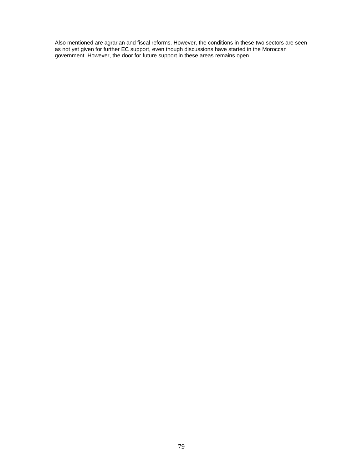Also mentioned are agrarian and fiscal reforms. However, the conditions in these two sectors are seen as not yet given for further EC support, even though discussions have started in the Moroccan government. However, the door for future support in these areas remains open.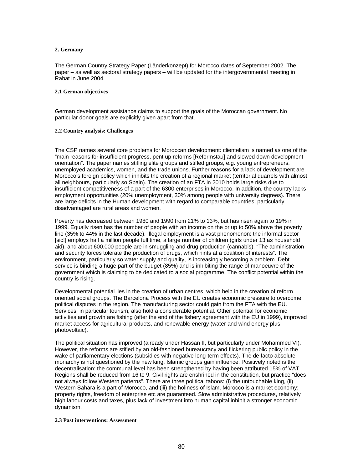### **2. Germany**

The German Country Strategy Paper (Länderkonzept) for Morocco dates of September 2002. The paper – as well as sectoral strategy papers – will be updated for the intergovernmental meeting in Rabat in June 2004.

#### **2.1 German objectives**

German development assistance claims to support the goals of the Moroccan government. No particular donor goals are explicitly given apart from that.

#### **2.2 Country analysis: Challenges**

The CSP names several core problems for Moroccan development: clientelism is named as one of the "main reasons for insufficient progress, pent up reforms [Reformstau] and slowed down development orientation". The paper names stifling elite groups and stifled groups, e.g. young entrepreneurs, unemployed academics, women, and the trade unions. Further reasons for a lack of development are Morocco's foreign policy which inhibits the creation of a regional market (territorial quarrels with almost all neighbours, particularly so Spain). The creation of an FTA in 2010 holds large risks due to insufficient competitiveness of a part of the 6300 enterprises in Morocco. In addition, the country lacks employment opportunities (20% unemployment, 30% among people with university degrees). There are large deficits in the Human development with regard to comparable countries; particularly disadvantaged are rural areas and women.

Poverty has decreased between 1980 and 1990 from 21% to 13%, but has risen again to 19% in 1999. Equally risen has the number of people with an income on the or up to 50% above the poverty line (35% to 44% in the last decade). Illegal employment is a vast phenomenon: the informal sector [sic!] employs half a million people full time, a large number of children (girls under 13 as household aid), and about 600.000 people are in smuggling and drug production (cannabis). "The administration and security forces tolerate the production of drugs, which hints at a coalition of interests". The environment, particularly so water supply and quality, is increasingly becoming a problem. Debt service is binding a huge part of the budget (85%) and is inhibiting the range of manoeuvre of the government which is claiming to be dedicated to a social programme. The conflict potential within the country is rising.

Developmental potential lies in the creation of urban centres, which help in the creation of reform oriented social groups. The Barcelona Process with the EU creates economic pressure to overcome political disputes in the region. The manufacturing sector could gain from the FTA with the EU. Services, in particular tourism, also hold a considerable potential. Other potential for economic activities and growth are fishing (after the end of the fishery agreement with the EU in 1999), improved market access for agricultural products, and renewable energy (water and wind energy plus photovoltaic).

The political situation has improved (already under Hassan II, but particularly under Mohammed VI). However, the reforms are stifled by an old-fashioned bureaucracy and flickering public policy in the wake of parliamentary elections (subsidies with negative long-term effects). The de facto absolute monarchy is not questioned by the new king. Islamic groups gain influence. Positively noted is the decentralisation: the communal level has been strengthened by having been attributed 15% of VAT. Regions shall be reduced from 16 to 9. Civil rights are enshrined in the constitution, but practice "does not always follow Western patterns". There are three political taboos: (i) the untouchable king, (ii) Western Sahara is a part of Morocco, and (iii) the holiness of Islam. Morocco is a market economy; property rights, freedom of enterprise etc are guaranteed. Slow administrative procedures, relatively high labour costs and taxes, plus lack of investment into human capital inhibit a stronger economic dynamism.

#### **2.3 Past interventions: Assessment**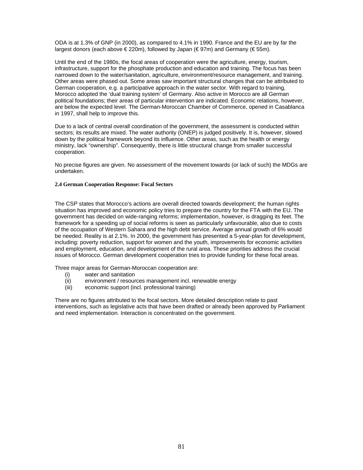ODA is at 1.3% of GNP (in 2000), as compared to 4.1% in 1990. France and the EU are by far the largest donors (each above € 220m), followed by Japan (€ 97m) and Germany (€ 55m).

Until the end of the 1980s, the focal areas of cooperation were the agriculture, energy, tourism, infrastructure, support for the phosphate production and education and training. The focus has been narrowed down to the water/sanitation, agriculture, environment/resource management, and training. Other areas were phased out. Some areas saw important structural changes that can be attributed to German cooperation, e.g. a participative approach in the water sector. With regard to training, Morocco adopted the 'dual training system' of Germany. Also active in Morocco are all German political foundations; their areas of particular intervention are indicated. Economic relations, however, are below the expected level. The German-Moroccan Chamber of Commerce, opened in Casablanca in 1997, shall help to improve this.

Due to a lack of central overall coordination of the government, the assessment is conducted within sectors; its results are mixed. The water authority (ONEP) is judged positively. It is, however, slowed down by the political framework beyond its influence. Other areas, such as the health or energy ministry, lack "ownership". Consequently, there is little structural change from smaller successful cooperation.

No precise figures are given. No assessment of the movement towards (or lack of such) the MDGs are undertaken.

### **2.4 German Cooperation Response: Focal Sectors**

The CSP states that Morocco's actions are overall directed towards development; the human rights situation has improved and economic policy tries to prepare the country for the FTA with the EU. The government has decided on wide-ranging reforms; implementation, however, is dragging its feet. The framework for a speeding up of social reforms is seen as particularly unfavourable, also due to costs of the occupation of Western Sahara and the high debt service. Average annual growth of 6% would be needed. Reality is at 2.1%. In 2000, the government has presented a 5-year-plan for development, including: poverty reduction, support for women and the youth, improvements for economic activities and employment, education, and development of the rural area. These priorities address the crucial issues of Morocco. German development cooperation tries to provide funding for these focal areas.

Three major areas for German-Moroccan cooperation are:

- (i) water and sanitation
- (ii) environment / resources management incl. renewable energy
- (iii) economic support (incl. professional training)

There are no figures attributed to the focal sectors. More detailed description relate to past interventions, such as legislative acts that have been drafted or already been approved by Parliament and need implementation. Interaction is concentrated on the government.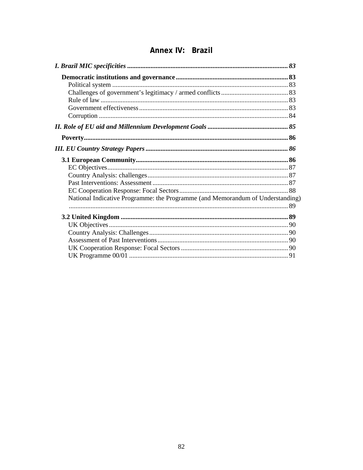| National Indicative Programme: the Programme (and Memorandum of Understanding) |  |
|--------------------------------------------------------------------------------|--|
|                                                                                |  |
|                                                                                |  |
|                                                                                |  |
|                                                                                |  |
|                                                                                |  |
|                                                                                |  |
|                                                                                |  |
|                                                                                |  |

# Annex IV: Brazil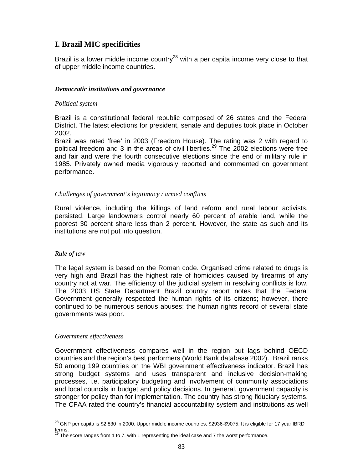# **I. Brazil MIC specificities**

Brazil is a lower middle income country<sup>28</sup> with a per capita income very close to that of upper middle income countries.

# *Democratic institutions and governance*

# *Political system*

Brazil is a constitutional federal republic composed of 26 states and the Federal District. The latest elections for president, senate and deputies took place in October 2002.

Brazil was rated 'free' in 2003 (Freedom House). The rating was 2 with regard to political freedom and 3 in the areas of civil liberties.<sup>29</sup> The 2002 elections were free and fair and were the fourth consecutive elections since the end of military rule in 1985. Privately owned media vigorously reported and commented on government performance.

## *Challenges of government's legitimacy / armed conflicts*

Rural violence, including the killings of land reform and rural labour activists, persisted. Large landowners control nearly 60 percent of arable land, while the poorest 30 percent share less than 2 percent. However, the state as such and its institutions are not put into question.

# *Rule of law*

The legal system is based on the Roman code. Organised crime related to drugs is very high and Brazil has the highest rate of homicides caused by firearms of any country not at war. The efficiency of the judicial system in resolving conflicts is low. The 2003 US State Department Brazil country report notes that the Federal Government generally respected the human rights of its citizens; however, there continued to be numerous serious abuses; the human rights record of several state governments was poor.

## *Government effectiveness*

Government effectiveness compares well in the region but lags behind OECD countries and the region's best performers (World Bank database 2002). Brazil ranks 50 among 199 countries on the WBI government effectiveness indicator. Brazil has strong budget systems and uses transparent and inclusive decision-making processes, i.e. participatory budgeting and involvement of community associations and local councils in budget and policy decisions. In general, government capacity is stronger for policy than for implementation. The country has strong fiduciary systems. The CFAA rated the country's financial accountability system and institutions as well

 $\overline{a}$  $^{28}$  GNP per capita is \$2,830 in 2000. Upper middle income countries, \$2936-\$9075. It is eligible for 17 year IBRD terms.<br><sup>29</sup> The score ranges from 1 to 7, with 1 representing the ideal case and 7 the worst performance.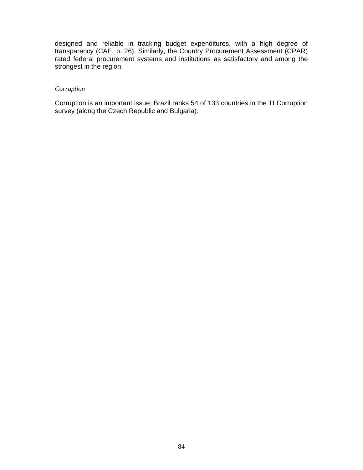designed and reliable in tracking budget expenditures, with a high degree of transparency (CAE, p. 26). Similarly, the Country Procurement Assessment (CPAR) rated federal procurement systems and institutions as satisfactory and among the strongest in the region.

## *Corruption*

Corruption is an important issue; Brazil ranks 54 of 133 countries in the TI Corruption survey (along the Czech Republic and Bulgaria).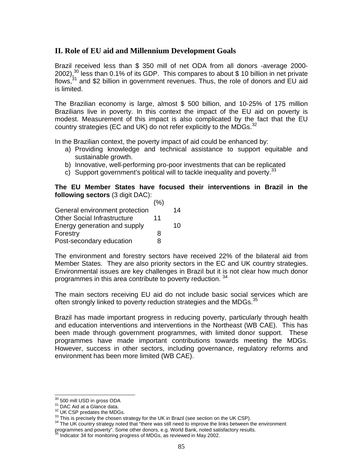# **II. Role of EU aid and Millennium Development Goals**

Brazil received less than \$ 350 mill of net ODA from all donors -average 2000- 2002), $30$  less than 0.1% of its GDP. This compares to about \$ 10 billion in net private flows,<sup>31</sup> and \$2 billion in government revenues. Thus, the role of donors and EU aid is limited.

The Brazilian economy is large, almost \$ 500 billion, and 10-25% of 175 million Brazilians live in poverty. In this context the impact of the EU aid on poverty is modest. Measurement of this impact is also complicated by the fact that the EU country strategies (EC and UK) do not refer explicitly to the MDGs. $^{32}$ 

In the Brazilian context, the poverty impact of aid could be enhanced by:

- a) Providing knowledge and technical assistance to support equitable and sustainable growth.
- b) Innovative, well-performing pro-poor investments that can be replicated
- c) Support government's political will to tackle inequality and poverty.  $33$

# **The EU Member States have focused their interventions in Brazil in the following sectors** (3 digit DAC):

|                                    | (%) |    |
|------------------------------------|-----|----|
| General environment protection     |     | 14 |
| <b>Other Social Infrastructure</b> | 11  |    |
| Energy generation and supply       |     | 10 |
| Forestry                           |     |    |

Post-secondary education 8

The environment and forestry sectors have received 22% of the bilateral aid from Member States. They are also priority sectors in the EC and UK country strategies. Environmental issues are key challenges in Brazil but it is not clear how much donor programmes in this area contribute to poverty reduction. <sup>34</sup>

The main sectors receiving EU aid do not include basic social services which are often strongly linked to poverty reduction strategies and the MDGs.<sup>35</sup>

Brazil has made important progress in reducing poverty, particularly through health and education interventions and interventions in the Northeast (WB CAE). This has been made through government programmes, with limited donor support. These programmes have made important contributions towards meeting the MDGs. However, success in other sectors, including governance, regulatory reforms and environment has been more limited (WB CAE).

 $^{30}$  500 mill USD in gross ODA

<sup>&</sup>lt;sup>31</sup> DAC Aid at a Glance data.<br><sup>32</sup> UK CSP predates the MDGs.<br><sup>32</sup> UK CSP predates the MDGs.<br><sup>33</sup> This is precisely the chosen strategy for the UK in Brazil (see section on the UK CSP).<br><sup>34</sup> The UK country strategy noted t programmes and poverty". Some other donors, e.g. World Bank, noted satisfactory results.<br><sup>35</sup> Indicator 34 for monitoring progress of MDGs, as reviewed in May 2002.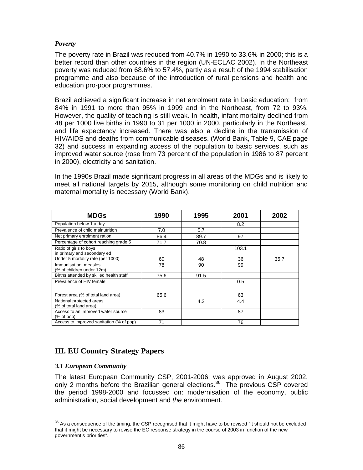# *Poverty*

The poverty rate in Brazil was reduced from 40.7% in 1990 to 33.6% in 2000; this is a better record than other countries in the region (UN-ECLAC 2002). In the Northeast poverty was reduced from 68.6% to 57.4%, partly as a result of the 1994 stabilisation programme and also because of the introduction of rural pensions and health and education pro-poor programmes.

Brazil achieved a significant increase in net enrolment rate in basic education: from 84% in 1991 to more than 95% in 1999 and in the Northeast, from 72 to 93%. However, the quality of teaching is still weak. In health, infant mortality declined from 48 per 1000 live births in 1990 to 31 per 1000 in 2000, particularly in the Northeast, and life expectancy increased. There was also a decline in the transmission of HIV/AIDS and deaths from communicable diseases. (World Bank, Table 9, CAE page 32) and success in expanding access of the population to basic services, such as improved water source (rose from 73 percent of the population in 1986 to 87 percent in 2000), electricity and sanitation.

In the 1990s Brazil made significant progress in all areas of the MDGs and is likely to meet all national targets by 2015, although some monitoring on child nutrition and maternal mortality is necessary (World Bank).

| <b>MDGs</b>                                                            | 1990 | 1995 | 2001  | 2002 |
|------------------------------------------------------------------------|------|------|-------|------|
| Population below 1 a day                                               |      |      | 8.2   |      |
| Prevalence of child malnutrition                                       | 7.0  | 5.7  |       |      |
| Net primary enrolment ration                                           | 86.4 | 89.7 | 97    |      |
| Percentage of cohort reaching grade 5                                  | 71.7 | 70.8 |       |      |
| Ratio of girls to boys<br>in primary and secondary ed                  |      |      | 103.1 |      |
| Under 5 mortality rate (per 1000)                                      | 60   | 48   | 36    | 35.7 |
| Immunisation, measles<br>(% of children under 12m)                     | 78   | 90   | 99    |      |
| Births attended by skilled health staff                                | 75.6 | 91.5 |       |      |
| Prevalence of HIV female                                               |      |      | 0.5   |      |
| Forest area (% of total land area)                                     | 65.6 |      | 63    |      |
| National protected areas<br>(% of total land area)                     |      | 4.2  | 4.4   |      |
| Access to an improved water source<br>$(% \mathcal{L}_{0})$ (% of pop) | 83   |      | 87    |      |
| Access to improved sanitation (% of pop)                               | 71   |      | 76    |      |

# **III. EU Country Strategy Papers**

# *3.1 European Community*

The latest European Community CSP, 2001-2006, was approved in August 2002, only 2 months before the Brazilian general elections.<sup>36</sup> The previous CSP covered the period 1998-2000 and focussed on: modernisation of the economy, public administration, social development and *the* environment.

 $\overline{a}$  $36$  As a consequence of the timing, the CSP recognised that it might have to be revised "It should not be excluded that it might be necessary to revise the EC response strategy in the course of 2003 in function of the new government's priorities".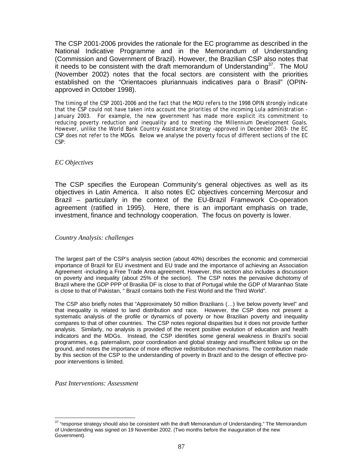The CSP 2001-2006 provides the rationale for the EC programme as described in the National Indicative Programme and in the Memorandum of Understanding (Commission and Government of Brazil). However, the Brazilian CSP also notes that it needs to be consistent with the draft memorandum of Understanding<sup>37</sup>. The MoU (November 2002) notes that the focal sectors are consistent with the priorities established on the "Orientacoes pluriannuais indicatives para o Brasil" (OPINapproved in October 1998).

The timing of the CSP 2001-2006 and the fact that the MOU refers to the 1998 OPIN strongly indicate that the CSP could not have taken into account the priorities of the incoming Lula administration - January 2003. For example, the new government has made more explicit its commitment to reducing poverty reduction and inequality and to meeting the Millennium Development Goals. However, unlike the World Bank Country Assistance Strategy –approved in December 2003- the EC CSP does not refer to the MDGs. Below we analyse the poverty focus of different sections of the EC CSP:

## *EC Objectives*

The CSP specifies the European Community's general objectives as well as its objectives in Latin America. It also notes EC objectives concerning Mercosur and Brazil – particularly in the context of the EU-Brazil Framework Co-operation agreement (ratified in 1995). Here, there is an important emphasis on trade, investment, finance and technology cooperation. The focus on poverty is lower.

## *Country Analysis: challenges*

The largest part of the CSP's analysis section (about 40%) describes the economic and commercial importance of Brazil for EU investment and EU trade and the importance of achieving an Association Agreement -including a Free Trade Area agreement. However, this section also includes a discussion on poverty and inequality (about 25% of the section). The CSP notes the pervasive dichotomy of Brazil where the GDP PPP of Brasilia DF is close to that of Portugal while the GDP of Maranhao State is close to that of Pakistan, " Brazil contains both the First World and the Third World".

The CSP also briefly notes that "Approximately 50 million Brazilians (…) live below poverty level" and that inequality is related to land distribution and race. However, the CSP does not present a systematic analysis of the profile or dynamics of poverty or how Brazilian poverty and inequality compares to that of other countries. The CSP notes regional disparities but it does not provide further analysis. Similarly, no analysis is provided of the recent positive evolution of education and health indicators and the MDGs. Instead, the CSP identifies some general weakness in Brazil's social programmes, e.g. paternalism, poor coordination and global strategy and insufficient follow up on the ground, and notes the importance of more effective redistribution mechanisms. The contribution made by this section of the CSP to the understanding of poverty in Brazil and to the design of effective propoor interventions is limited.

*Past Interventions: Assessment* 

 $\overline{a}$  $37$  "response strategy should also be consistent with the draft Memorandum of Understanding." The Memorandum of Understanding was signed on 19 November 2002. (Two months before the inauguration of the new Government).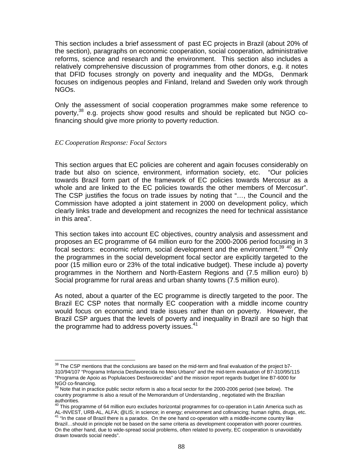This section includes a brief assessment of past EC projects in Brazil (about 20% of the section), paragraphs on economic cooperation, social cooperation, administrative reforms, science and research and the environment. This section also includes a relatively comprehensive discussion of programmes from other donors, e.g. it notes that DFID focuses strongly on poverty and inequality and the MDGs, Denmark focuses on indigenous peoples and Finland, Ireland and Sweden only work through NGOs.

Only the assessment of social cooperation programmes make some reference to poverty,<sup>38</sup> e.g. projects show good results and should be replicated but NGO cofinancing should give more priority to poverty reduction.

## *EC Cooperation Response: Focal Sectors*

This section argues that EC policies are coherent and again focuses considerably on trade but also on science, environment, information society, etc. "Our policies towards Brazil form part of the framework of EC policies towards Mercosur as a whole and are linked to the EC policies towards the other members of Mercosur". The CSP justifies the focus on trade issues by noting that "…, the Council and the Commission have adopted a joint statement in 2000 on development policy, which clearly links trade and development and recognizes the need for technical assistance in this area".

This section takes into account EC objectives, country analysis and assessment and proposes an EC programme of 64 million euro for the 2000-2006 period focusing in 3 focal sectors: economic reform, social development and the environment.<sup>39 40</sup> Only the programmes in the social development focal sector are explicitly targeted to the poor (15 million euro or 23% of the total indicative budget). These include a) poverty programmes in the Northern and North-Eastern Regions and (7.5 million euro) b) Social programme for rural areas and urban shanty towns (7.5 million euro).

As noted, about a quarter of the EC programme is directly targeted to the poor. The Brazil EC CSP notes that normally EC cooperation with a middle income country would focus on economic and trade issues rather than on poverty. However, the Brazil CSP argues that the levels of poverty and inequality in Brazil are so high that the programme had to address poverty issues.<sup>41</sup>

 $\overline{a}$  $38$  The CSP mentions that the conclusions are based on the mid-term and final evaluation of the project b7-310/94/107 "Programa Infancia Desfavorecida no Meio Urbano" and the mid-term evaluation of B7-310/95/115 "Programa de Apoio as Poplulacoes Desfavorecidas" and the mission report regards budget line B7-6000 for NGO co-financing.

<sup>&</sup>lt;sup>39</sup> Note that in practice public sector reform is also a focal sector for the 2000-2006 period (see below). The country programme is also a result of the Memorandum of Understanding , negotiated with the Brazilian authorities.<br><sup>40</sup> This programme of 64 million euro excludes horizontal programmes for co-operation in Latin America such as

AL-INVEST, URB-AL, ALFA; @LIS; in science; in energy; environment and cofinancing; human rights, drugs, etc. 41 "In the case of Brazil there is a paradox. On the one hand co-operation with a middle-income country like Brazil…should in principle not be based on the same criteria as development cooperation with poorer countries. On the other hand, due to wide-spread social problems, often related to poverty, EC cooperation is unavoidably drawn towards social needs".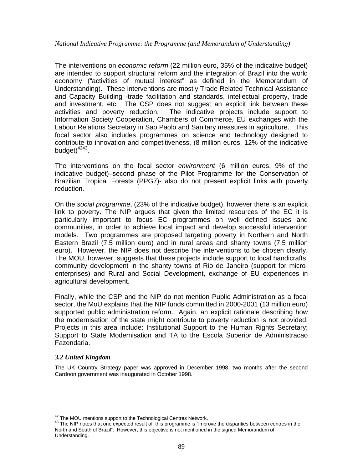## *National Indicative Programme: the Programme (and Memorandum of Understanding)*

The interventions on *economic reform* (22 million euro, 35% of the indicative budget) are intended to support structural reform and the integration of Brazil into the world economy ("activities of mutual interest" as defined in the Memorandum of Understanding). These interventions are mostly Trade Related Technical Assistance and Capacity Building -trade facilitation and standards, intellectual property, trade and investment, etc. The CSP does not suggest an explicit link between these activities and poverty reduction. The indicative projects include support to Information Society Cooperation, Chambers of Commerce, EU exchanges with the Labour Relations Secretary in Sao Paolo and Sanitary measures in agriculture. This focal sector also includes programmes on science and technology designed to contribute to innovation and competitiveness, (8 million euros, 12% of the indicative budget $)^{4243}$ .

The interventions on the focal sector *environment* (6 million euros, 9% of the indicative budget)–second phase of the Pilot Programme for the Conservation of Brazilian Tropical Forests (PPG7)- also do not present explicit links with poverty reduction.

On the *social programme*, (23% of the indicative budget), however there is an explicit link to poverty. The NIP argues that given the limited resources of the EC it is particularly important to focus EC programmes on well defined issues and communities, in order to achieve local impact and develop successful intervention models. Two programmes are proposed targeting poverty in Northern and North Eastern Brazil (7.5 million euro) and in rural areas and shanty towns (7.5 million euro). However, the NIP does not describe the interventions to be chosen clearly. The MOU, however, suggests that these projects include support to local handicrafts, community development in the shanty towns of Rio de Janeiro (support for microenterprises) and Rural and Social Development, exchange of EU experiences in agricultural development.

Finally, while the CSP and the NIP do not mention Public Administration as a focal sector, the MoU explains that the NIP funds committed in 2000-2001 (13 million euro) supported public administration reform. Again, an explicit rationale describing how the modernisation of the state might contribute to poverty reduction is not provided. Projects in this area include: Institutional Support to the Human Rights Secretary; Support to State Modernisation and TA to the Escola Superior de Administracao Fazendaria.

## *3.2 United Kingdom*

The UK Country Strategy paper was approved in December 1998, two months after the second Cardoon government was inaugurated in October 1998.

<sup>&</sup>lt;sup>42</sup> The MOU mentions support to the Technological Centres Network.

<sup>&</sup>lt;sup>43</sup> The NIP notes that one expected result of this programme is "improve the disparities between centres in the North and South of Brazil". However, this objective is not mentioned in the signed Memorandum of Understanding.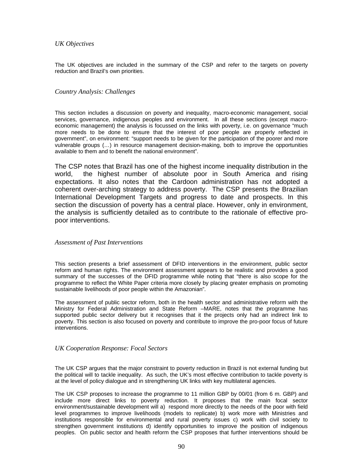## *UK Objectives*

The UK objectives are included in the summary of the CSP and refer to the targets on poverty reduction and Brazil's own priorities.

## *Country Analysis: Challenges*

This section includes a discussion on poverty and inequality, macro-economic management, social services, governance, indigenous peoples and environment. In all these sections (except macroeconomic management) the analysis is focussed on the links with poverty, i.e. on governance "much more needs to be done to ensure that the interest of poor people are properly reflected in government", on environment: "support needs to be given for the participation of the poorer and more vulnerable groups (…) in resource management decision-making, both to improve the opportunities available to them and to benefit the national environment".

The CSP notes that Brazil has one of the highest income inequality distribution in the world, the highest number of absolute poor in South America and rising expectations. It also notes that the Cardoon administration has not adopted a coherent over-arching strategy to address poverty. The CSP presents the Brazilian International Development Targets and progress to date and prospects. In this section the discussion of poverty has a central place. However, only in environment, the analysis is sufficiently detailed as to contribute to the rationale of effective propoor interventions.

## *Assessment of Past Interventions*

This section presents a brief assessment of DFID interventions in the environment, public sector reform and human rights. The environment assessment appears to be realistic and provides a good summary of the successes of the DFID programme while noting that "there is also scope for the programme to reflect the White Paper criteria more closely by placing greater emphasis on promoting sustainable livelihoods of poor people within the Amazonian".

The assessment of public sector reform, both in the health sector and administrative reform with the Ministry for Federal Administration and State Reform –MARE, notes that the programme has supported public sector delivery but it recognises that it the projects only had an indirect link to poverty. This section is also focused on poverty and contribute to improve the pro-poor focus of future interventions.

## *UK Cooperation Response: Focal Sectors*

The UK CSP argues that the major constraint to poverty reduction in Brazil is not external funding but the political will to tackle inequality. As such, the UK's most effective contribution to tackle poverty is at the level of policy dialogue and in strengthening UK links with key multilateral agencies.

The UK CSP proposes to increase the programme to 11 million GBP by 00/01 (from 6 m. GBP) and include more direct links to poverty reduction. It proposes that the main focal sector environment/sustainable development will a) respond more directly to the needs of the poor with field level programmes to improve livelihoods (models to replicate) b) work more with Ministries and institutions responsible for environmental and rural poverty issues c) work with civil society to strengthen government institutions d) identify opportunities to improve the position of indigenous peoples. On public sector and health reform the CSP proposes that further interventions should be